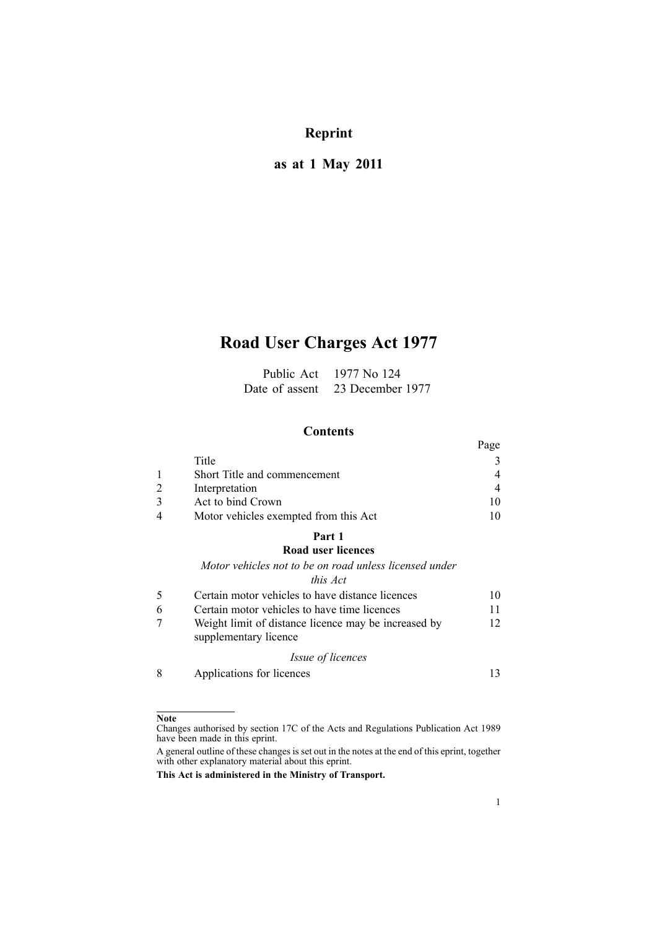# **Reprint**

# **as at 1 May 2011**

# **Road User Charges Act 1977**

| Public Act     | 1977 No 124      |
|----------------|------------------|
| Date of assent | 23 December 1977 |

## **Contents**

|                                       | Page |
|---------------------------------------|------|
| Title                                 |      |
| Short Title and commencement          | 4    |
| Interpretation                        | 4    |
| Act to bind Crown                     | 10   |
| Motor vehicles exempted from this Act | 10   |

# **[Part](#page-9-0) 1**

# **Road user [licences](#page-9-0)**

*Motor vehicles not to be on road unless [licensed](#page-9-0) under this [Act](#page-9-0)*

| Certain motor vehicles to have distance licences                              | 10 |
|-------------------------------------------------------------------------------|----|
| Certain motor vehicles to have time licences                                  | 11 |
| Weight limit of distance licence may be increased by<br>supplementary licence | 12 |
| <i>Issue of licences</i>                                                      |    |
|                                                                               |    |

8 [Applications](#page-12-0) for licences [13](#page-12-0)

## **Note**

Changes authorised by [section](http://www.legislation.govt.nz/pdflink.aspx?id=DLM195466) 17C of the Acts and Regulations Publication Act 1989 have been made in this eprint.

A general outline of these changes is set out in the notes at the end of this eprint, together with other explanatory material about this eprint.

**This Act is administered in the Ministry of Transport.**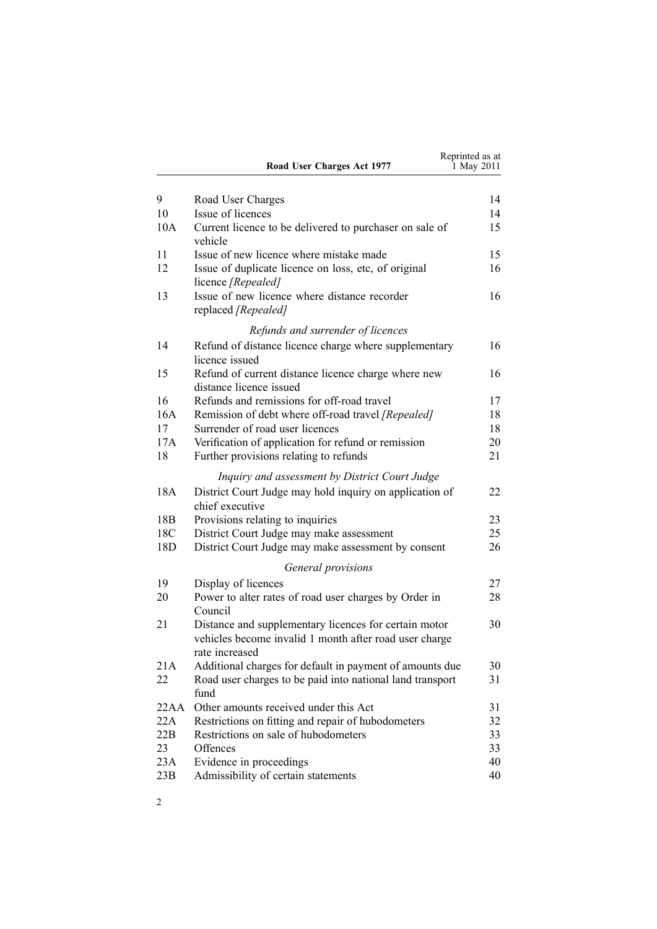|                 | Road User Charges Act 1977                                                                                                        | Reprinted as at<br>1 May 2011 |
|-----------------|-----------------------------------------------------------------------------------------------------------------------------------|-------------------------------|
| 9               | Road User Charges                                                                                                                 | 14                            |
| 10              | Issue of licences                                                                                                                 | 14                            |
| 10A             | Current licence to be delivered to purchaser on sale of<br>vehicle                                                                | 15                            |
| 11              | Issue of new licence where mistake made                                                                                           | 15                            |
| 12              | Issue of duplicate licence on loss, etc, of original<br>licence [Repealed]                                                        | 16                            |
| 13              | Issue of new licence where distance recorder<br>replaced [Repealed]                                                               | 16                            |
|                 | Refunds and surrender of licences                                                                                                 |                               |
| 14              | Refund of distance licence charge where supplementary<br>licence issued                                                           | 16                            |
| 15              | Refund of current distance licence charge where new<br>distance licence issued                                                    | 16                            |
| 16              | Refunds and remissions for off-road travel                                                                                        | 17                            |
| 16A             | Remission of debt where off-road travel [Repealed]                                                                                | 18                            |
| 17              | Surrender of road user licences                                                                                                   | 18                            |
| 17A             | Verification of application for refund or remission                                                                               | 20                            |
| 18              | Further provisions relating to refunds                                                                                            | 21                            |
|                 | Inquiry and assessment by District Court Judge                                                                                    |                               |
| 18A             | District Court Judge may hold inquiry on application of<br>chief executive                                                        | 22                            |
| 18 <sub>B</sub> | Provisions relating to inquiries                                                                                                  | 23                            |
| 18C             | District Court Judge may make assessment                                                                                          | 25                            |
| 18D             | District Court Judge may make assessment by consent                                                                               | 26                            |
|                 | General provisions                                                                                                                |                               |
| 19              | Display of licences                                                                                                               | 27                            |
| 20              | Power to alter rates of road user charges by Order in<br>Council                                                                  | 28                            |
| 21              | Distance and supplementary licences for certain motor<br>vehicles become invalid 1 month after road user charge<br>rate increased | 30                            |
| 21A             | Additional charges for default in payment of amounts due                                                                          | 30                            |
| 22              | Road user charges to be paid into national land transport<br>fund                                                                 | 31                            |
| 22AA            | Other amounts received under this Act                                                                                             | 31                            |
| 22A             | Restrictions on fitting and repair of hubodometers                                                                                | 32                            |
| 22B             | Restrictions on sale of hubodometers                                                                                              | 33                            |
| 23              | Offences                                                                                                                          | 33                            |
| 23A             | Evidence in proceedings                                                                                                           | 40                            |
| 23B             | Admissibility of certain statements                                                                                               | 40                            |

2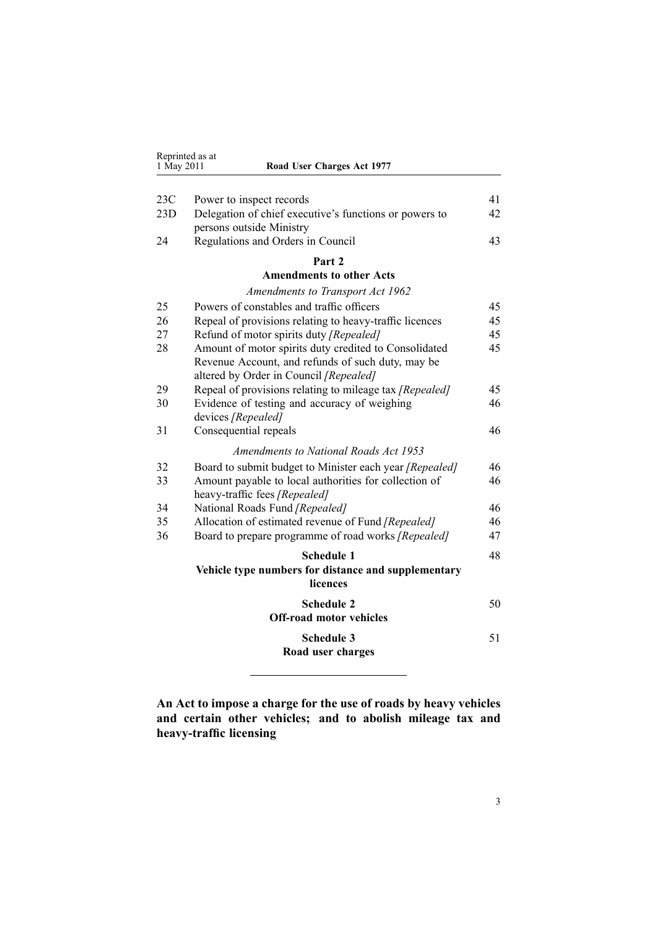| 1 May 2011 | Road User Charges Act 1977                              |    |
|------------|---------------------------------------------------------|----|
|            |                                                         |    |
| 23C        | Power to inspect records                                | 41 |
| 23D        | Delegation of chief executive's functions or powers to  | 42 |
|            | persons outside Ministry                                |    |
| 24         | Regulations and Orders in Council                       | 43 |
|            | Part 2                                                  |    |
|            | <b>Amendments to other Acts</b>                         |    |
|            | Amendments to Transport Act 1962                        |    |
| 25         | Powers of constables and traffic officers               | 45 |
| 26         | Repeal of provisions relating to heavy-traffic licences | 45 |
| 27         | Refund of motor spirits duty [Repealed]                 | 45 |
| 28         | Amount of motor spirits duty credited to Consolidated   | 45 |
|            | Revenue Account, and refunds of such duty, may be       |    |
|            | altered by Order in Council [Repealed]                  |    |
| 29         | Repeal of provisions relating to mileage tax [Repealed] | 45 |
| 30         | Evidence of testing and accuracy of weighing            | 46 |
|            | devices [Repealed]                                      |    |
| 31         | Consequential repeals                                   | 46 |
|            | <b>Amendments to National Roads Act 1953</b>            |    |
| 32         | Board to submit budget to Minister each year [Repealed] | 46 |
| 33         | Amount payable to local authorities for collection of   | 46 |
|            | heavy-traffic fees [Repealed]                           |    |
| 34         | National Roads Fund [Repealed]                          | 46 |
| 35         | Allocation of estimated revenue of Fund [Repealed]      | 46 |
| 36         | Board to prepare programme of road works [Repealed]     | 47 |
|            | <b>Schedule 1</b>                                       | 48 |
|            | Vehicle type numbers for distance and supplementary     |    |
|            | licences                                                |    |
|            | <b>Schedule 2</b>                                       | 50 |
|            | <b>Off-road motor vehicles</b>                          |    |
|            | <b>Schedule 3</b>                                       | 51 |
|            | Road user charges                                       |    |
|            |                                                         |    |

<span id="page-2-0"></span>Reprinted as at

**An Act to impose <sup>a</sup> charge for the use of roads by heavy vehicles and certain other vehicles; and to abolish mileage tax and heavy-traffic licensing**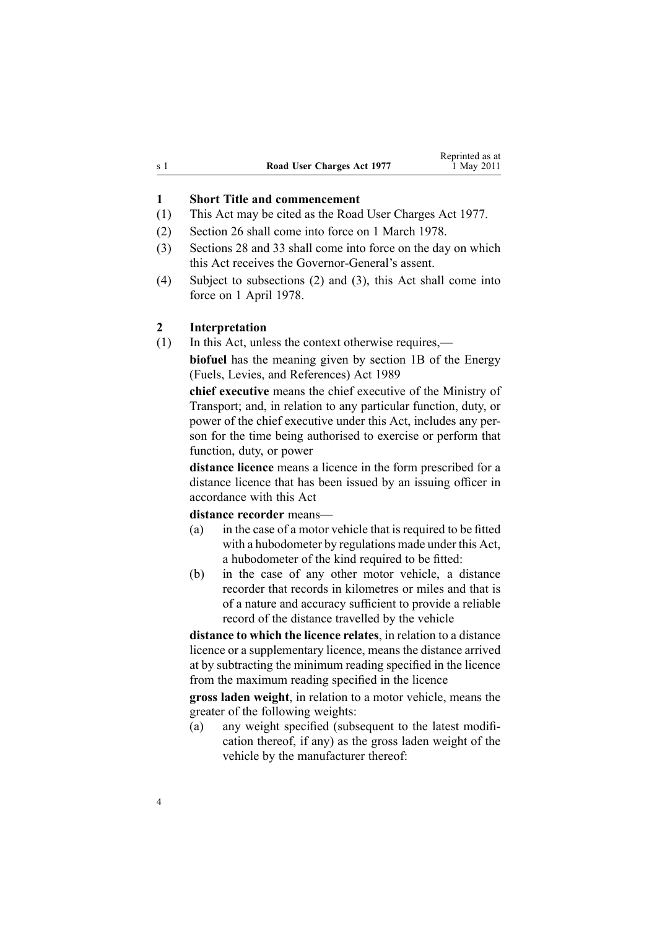<span id="page-3-0"></span>

|     |                            | Reprinted as at |
|-----|----------------------------|-----------------|
| s 1 | Road User Charges Act 1977 | 1 May 2011      |

## **1 Short Title and commencement**

- (1) This Act may be cited as the Road User Charges Act 1977.
- (2) [Section](#page-44-0) 26 shall come into force on 1 March 1978.
- (3) [Sections](#page-44-0) 28 and [33](#page-45-0) shall come into force on the day on which this Act receives the Governor-General's assent.
- (4) Subject to subsections (2) and (3), this Act shall come into force on 1 April 1978.

#### **2 Interpretation**

(1) In this Act, unless the context otherwise requires,—

**biofuel** has the meaning given by [section](http://www.legislation.govt.nz/pdflink.aspx?id=DLM1660100) 1B of the Energy (Fuels, Levies, and References) Act 1989

**chief executive** means the chief executive of the Ministry of Transport; and, in relation to any particular function, duty, or power of the chief executive under this Act, includes any person for the time being authorised to exercise or perform that function, duty, or power

**distance licence** means <sup>a</sup> licence in the form prescribed for <sup>a</sup> distance licence that has been issued by an issuing officer in accordance with this Act

#### **distance recorder** means—

- (a) in the case of <sup>a</sup> motor vehicle that is required to be fitted with <sup>a</sup> hubodometer by regulations made under this Act, <sup>a</sup> hubodometer of the kind required to be fitted:
- (b) in the case of any other motor vehicle, <sup>a</sup> distance recorder that records in kilometres or miles and that is of <sup>a</sup> nature and accuracy sufficient to provide <sup>a</sup> reliable record of the distance travelled by the vehicle

**distance to which the licence relates**, in relation to <sup>a</sup> distance licence or <sup>a</sup> supplementary licence, means the distance arrived at by subtracting the minimum reading specified in the licence from the maximum reading specified in the licence

**gross laden weight**, in relation to <sup>a</sup> motor vehicle, means the greater of the following weights:

(a) any weight specified (subsequent to the latest modification thereof, if any) as the gross laden weight of the vehicle by the manufacturer thereof: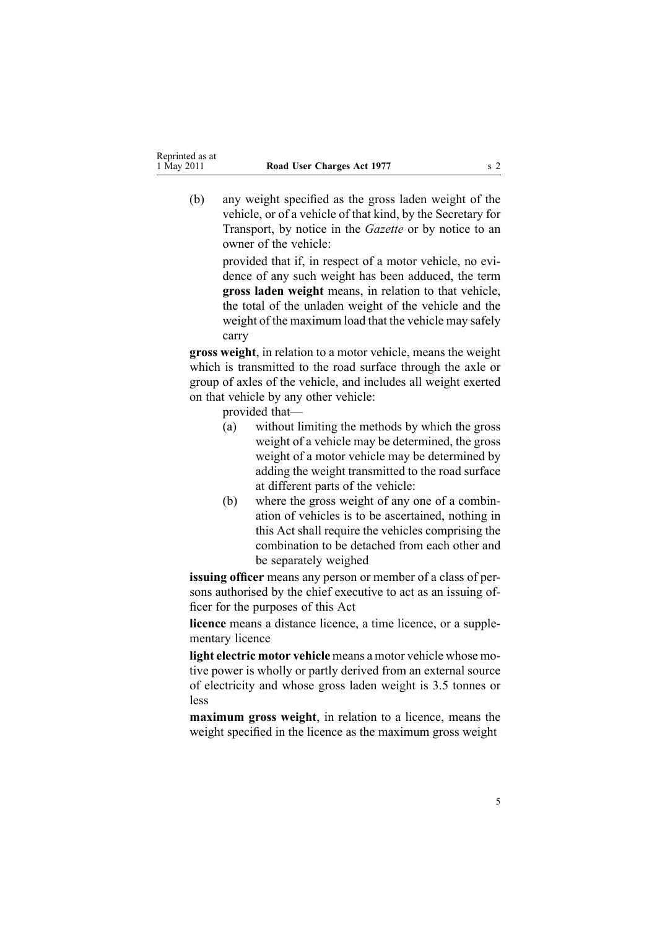(b) any weight specified as the gross laden weight of the vehicle, or of <sup>a</sup> vehicle of that kind, by the Secretary for Transport, by notice in the *Gazette* or by notice to an owner of the vehicle:

> provided that if, in respec<sup>t</sup> of <sup>a</sup> motor vehicle, no evidence of any such weight has been adduced, the term **gross laden weight** means, in relation to that vehicle, the total of the unladen weight of the vehicle and the weight of the maximum load that the vehicle may safely carry

**gross weight**, in relation to <sup>a</sup> motor vehicle, means the weight which is transmitted to the road surface through the axle or group of axles of the vehicle, and includes all weight exerted on that vehicle by any other vehicle:

provided that—

- (a) without limiting the methods by which the gross weight of <sup>a</sup> vehicle may be determined, the gross weight of <sup>a</sup> motor vehicle may be determined by adding the weight transmitted to the road surface at different parts of the vehicle:
- (b) where the gross weight of any one of <sup>a</sup> combination of vehicles is to be ascertained, nothing in this Act shall require the vehicles comprising the combination to be detached from each other and be separately weighed

**issuing officer** means any person or member of <sup>a</sup> class of persons authorised by the chief executive to act as an issuing officer for the purposes of this Act

**licence** means <sup>a</sup> distance licence, <sup>a</sup> time licence, or <sup>a</sup> supplementary licence

**light electric motor vehicle** means <sup>a</sup> motor vehicle whose motive power is wholly or partly derived from an external source of electricity and whose gross laden weight is 3.5 tonnes or less

**maximum gross weight**, in relation to <sup>a</sup> licence, means the weight specified in the licence as the maximum gross weight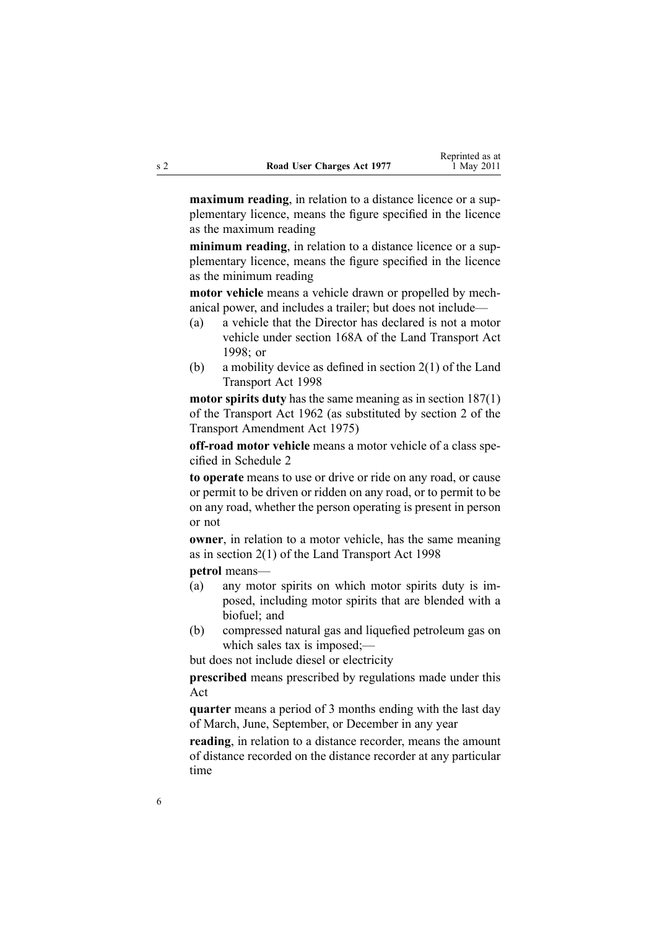**maximum reading**, in relation to <sup>a</sup> distance licence or <sup>a</sup> supplementary licence, means the figure specified in the licence as the maximum reading

**minimum reading**, in relation to <sup>a</sup> distance licence or <sup>a</sup> supplementary licence, means the figure specified in the licence as the minimum reading

**motor vehicle** means <sup>a</sup> vehicle drawn or propelled by mechanical power, and includes <sup>a</sup> trailer; but does not include—

- (a) <sup>a</sup> vehicle that the Director has declared is not <sup>a</sup> motor vehicle under [section](http://www.legislation.govt.nz/pdflink.aspx?id=DLM435415) 168A of the Land Transport Act 1998; or
- (b) <sup>a</sup> mobility device as defined in [section](http://www.legislation.govt.nz/pdflink.aspx?id=DLM433619) 2(1) of the Land Transport Act 1998

**motor spirits duty** has the same meaning as in section [187\(1\)](http://www.legislation.govt.nz/pdflink.aspx?id=DLM344812) of the Transport Act 1962 (as substituted by section 2 of the Transport Amendment Act 1975)

**off-road motor vehicle** means <sup>a</sup> motor vehicle of <sup>a</sup> class specified in [Schedule](#page-49-0) 2

**to operate** means to use or drive or ride on any road, or cause or permit to be driven or ridden on any road, or to permit to be on any road, whether the person operating is presen<sup>t</sup> in person or not

**owner**, in relation to <sup>a</sup> motor vehicle, has the same meaning as in [section](http://www.legislation.govt.nz/pdflink.aspx?id=DLM433619) 2(1) of the Land Transport Act 1998

**petrol** means—

- (a) any motor spirits on which motor spirits duty is imposed, including motor spirits that are blended with <sup>a</sup> biofuel; and
- (b) compressed natural gas and liquefied petroleum gas on which sales tax is imposed;—

but does not include diesel or electricity

**prescribed** means prescribed by regulations made under this Act

**quarter** means <sup>a</sup> period of 3 months ending with the last day of March, June, September, or December in any year

**reading**, in relation to <sup>a</sup> distance recorder, means the amount of distance recorded on the distance recorder at any particular time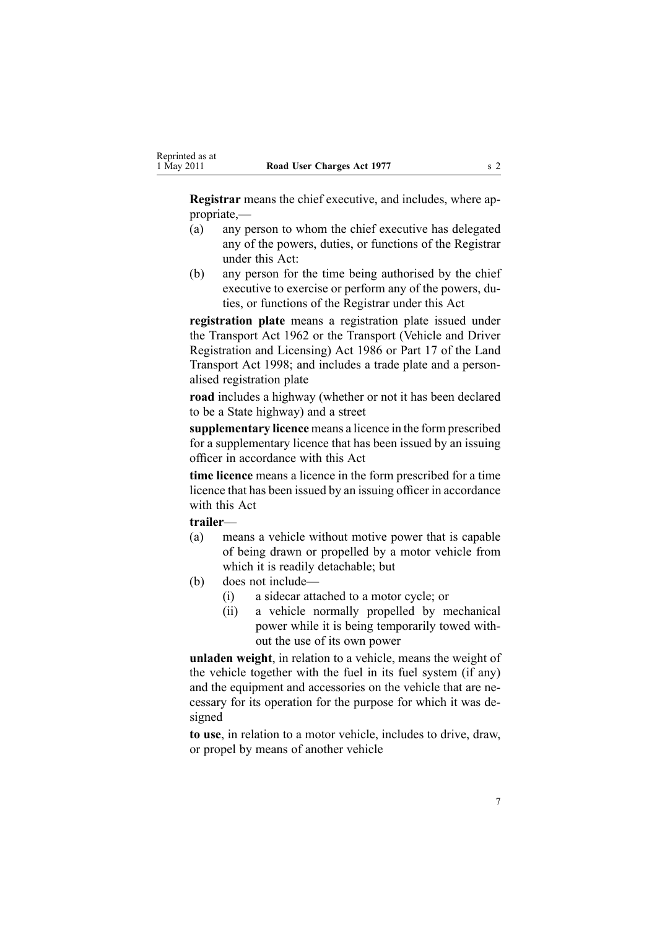**Registrar** means the chief executive, and includes, where appropriate,—

- (a) any person to whom the chief executive has delegated any of the powers, duties, or functions of the Registrar under this Act:
- (b) any person for the time being authorised by the chief executive to exercise or perform any of the powers, duties, or functions of the Registrar under this Act

**registration plate** means a registration plate issued under the [Transport](http://www.legislation.govt.nz/pdflink.aspx?id=DLM341189) Act 1962 or the [Transport](http://www.legislation.govt.nz/pdflink.aspx?id=DLM90414) (Vehicle and Driver [Registration](http://www.legislation.govt.nz/pdflink.aspx?id=DLM90414) and Licensing) Act 1986 or [Part](http://www.legislation.govt.nz/pdflink.aspx?id=DLM2214226) 17 of the Land Transport Act 1998; and includes <sup>a</sup> trade plate and <sup>a</sup> personalised registration plate

**road** includes <sup>a</sup> highway (whether or not it has been declared to be <sup>a</sup> State highway) and <sup>a</sup> street

**supplementary licence** means <sup>a</sup> licence in the form prescribed for <sup>a</sup> supplementary licence that has been issued by an issuing officer in accordance with this Act

**time licence** means <sup>a</sup> licence in the form prescribed for <sup>a</sup> time licence that has been issued by an issuing officer in accordance with this Act

#### **trailer**—

- (a) means <sup>a</sup> vehicle without motive power that is capable of being drawn or propelled by <sup>a</sup> motor vehicle from which it is readily detachable; but
- (b) does not include—
	- (i) <sup>a</sup> sidecar attached to <sup>a</sup> motor cycle; or
	- (ii) <sup>a</sup> vehicle normally propelled by mechanical power while it is being temporarily towed without the use of its own power

**unladen weight**, in relation to <sup>a</sup> vehicle, means the weight of the vehicle together with the fuel in its fuel system (if any) and the equipment and accessories on the vehicle that are necessary for its operation for the purpose for which it was designed

**to use**, in relation to <sup>a</sup> motor vehicle, includes to drive, draw, or propel by means of another vehicle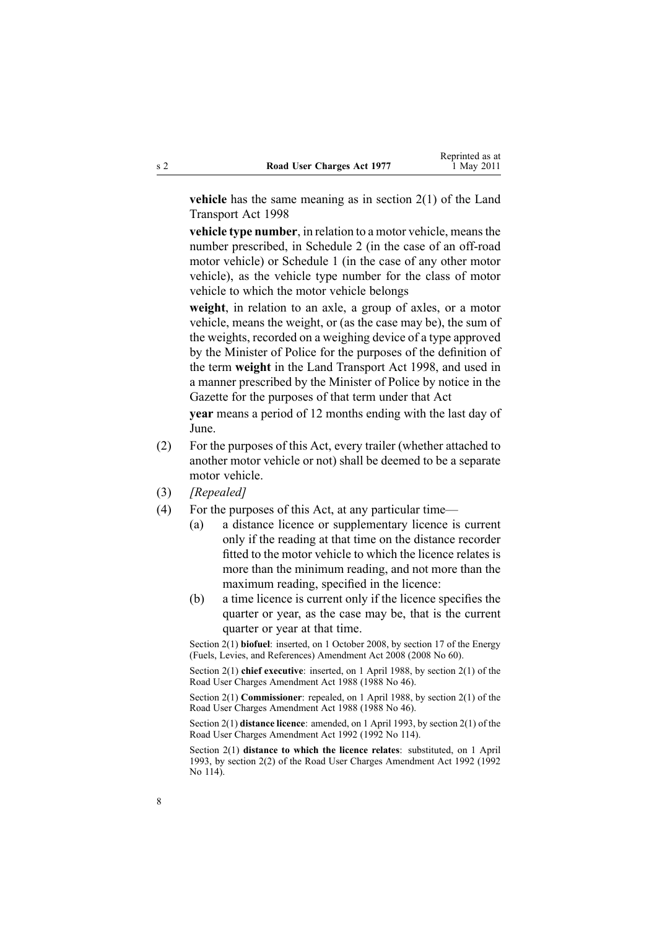**vehicle** has the same meaning as in [section](http://www.legislation.govt.nz/pdflink.aspx?id=DLM433619) 2(1) of the Land Transport Act 1998

**vehicle type number**, in relation to <sup>a</sup> motor vehicle, meansthe number prescribed, in [Schedule](#page-49-0) 2 (in the case of an off-road motor vehicle) or [Schedule](#page-47-0) 1 (in the case of any other motor vehicle), as the vehicle type number for the class of motor vehicle to which the motor vehicle belongs

**weight**, in relation to an axle, <sup>a</sup> group of axles, or <sup>a</sup> motor vehicle, means the weight, or (as the case may be), the sum of the weights, recorded on <sup>a</sup> weighing device of <sup>a</sup> type approved by the Minister of Police for the purposes of the definition of the term **weight** in the Land [Transport](http://www.legislation.govt.nz/pdflink.aspx?id=DLM433612) Act 1998, and used in <sup>a</sup> manner prescribed by the Minister of Police by notice in the Gazette for the purposes of that term under that Act

**year** means <sup>a</sup> period of 12 months ending with the last day of June.

- (2) For the purposes of this Act, every trailer (whether attached to another motor vehicle or not) shall be deemed to be <sup>a</sup> separate motor vehicle.
- (3) *[Repealed]*
- (4) For the purposes of this Act, at any particular time—
	- (a) <sup>a</sup> distance licence or supplementary licence is current only if the reading at that time on the distance recorder fitted to the motor vehicle to which the licence relates is more than the minimum reading, and not more than the maximum reading, specified in the licence:
	- (b) <sup>a</sup> time licence is current only if the licence specifies the quarter or year, as the case may be, that is the current quarter or year at that time.

Section 2(1) **biofuel**: inserted, on 1 October 2008, by [section](http://www.legislation.govt.nz/pdflink.aspx?id=DLM1382846) 17 of the Energy (Fuels, Levies, and References) Amendment Act 2008 (2008 No 60).

Section 2(1) **chief executive**: inserted, on 1 April 1988, by section 2(1) of the Road User Charges Amendment Act 1988 (1988 No 46).

Section 2(1) **Commissioner**: repealed, on 1 April 1988, by section 2(1) of the Road User Charges Amendment Act 1988 (1988 No 46).

Section 2(1) **distance licence**: amended, on 1 April 1993, by section 2(1) of the Road User Charges Amendment Act 1992 (1992 No 114).

Section 2(1) **distance to which the licence relates**: substituted, on 1 April 1993, by section 2(2) of the Road User Charges Amendment Act 1992 (1992 No 114).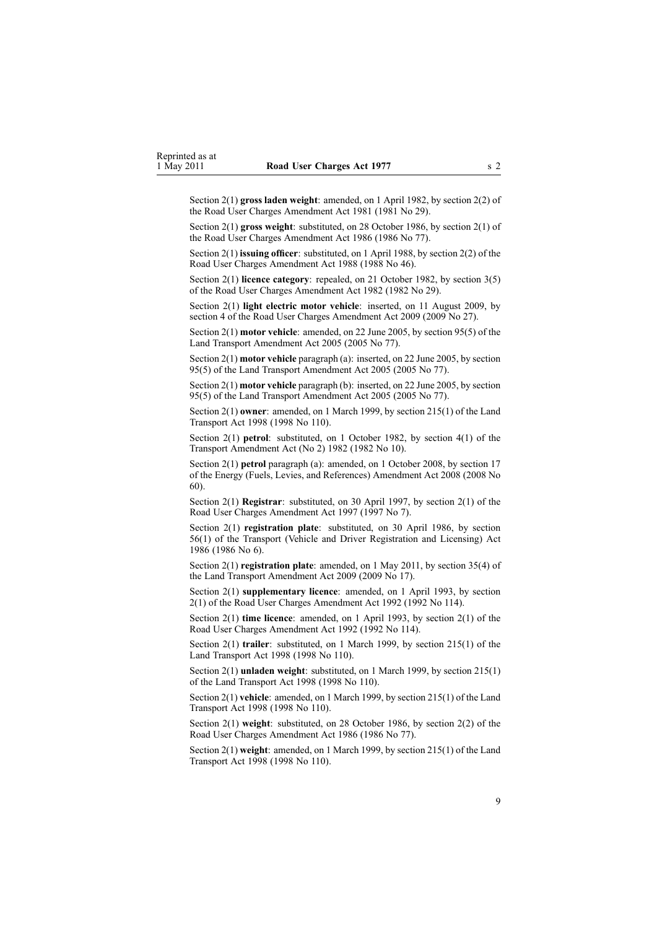Section 2(1) **gross laden weight**: amended, on 1 April 1982, by [section](http://www.legislation.govt.nz/pdflink.aspx?id=DLM44887) 2(2) of the Road User Charges Amendment Act 1981 (1981 No 29).

Section 2(1) **gross weight**: substituted, on 28 October 1986, by section 2(1) of the Road User Charges Amendment Act 1986 (1986 No 77).

Section 2(1) **issuing officer**: substituted, on 1 April 1988, by section 2(2) of the Road User Charges Amendment Act 1988 (1988 No 46).

Section 2(1) **licence category**: repealed, on 21 October 1982, by [section](http://www.legislation.govt.nz/pdflink.aspx?id=DLM59703) 3(5) of the Road User Charges Amendment Act 1982 (1982 No 29).

Section 2(1) **light electric motor vehicle**: inserted, on 11 August 2009, by [section](http://www.legislation.govt.nz/pdflink.aspx?id=DLM2172209) 4 of the Road User Charges Amendment Act 2009 (2009 No 27).

Section 2(1) **motor vehicle**: amended, on 22 June 2005, by [section](http://www.legislation.govt.nz/pdflink.aspx?id=DLM353501) 95(5) of the Land Transport Amendment Act 2005 (2005 No 77).

Section 2(1) **motor vehicle** paragraph (a): inserted, on 22 June 2005, by [section](http://www.legislation.govt.nz/pdflink.aspx?id=DLM353501) [95\(5\)](http://www.legislation.govt.nz/pdflink.aspx?id=DLM353501) of the Land Transport Amendment Act 2005 (2005 No 77).

Section 2(1) **motor vehicle** paragraph (b): inserted, on 22 June 2005, by [section](http://www.legislation.govt.nz/pdflink.aspx?id=DLM353501) [95\(5\)](http://www.legislation.govt.nz/pdflink.aspx?id=DLM353501) of the Land Transport Amendment Act 2005 (2005 No 77).

Section 2(1) **owner**: amended, on 1 March 1999, by section [215\(1\)](http://www.legislation.govt.nz/pdflink.aspx?id=DLM435656) of the Land Transport Act 1998 (1998 No 110).

Section 2(1) **petrol**: substituted, on 1 October 1982, by section 4(1) of the Transport Amendment Act (No 2) 1982 (1982 No 10).

Section 2(1) **petrol** paragraph (a): amended, on 1 October 2008, by [section](http://www.legislation.govt.nz/pdflink.aspx?id=DLM1382846) 17 of the Energy (Fuels, Levies, and References) Amendment Act 2008 (2008 No 60).

Section 2(1) **Registrar**: substituted, on 30 April 1997, by [section](http://www.legislation.govt.nz/pdflink.aspx?id=DLM407964) 2(1) of the Road User Charges Amendment Act 1997 (1997 No 7).

Section 2(1) **registration plate**: substituted, on 30 April 1986, by [section](http://www.legislation.govt.nz/pdflink.aspx?id=DLM92149) [56\(1\)](http://www.legislation.govt.nz/pdflink.aspx?id=DLM92149) of the Transport (Vehicle and Driver Registration and Licensing) Act 1986 (1986 No 6).

Section 2(1) **registration plate**: amended, on 1 May 2011, by [section](http://www.legislation.govt.nz/pdflink.aspx?id=DLM2015063) 35(4) of the Land Transport Amendment Act 2009 (2009 No 17).

Section 2(1) **supplementary licence**: amended, on 1 April 1993, by section 2(1) of the Road User Charges Amendment Act 1992 (1992 No 114).

Section 2(1) **time licence**: amended, on 1 April 1993, by section 2(1) of the Road User Charges Amendment Act 1992 (1992 No 114).

Section 2(1) **trailer**: substituted, on 1 March 1999, by section [215\(1\)](http://www.legislation.govt.nz/pdflink.aspx?id=DLM435656) of the Land Transport Act 1998 (1998 No 110).

Section 2(1) **unladen weight**: substituted, on 1 March 1999, by section [215\(1\)](http://www.legislation.govt.nz/pdflink.aspx?id=DLM435656) of the Land Transport Act 1998 (1998 No 110).

Section 2(1) **vehicle**: amended, on 1 March 1999, by section [215\(1\)](http://www.legislation.govt.nz/pdflink.aspx?id=DLM435656) of the Land Transport Act 1998 (1998 No 110).

Section 2(1) **weight**: substituted, on 28 October 1986, by section 2(2) of the Road User Charges Amendment Act 1986 (1986 No 77).

Section 2(1) **weight**: amended, on 1 March 1999, by section [215\(1\)](http://www.legislation.govt.nz/pdflink.aspx?id=DLM435656) of the Land Transport Act 1998 (1998 No 110).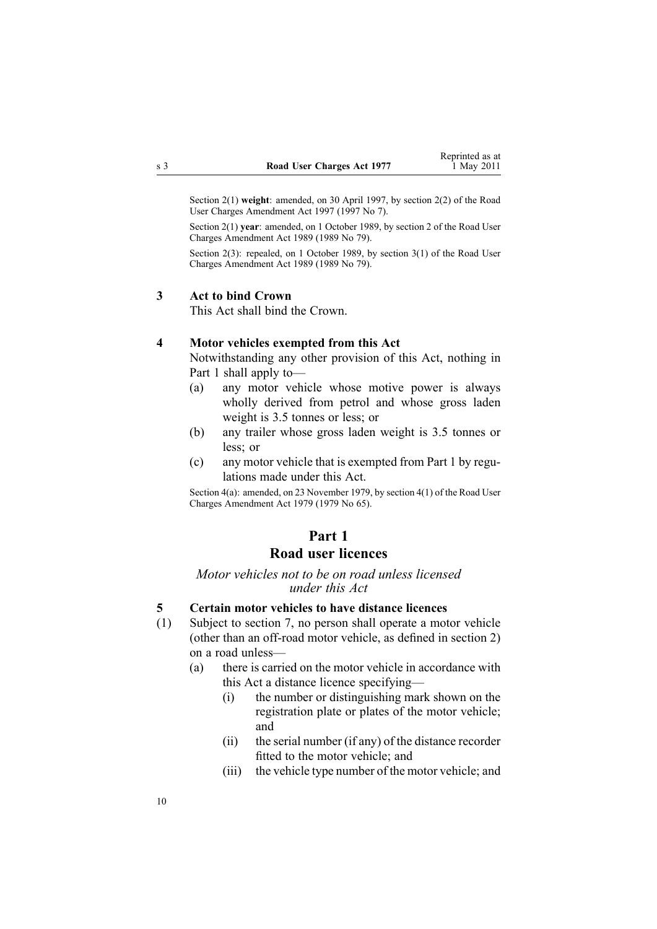<span id="page-9-0"></span>Section 2(1) **weight**: amended, on 30 April 1997, by [section](http://www.legislation.govt.nz/pdflink.aspx?id=DLM407964) 2(2) of the Road User Charges Amendment Act 1997 (1997 No 7).

Section 2(1) **year**: amended, on 1 October 1989, by section 2 of the Road User Charges Amendment Act 1989 (1989 No 79).

Section 2(3): repealed, on 1 October 1989, by section 3(1) of the Road User Charges Amendment Act 1989 (1989 No 79).

#### **3 Act to bind Crown**

This Act shall bind the Crown.

### **4 Motor vehicles exempted from this Act**

Notwithstanding any other provision of this Act, nothing in Part 1 shall apply to—

- (a) any motor vehicle whose motive power is always wholly derived from petrol and whose gross laden weight is 3.5 tonnes or less; or
- (b) any trailer whose gross laden weight is 3.5 tonnes or less; or
- (c) any motor vehicle that is exempted from Part 1 by regulations made under this Act.

Section 4(a): amended, on 23 November 1979, by [section](http://www.legislation.govt.nz/pdflink.aspx?id=DLM34691) 4(1) of the Road User Charges Amendment Act 1979 (1979 No 65).

# **Part 1**

# **Road user licences**

*Motor vehicles not to be on road unless licensed under this Act*

#### **5 Certain motor vehicles to have distance licences**

- (1) Subject to [section](#page-11-0) 7, no person shall operate <sup>a</sup> motor vehicle (other than an off-road motor vehicle, as defined in [section](#page-3-0) 2) on <sup>a</sup> road unless—
	- (a) there is carried on the motor vehicle in accordance with this Act <sup>a</sup> distance licence specifying—
		- (i) the number or distinguishing mark shown on the registration plate or plates of the motor vehicle; and
		- (ii) the serial number (if any) of the distance recorder fitted to the motor vehicle; and
		- (iii) the vehicle type number of the motor vehicle; and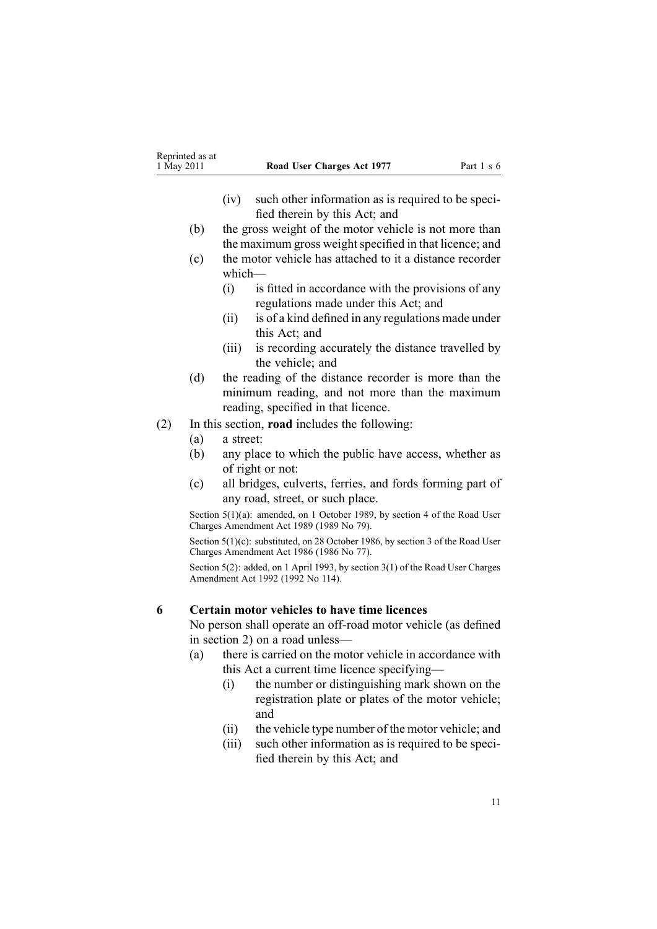- (iv) such other information as is required to be specified therein by this Act; and
- <span id="page-10-0"></span>(b) the gross weight of the motor vehicle is not more than the maximum gross weight specified in that licence; and
- (c) the motor vehicle has attached to it <sup>a</sup> distance recorder which—
	- (i) is fitted in accordance with the provisions of any regulations made under this Act; and
	- (ii) is of <sup>a</sup> kind defined in any regulations made under this Act; and
	- (iii) is recording accurately the distance travelled by the vehicle; and
- (d) the reading of the distance recorder is more than the minimum reading, and not more than the maximum reading, specified in that licence.
- (2) In this section, **road** includes the following:
	- (a) <sup>a</sup> street:
	- (b) any place to which the public have access, whether as of right or not:
	- (c) all bridges, culverts, ferries, and fords forming par<sup>t</sup> of any road, street, or such place.

Section 5(1)(a): amended, on 1 October 1989, by section 4 of the Road User Charges Amendment Act 1989 (1989 No 79).

Section 5(1)(c): substituted, on 28 October 1986, by section 3 of the Road User Charges Amendment Act 1986 (1986 No 77).

Section 5(2): added, on 1 April 1993, by section 3(1) of the Road User Charges Amendment Act 1992 (1992 No 114).

#### **6 Certain motor vehicles to have time licences**

No person shall operate an off-road motor vehicle (as defined in [section](#page-3-0) 2) on <sup>a</sup> road unless—

- (a) there is carried on the motor vehicle in accordance with this Act <sup>a</sup> current time licence specifying—
	- (i) the number or distinguishing mark shown on the registration plate or plates of the motor vehicle; and
	- (ii) the vehicle type number of the motor vehicle; and
	- (iii) such other information as is required to be specified therein by this Act; and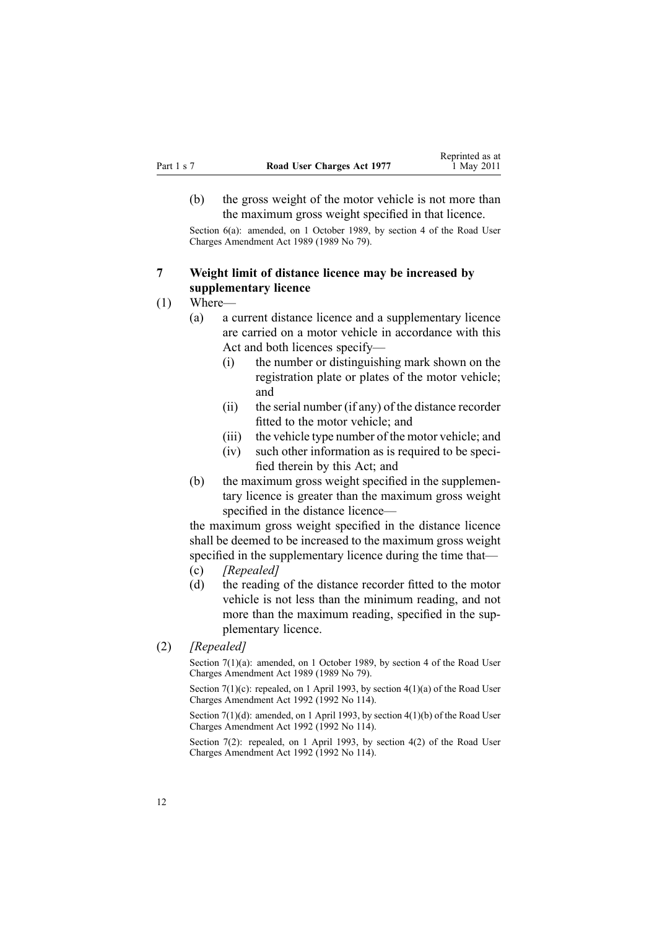<span id="page-11-0"></span>(b) the gross weight of the motor vehicle is not more than the maximum gross weight specified in that licence.

Section 6(a): amended, on 1 October 1989, by section 4 of the Road User Charges Amendment Act 1989 (1989 No 79).

## **7 Weight limit of distance licence may be increased by supplementary licence**

#### (1) Where—

- (a) <sup>a</sup> current distance licence and <sup>a</sup> supplementary licence are carried on <sup>a</sup> motor vehicle in accordance with this Act and both licences specify—
	- (i) the number or distinguishing mark shown on the registration plate or plates of the motor vehicle; and
	- (ii) the serial number (if any) of the distance recorder fitted to the motor vehicle; and
	- (iii) the vehicle type number of the motor vehicle; and
	- (iv) such other information as is required to be specified therein by this Act; and
- (b) the maximum gross weight specified in the supplementary licence is greater than the maximum gross weight specified in the distance licence—

the maximum gross weight specified in the distance licence shall be deemed to be increased to the maximum gross weight specified in the supplementary licence during the time that-

- (c) *[Repealed]*
- (d) the reading of the distance recorder fitted to the motor vehicle is not less than the minimum reading, and not more than the maximum reading, specified in the supplementary licence.
- (2) *[Repealed]*

Section 7(1)(a): amended, on 1 October 1989, by section 4 of the Road User Charges Amendment Act 1989 (1989 No 79).

Section  $7(1)(c)$ : repealed, on 1 April 1993, by section  $4(1)(a)$  of the Road User Charges Amendment Act 1992 (1992 No 114).

Section 7(1)(d): amended, on 1 April 1993, by section 4(1)(b) of the Road User Charges Amendment Act 1992 (1992 No 114).

Section 7(2): repealed, on 1 April 1993, by section 4(2) of the Road User Charges Amendment Act 1992 (1992 No 114).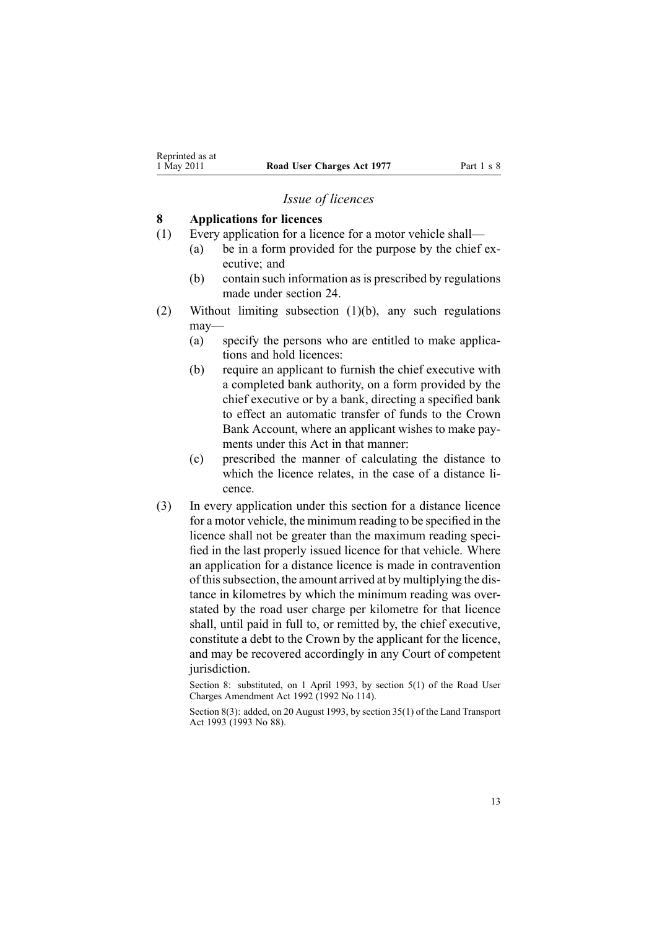#### *Issue of licences*

#### <span id="page-12-0"></span>**8 Applications for licences**

- (1) Every application for <sup>a</sup> licence for <sup>a</sup> motor vehicle shall—
	- (a) be in <sup>a</sup> form provided for the purpose by the chief executive; and
	- (b) contain such information as is prescribed by regulations made under [section](#page-42-0) 24.
- (2) Without limiting subsection (1)(b), any such regulations may-
	- (a) specify the persons who are entitled to make applications and hold licences:
	- (b) require an applicant to furnish the chief executive with <sup>a</sup> completed bank authority, on <sup>a</sup> form provided by the chief executive or by <sup>a</sup> bank, directing <sup>a</sup> specified bank to effect an automatic transfer of funds to the Crown Bank Account, where an applicant wishes to make payments under this Act in that manner:
	- (c) prescribed the manner of calculating the distance to which the licence relates, in the case of <sup>a</sup> distance licence.
- (3) In every application under this section for <sup>a</sup> distance licence for <sup>a</sup> motor vehicle, the minimum reading to be specified in the licence shall not be greater than the maximum reading specified in the last properly issued licence for that vehicle. Where an application for <sup>a</sup> distance licence is made in contravention of thissubsection, the amount arrived at by multiplying the distance in kilometres by which the minimum reading was overstated by the road user charge per kilometre for that licence shall, until paid in full to, or remitted by, the chief executive, constitute <sup>a</sup> debt to the Crown by the applicant for the licence, and may be recovered accordingly in any Court of competent jurisdiction.

Section 8: substituted, on 1 April 1993, by section 5(1) of the Road User Charges Amendment Act 1992 (1992 No 114).

Section 8(3): added, on 20 August 1993, by section 35(1) of the Land Transport Act 1993 (1993 No 88).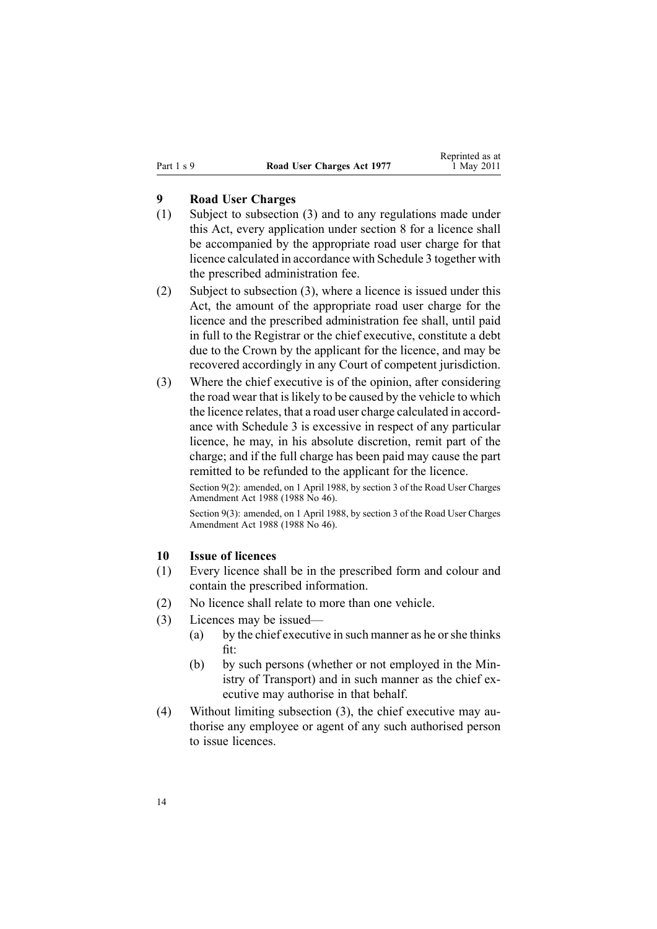## <span id="page-13-0"></span>**9 Road User Charges**

- (1) Subject to subsection (3) and to any regulations made under this Act, every application under [section](#page-12-0) 8 for <sup>a</sup> licence shall be accompanied by the appropriate road user charge for that licence calculated in accordance with [Schedule](#page-50-0) 3 together with the prescribed administration fee.
- (2) Subject to subsection (3), where <sup>a</sup> licence is issued under this Act, the amount of the appropriate road user charge for the licence and the prescribed administration fee shall, until paid in full to the Registrar or the chief executive, constitute <sup>a</sup> debt due to the Crown by the applicant for the licence, and may be recovered accordingly in any Court of competent jurisdiction.
- (3) Where the chief executive is of the opinion, after considering the road wear that is likely to be caused by the vehicle to which the licence relates, that <sup>a</sup> road user charge calculated in accordance with [Schedule](#page-50-0) 3 is excessive in respec<sup>t</sup> of any particular licence, he may, in his absolute discretion, remit par<sup>t</sup> of the charge; and if the full charge has been paid may cause the par<sup>t</sup> remitted to be refunded to the applicant for the licence.

Section 9(2): amended, on 1 April 1988, by section 3 of the Road User Charges Amendment Act 1988 (1988 No 46).

Section 9(3): amended, on 1 April 1988, by section 3 of the Road User Charges Amendment Act 1988 (1988 No 46).

#### **10 Issue of licences**

- (1) Every licence shall be in the prescribed form and colour and contain the prescribed information.
- (2) No licence shall relate to more than one vehicle.
- (3) Licences may be issued—
	- (a) by the chief executive in such manner as he orshe thinks fit:
	- (b) by such persons (whether or not employed in the Ministry of Transport) and in such manner as the chief executive may authorise in that behalf.
- (4) Without limiting subsection (3), the chief executive may authorise any employee or agen<sup>t</sup> of any such authorised person to issue licences.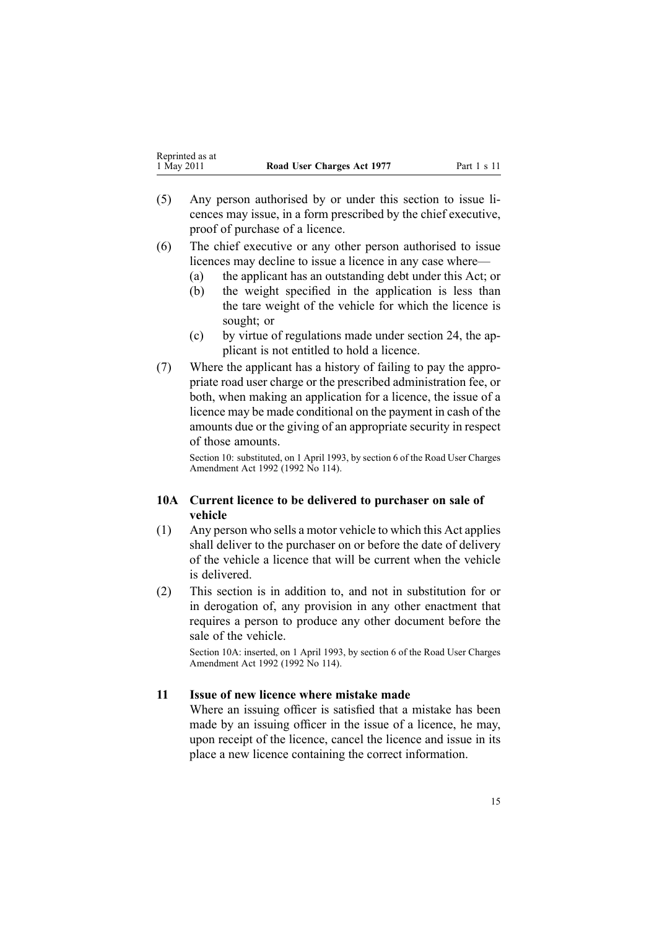- <span id="page-14-0"></span>(5) Any person authorised by or under this section to issue licences may issue, in <sup>a</sup> form prescribed by the chief executive, proof of purchase of <sup>a</sup> licence.
- (6) The chief executive or any other person authorised to issue licences may decline to issue <sup>a</sup> licence in any case where—
	- (a) the applicant has an outstanding debt under this Act; or
	- (b) the weight specified in the application is less than the tare weight of the vehicle for which the licence is sought; or
	- (c) by virtue of regulations made under [section](#page-42-0) 24, the applicant is not entitled to hold <sup>a</sup> licence.
- (7) Where the applicant has <sup>a</sup> history of failing to pay the appropriate road user charge or the prescribed administration fee, or both, when making an application for <sup>a</sup> licence, the issue of <sup>a</sup> licence may be made conditional on the paymen<sup>t</sup> in cash of the amounts due or the giving of an appropriate security in respec<sup>t</sup> of those amounts.

Section 10: substituted, on 1 April 1993, by section 6 of the Road User Charges Amendment Act 1992 (1992 No 114).

## **10A Current licence to be delivered to purchaser on sale of vehicle**

- (1) Any person who sells <sup>a</sup> motor vehicle to which this Act applies shall deliver to the purchaser on or before the date of delivery of the vehicle <sup>a</sup> licence that will be current when the vehicle is delivered.
- (2) This section is in addition to, and not in substitution for or in derogation of, any provision in any other enactment that requires <sup>a</sup> person to produce any other document before the sale of the vehicle.

Section 10A: inserted, on 1 April 1993, by section 6 of the Road User Charges Amendment Act 1992 (1992 No 114).

## **11 Issue of new licence where mistake made**

Where an issuing officer is satisfied that <sup>a</sup> mistake has been made by an issuing officer in the issue of <sup>a</sup> licence, he may, upon receipt of the licence, cancel the licence and issue in its place <sup>a</sup> new licence containing the correct information.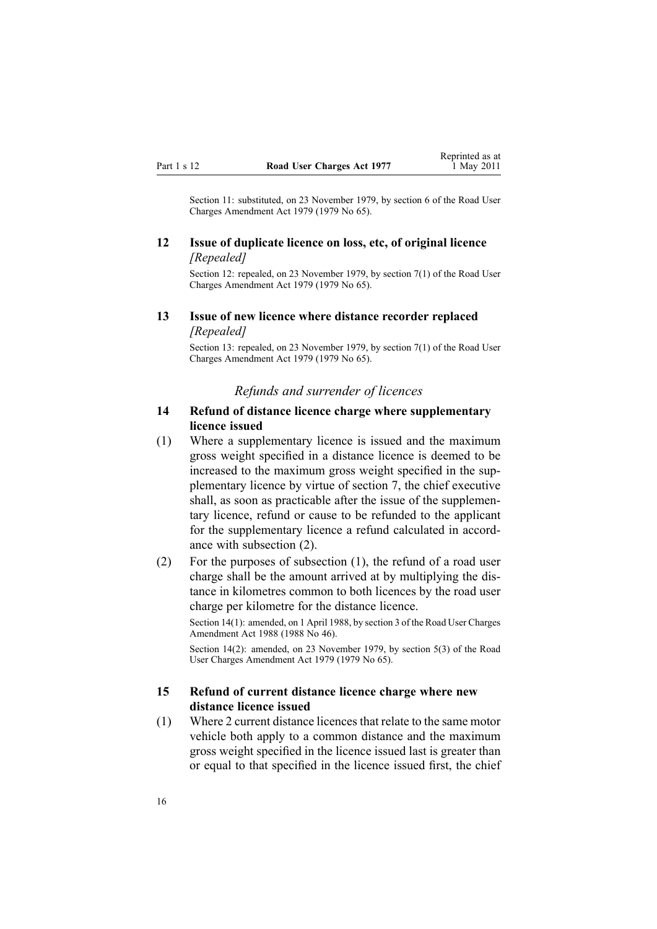<span id="page-15-0"></span>Section 11: substituted, on 23 November 1979, by [section](http://www.legislation.govt.nz/pdflink.aspx?id=DLM34696) 6 of the Road User Charges Amendment Act 1979 (1979 No 65).

### **12 Issue of duplicate licence on loss, etc, of original licence** *[Repealed]*

Section 12: repealed, on 23 November 1979, by [section](http://www.legislation.govt.nz/pdflink.aspx?id=DLM34697) 7(1) of the Road User Charges Amendment Act 1979 (1979 No 65).

### **13 Issue of new licence where distance recorder replaced** *[Repealed]*

Section 13: repealed, on 23 November 1979, by [section](http://www.legislation.govt.nz/pdflink.aspx?id=DLM34697) 7(1) of the Road User Charges Amendment Act 1979 (1979 No 65).

#### *Refunds and surrender of licences*

#### **14 Refund of distance licence charge where supplementary licence issued**

(1) Where <sup>a</sup> supplementary licence is issued and the maximum gross weight specified in <sup>a</sup> distance licence is deemed to be increased to the maximum gross weight specified in the supplementary licence by virtue of [section](#page-11-0) 7, the chief executive shall, as soon as practicable after the issue of the supplementary licence, refund or cause to be refunded to the applicant for the supplementary licence <sup>a</sup> refund calculated in accordance with subsection (2).

(2) For the purposes of subsection (1), the refund of <sup>a</sup> road user charge shall be the amount arrived at by multiplying the distance in kilometres common to both licences by the road user charge per kilometre for the distance licence.

Section 14(1): amended, on 1 April 1988, by section 3 of the Road User Charges Amendment Act 1988 (1988 No 46).

Section 14(2): amended, on 23 November 1979, by [section](http://www.legislation.govt.nz/pdflink.aspx?id=DLM34693) 5(3) of the Road User Charges Amendment Act 1979 (1979 No 65).

#### **15 Refund of current distance licence charge where new distance licence issued**

(1) Where 2 current distance licencesthat relate to the same motor vehicle both apply to <sup>a</sup> common distance and the maximum gross weight specified in the licence issued last is greater than or equal to that specified in the licence issued first, the chief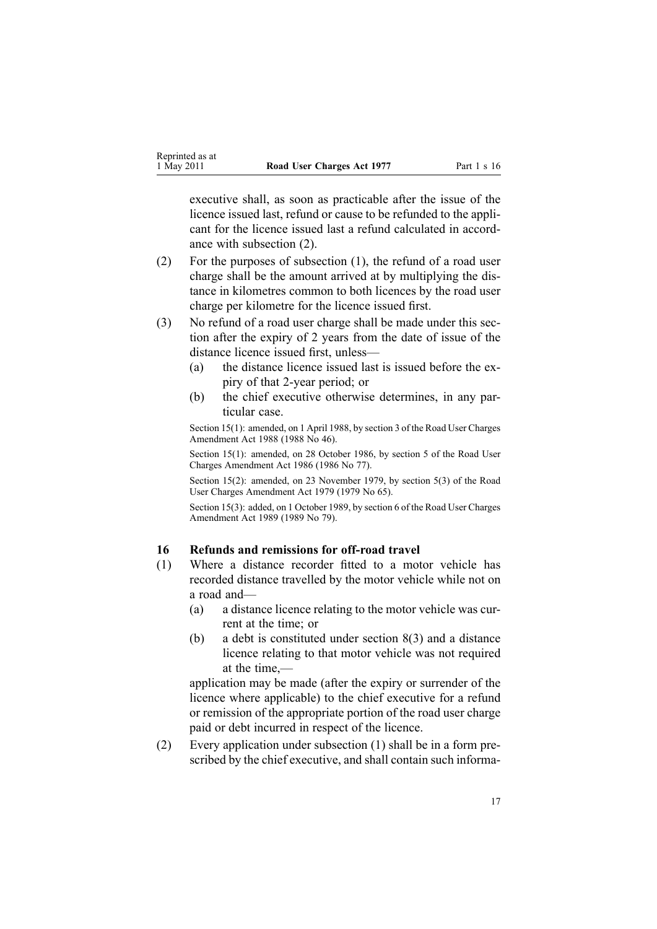<span id="page-16-0"></span>executive shall, as soon as practicable after the issue of the licence issued last, refund or cause to be refunded to the applicant for the licence issued last <sup>a</sup> refund calculated in accordance with subsection (2).

- (2) For the purposes of subsection (1), the refund of <sup>a</sup> road user charge shall be the amount arrived at by multiplying the distance in kilometres common to both licences by the road user charge per kilometre for the licence issued first.
- (3) No refund of <sup>a</sup> road user charge shall be made under this section after the expiry of 2 years from the date of issue of the distance licence issued first, unless—
	- (a) the distance licence issued last is issued before the expiry of that 2-year period; or
	- (b) the chief executive otherwise determines, in any particular case.

Section 15(1): amended, on 1 April 1988, by section 3 of the Road User Charges Amendment Act 1988 (1988 No 46).

Section 15(1): amended, on 28 October 1986, by section 5 of the Road User Charges Amendment Act 1986 (1986 No 77).

Section 15(2): amended, on 23 November 1979, by [section](http://www.legislation.govt.nz/pdflink.aspx?id=DLM34693) 5(3) of the Road User Charges Amendment Act 1979 (1979 No 65).

Section 15(3): added, on 1 October 1989, by section 6 of the Road User Charges Amendment Act 1989 (1989 No 79).

#### **16 Refunds and remissions for off-road travel**

- (1) Where <sup>a</sup> distance recorder fitted to <sup>a</sup> motor vehicle has recorded distance travelled by the motor vehicle while not on <sup>a</sup> road and—
	- (a) <sup>a</sup> distance licence relating to the motor vehicle was current at the time; or
	- (b) <sup>a</sup> debt is constituted under [section](#page-12-0) 8(3) and <sup>a</sup> distance licence relating to that motor vehicle was not required at the time,—

application may be made (after the expiry or surrender of the licence where applicable) to the chief executive for <sup>a</sup> refund or remission of the appropriate portion of the road user charge paid or debt incurred in respec<sup>t</sup> of the licence.

(2) Every application under subsection (1) shall be in <sup>a</sup> form prescribed by the chief executive, and shall contain such informa-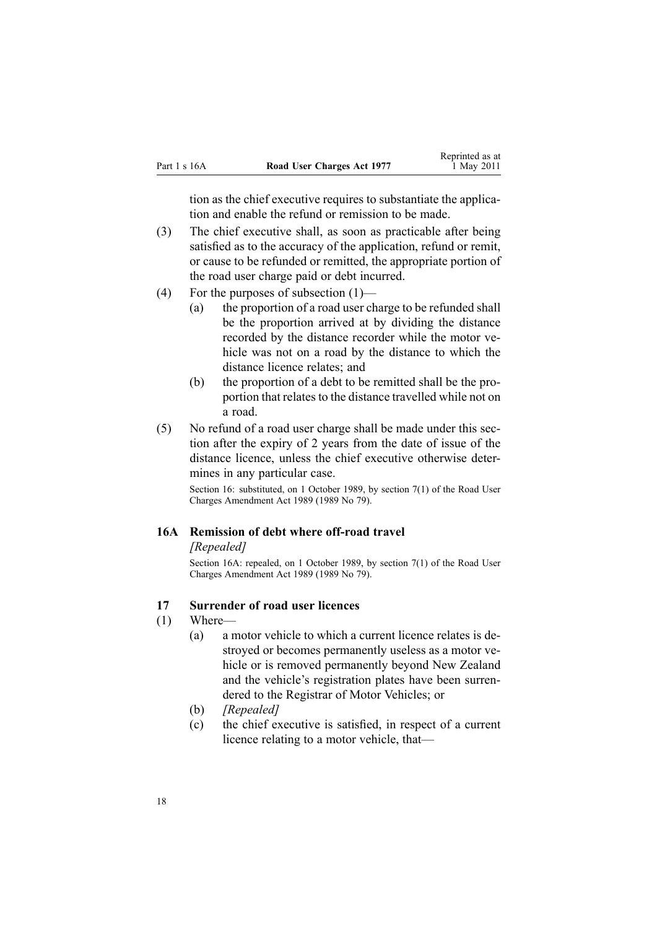<span id="page-17-0"></span>

| Part 1 s 16A | Road User Charges Act 1977 | neprimed as a<br>1 May 2011 |
|--------------|----------------------------|-----------------------------|
|              |                            |                             |

tion as the chief executive requires to substantiate the application and enable the refund or remission to be made.

Reprinted as at

- (3) The chief executive shall, as soon as practicable after being satisfied as to the accuracy of the application, refund or remit, or cause to be refunded or remitted, the appropriate portion of the road user charge paid or debt incurred.
- (4) For the purposes of subsection (1)—
	- (a) the proportion of <sup>a</sup> road user charge to be refunded shall be the proportion arrived at by dividing the distance recorded by the distance recorder while the motor vehicle was not on <sup>a</sup> road by the distance to which the distance licence relates; and
	- (b) the proportion of <sup>a</sup> debt to be remitted shall be the proportion that relates to the distance travelled while not on <sup>a</sup> road.
- (5) No refund of <sup>a</sup> road user charge shall be made under this section after the expiry of 2 years from the date of issue of the distance licence, unless the chief executive otherwise determines in any particular case.

Section 16: substituted, on 1 October 1989, by section 7(1) of the Road User Charges Amendment Act 1989 (1989 No 79).

#### **16A Remission of debt where off-road travel**

#### *[Repealed]*

Section 16A: repealed, on 1 October 1989, by section 7(1) of the Road User Charges Amendment Act 1989 (1989 No 79).

## **17 Surrender of road user licences**

- (1) Where—
	- (a) <sup>a</sup> motor vehicle to which <sup>a</sup> current licence relates is destroyed or becomes permanently useless as <sup>a</sup> motor vehicle or is removed permanently beyond New Zealand and the vehicle's registration plates have been surrendered to the Registrar of Motor Vehicles; or
	- (b) *[Repealed]*
	- (c) the chief executive is satisfied, in respec<sup>t</sup> of <sup>a</sup> current licence relating to <sup>a</sup> motor vehicle, that—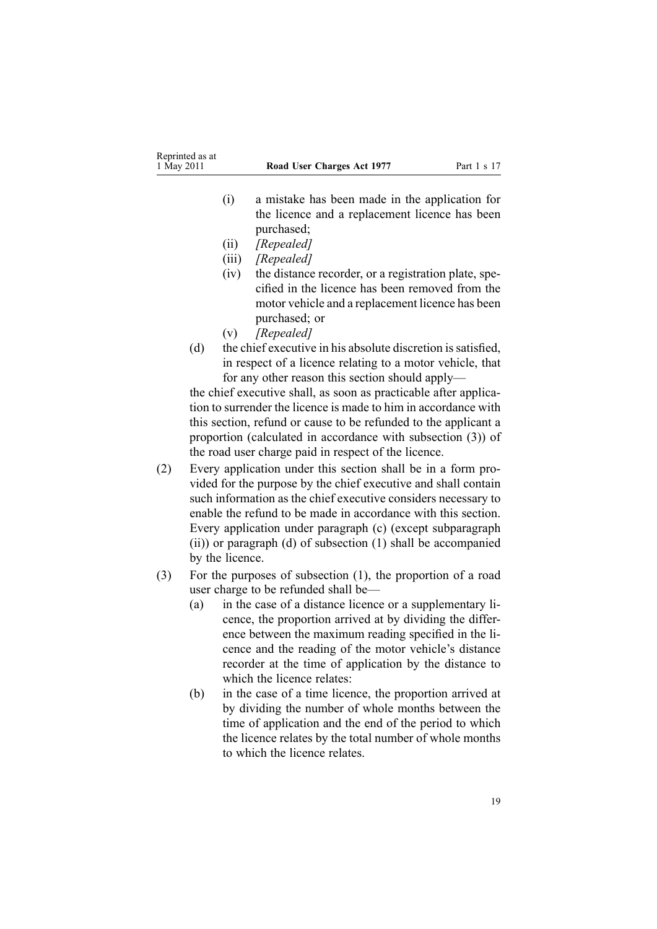- (i) <sup>a</sup> mistake has been made in the application for the licence and <sup>a</sup> replacement licence has been purchased;
- (ii) *[Repealed]*
- (iii) *[Repealed]*
- (iv) the distance recorder, or <sup>a</sup> registration plate, specified in the licence has been removed from the motor vehicle and <sup>a</sup> replacement licence has been purchased; or
- (v) *[Repealed]*
- (d) the chief executive in his absolute discretion is satisfied, in respec<sup>t</sup> of <sup>a</sup> licence relating to <sup>a</sup> motor vehicle, that for any other reason this section should apply—

the chief executive shall, as soon as practicable after application to surrender the licence is made to him in accordance with this section, refund or cause to be refunded to the applicant <sup>a</sup> proportion (calculated in accordance with subsection (3)) of the road user charge paid in respec<sup>t</sup> of the licence.

- (2) Every application under this section shall be in <sup>a</sup> form provided for the purpose by the chief executive and shall contain such information as the chief executive considers necessary to enable the refund to be made in accordance with this section. Every application under paragraph (c) (except subparagraph (ii)) or paragraph (d) of subsection (1) shall be accompanied by the licence.
- (3) For the purposes of subsection (1), the proportion of <sup>a</sup> road user charge to be refunded shall be—
	- (a) in the case of <sup>a</sup> distance licence or <sup>a</sup> supplementary licence, the proportion arrived at by dividing the difference between the maximum reading specified in the licence and the reading of the motor vehicle's distance recorder at the time of application by the distance to which the licence relates:
	- (b) in the case of <sup>a</sup> time licence, the proportion arrived at by dividing the number of whole months between the time of application and the end of the period to which the licence relates by the total number of whole months to which the licence relates.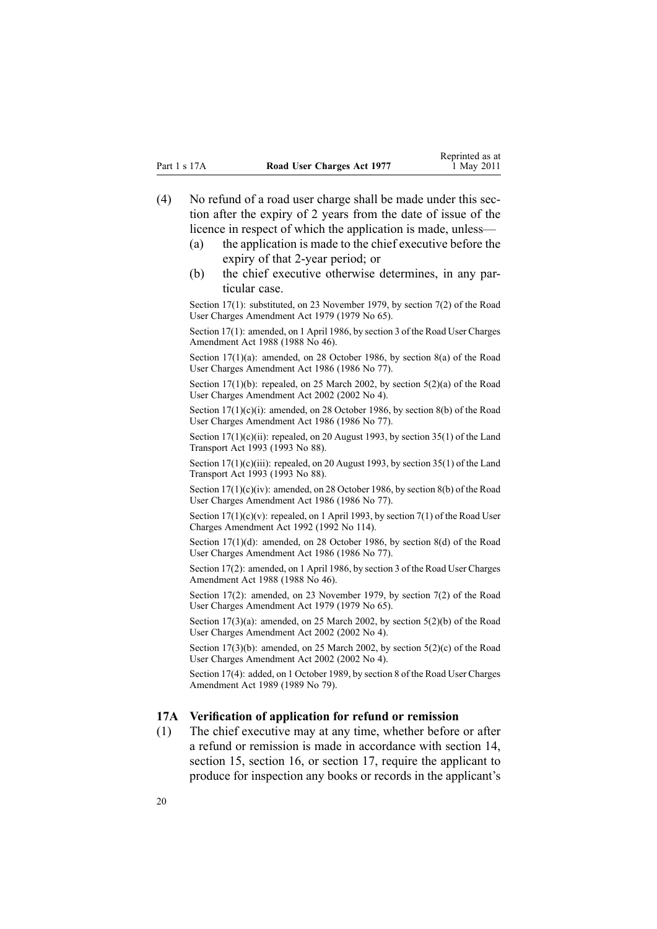- <span id="page-19-0"></span>(4) No refund of <sup>a</sup> road user charge shall be made under this section after the expiry of 2 years from the date of issue of the licence in respec<sup>t</sup> of which the application is made, unless—
	- (a) the application is made to the chief executive before the expiry of that 2-year period; or
	- (b) the chief executive otherwise determines, in any particular case.

Section 17(1): substituted, on 23 November 1979, by [section](http://www.legislation.govt.nz/pdflink.aspx?id=DLM34697) 7(2) of the Road User Charges Amendment Act 1979 (1979 No 65).

Section 17(1): amended, on 1 April 1986, by section 3 of the Road User Charges Amendment Act 1988 (1988 No 46).

Section 17(1)(a): amended, on 28 October 1986, by section 8(a) of the Road User Charges Amendment Act 1986 (1986 No 77).

Section 17(1)(b): repealed, on 25 March 2002, by section [5\(2\)\(a\)](http://www.legislation.govt.nz/pdflink.aspx?id=DLM131348) of the Road User Charges Amendment Act 2002 (2002 No 4).

Section 17(1)(c)(i): amended, on 28 October 1986, by section 8(b) of the Road User Charges Amendment Act 1986 (1986 No 77).

Section 17(1)(c)(ii): repealed, on 20 August 1993, by section 35(1) of the Land Transport Act 1993 (1993 No 88).

Section  $17(1)(c)(iii)$ : repealed, on 20 August 1993, by section 35(1) of the Land Transport Act 1993 (1993 No 88).

Section 17(1)(c)(iv): amended, on 28 October 1986, by section 8(b) of the Road User Charges Amendment Act 1986 (1986 No 77).

Section  $17(1)(c)(v)$ : repealed, on 1 April 1993, by section  $7(1)$  of the Road User Charges Amendment Act 1992 (1992 No 114).

Section 17(1)(d): amended, on 28 October 1986, by section 8(d) of the Road User Charges Amendment Act 1986 (1986 No 77).

Section 17(2): amended, on 1 April 1986, by section 3 of the Road User Charges Amendment Act 1988 (1988 No 46).

Section 17(2): amended, on 23 November 1979, by [section](http://www.legislation.govt.nz/pdflink.aspx?id=DLM34697) 7(2) of the Road User Charges Amendment Act 1979 (1979 No 65).

Section  $17(3)(a)$ : amended, on 25 March 2002, by section  $5(2)(b)$  of the Road User Charges Amendment Act 2002 (2002 No 4).

Section 17(3)(b): amended, on 25 March 2002, by section  $5(2)(c)$  of the Road User Charges Amendment Act 2002 (2002 No 4).

Section 17(4): added, on 1 October 1989, by section 8 of the Road User Charges Amendment Act 1989 (1989 No 79).

#### **17A Verification of application for refund or remission**

(1) The chief executive may at any time, whether before or after <sup>a</sup> refund or remission is made in accordance with [section](#page-15-0) 14, [section](#page-17-0) 15, section 16, or section 17, require the applicant to produce for inspection any books or records in the applicant's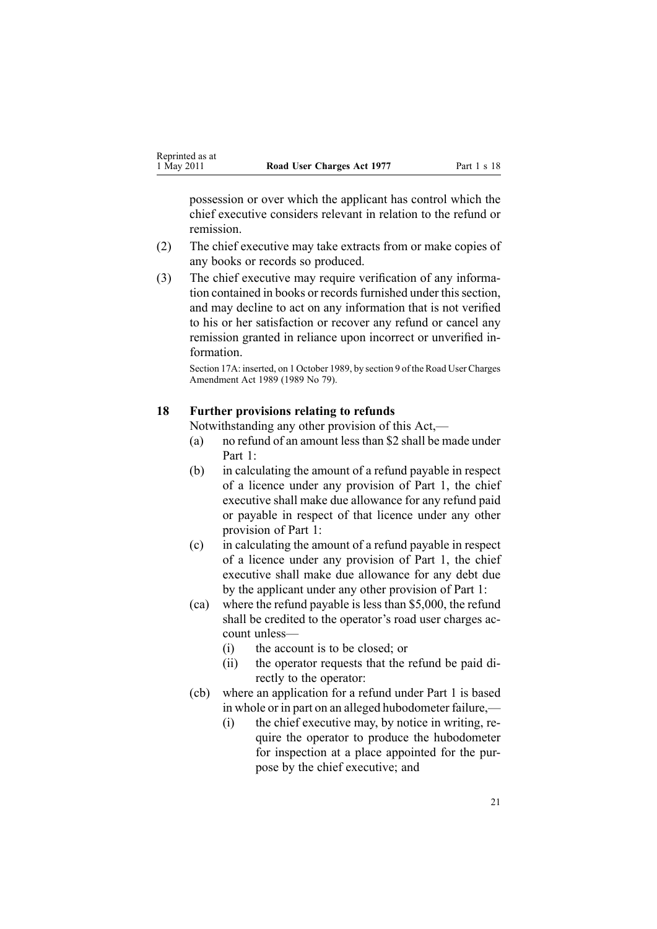<span id="page-20-0"></span>possession or over which the applicant has control which the chief executive considers relevant in relation to the refund or remission.

- (2) The chief executive may take extracts from or make copies of any books or records so produced.
- (3) The chief executive may require verification of any information contained in books or records furnished under this section, and may decline to act on any information that is not verified to his or her satisfaction or recover any refund or cancel any remission granted in reliance upon incorrect or unverified information.

Section 17A: inserted, on 1 October 1989, by section 9 of the Road User Charges Amendment Act 1989 (1989 No 79).

#### **18 Further provisions relating to refunds**

Notwithstanding any other provision of this Act,—

- (a) no refund of an amount lessthan \$2 shall be made under [Part](#page-9-0) 1:
- (b) in calculating the amount of <sup>a</sup> refund payable in respec<sup>t</sup> of <sup>a</sup> licence under any provision of [Part](#page-9-0) 1, the chief executive shall make due allowance for any refund paid or payable in respec<sup>t</sup> of that licence under any other provision of Part 1:
- (c) in calculating the amount of <sup>a</sup> refund payable in respec<sup>t</sup> of <sup>a</sup> licence under any provision of [Part](#page-9-0) 1, the chief executive shall make due allowance for any debt due by the applicant under any other provision of Part 1:
- (ca) where the refund payable is less than \$5,000, the refund shall be credited to the operator's road user charges account unless—
	- (i) the account is to be closed; or
	- (ii) the operator requests that the refund be paid directly to the operator:
- (cb) where an application for <sup>a</sup> refund under [Part](#page-9-0) 1 is based in whole or in par<sup>t</sup> on an alleged hubodometer failure,—
	- (i) the chief executive may, by notice in writing, require the operator to produce the hubodometer for inspection at <sup>a</sup> place appointed for the purpose by the chief executive; and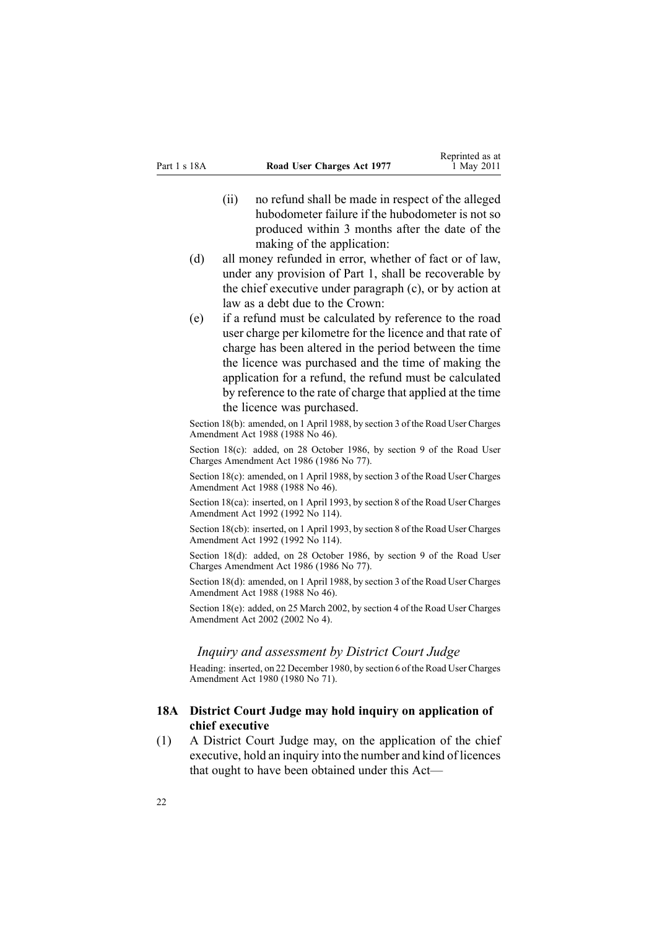- <span id="page-21-0"></span>(ii) no refund shall be made in respec<sup>t</sup> of the alleged hubodometer failure if the hubodometer is not so produced within 3 months after the date of the making of the application:
- (d) all money refunded in error, whether of fact or of law, under any provision of [Part](#page-9-0) 1, shall be recoverable by the chief executive under paragraph (c), or by action at law as <sup>a</sup> debt due to the Crown:
- (e) if <sup>a</sup> refund must be calculated by reference to the road user charge per kilometre for the licence and that rate of charge has been altered in the period between the time the licence was purchased and the time of making the application for <sup>a</sup> refund, the refund must be calculated by reference to the rate of charge that applied at the time the licence was purchased.

Section 18(b): amended, on 1 April 1988, by section 3 of the Road User Charges Amendment Act 1988 (1988 No 46).

Section 18(c): added, on 28 October 1986, by section 9 of the Road User Charges Amendment Act 1986 (1986 No 77).

Section 18(c): amended, on 1 April 1988, by section 3 of the Road User Charges Amendment Act 1988 (1988 No 46).

Section 18(ca): inserted, on 1 April 1993, by section 8 of the Road User Charges Amendment Act 1992 (1992 No 114).

Section 18(cb): inserted, on 1 April 1993, by section 8 of the Road User Charges Amendment Act 1992 (1992 No 114).

Section 18(d): added, on 28 October 1986, by section 9 of the Road User Charges Amendment Act 1986 (1986 No 77).

Section 18(d): amended, on 1 April 1988, by section 3 of the Road User Charges Amendment Act 1988 (1988 No 46).

Section 18(e): added, on 25 March 2002, by [section](http://www.legislation.govt.nz/pdflink.aspx?id=DLM131347) 4 of the Road User Charges Amendment Act 2002 (2002 No 4).

#### *Inquiry and assessment by District Court Judge*

Heading: inserted, on 22 December 1980, by [section](http://www.legislation.govt.nz/pdflink.aspx?id=DLM38570) 6 of the Road User Charges Amendment Act 1980 (1980 No 71).

#### **18A District Court Judge may hold inquiry on application of chief executive**

(1) A District Court Judge may, on the application of the chief executive, hold an inquiry into the number and kind of licences that ought to have been obtained under this Act—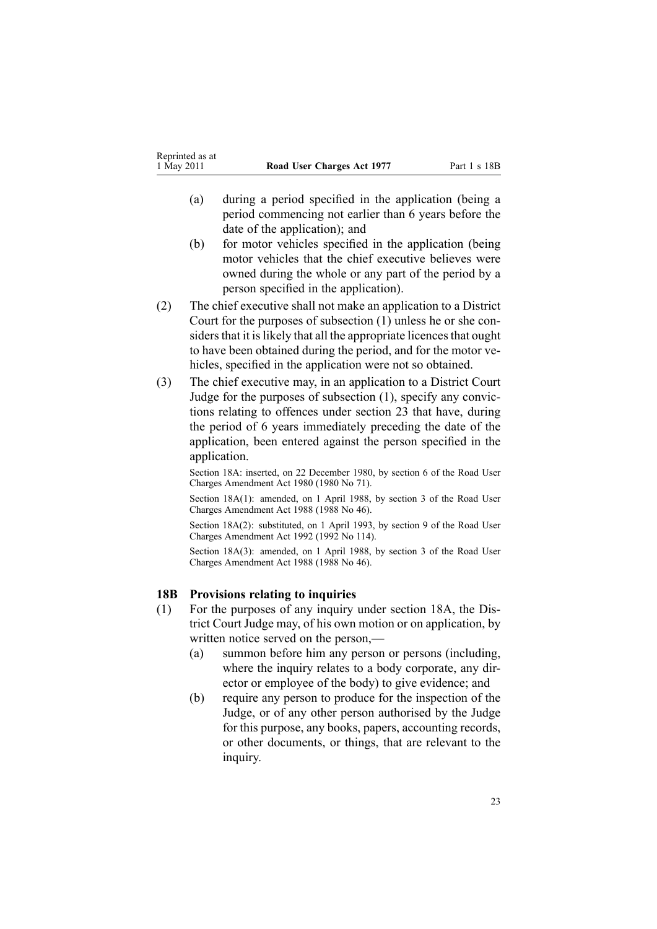- <span id="page-22-0"></span>(a) during <sup>a</sup> period specified in the application (being <sup>a</sup> period commencing not earlier than 6 years before the date of the application); and
- (b) for motor vehicles specified in the application (being motor vehicles that the chief executive believes were owned during the whole or any par<sup>t</sup> of the period by <sup>a</sup> person specified in the application).
- (2) The chief executive shall not make an application to <sup>a</sup> District Court for the purposes of subsection (1) unless he or she considers that it is likely that all the appropriate licences that ought to have been obtained during the period, and for the motor vehicles, specified in the application were not so obtained.
- (3) The chief executive may, in an application to <sup>a</sup> District Court Judge for the purposes of subsection (1), specify any convictions relating to offences under [section](#page-32-0) 23 that have, during the period of 6 years immediately preceding the date of the application, been entered against the person specified in the application.

Section 18A: inserted, on 22 December 1980, by [section](http://www.legislation.govt.nz/pdflink.aspx?id=DLM38570) 6 of the Road User Charges Amendment Act 1980 (1980 No 71).

Section 18A(1): amended, on 1 April 1988, by section 3 of the Road User Charges Amendment Act 1988 (1988 No 46).

Section 18A(2): substituted, on 1 April 1993, by section 9 of the Road User Charges Amendment Act 1992 (1992 No 114).

Section 18A(3): amended, on 1 April 1988, by section 3 of the Road User Charges Amendment Act 1988 (1988 No 46).

#### **18B Provisions relating to inquiries**

- (1) For the purposes of any inquiry under [section](#page-21-0) 18A, the District Court Judge may, of his own motion or on application, by written notice served on the person,—
	- (a) summon before him any person or persons (including, where the inquiry relates to <sup>a</sup> body corporate, any director or employee of the body) to give evidence; and
	- (b) require any person to produce for the inspection of the Judge, or of any other person authorised by the Judge for this purpose, any books, papers, accounting records, or other documents, or things, that are relevant to the inquiry.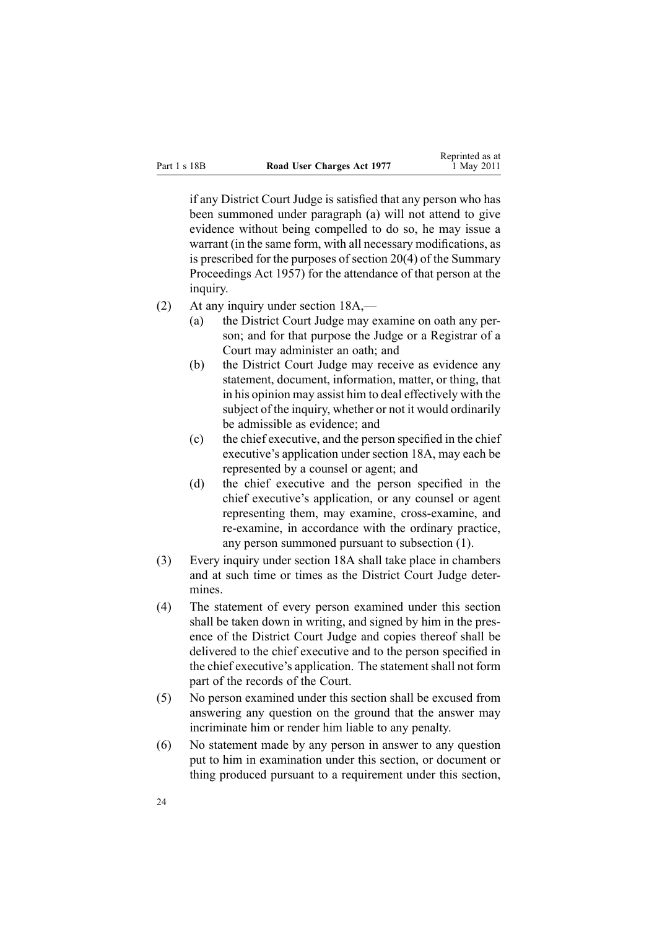if any District Court Judge is satisfied that any person who has been summoned under paragraph (a) will not attend to give evidence without being compelled to do so, he may issue <sup>a</sup> warrant (in the same form, with all necessary modifications, as is prescribed for the purposes of [section](http://www.legislation.govt.nz/pdflink.aspx?id=DLM311316) 20(4) of the Summary Proceedings Act 1957) for the attendance of that person at the inquiry.

- (2) At any inquiry under [section](#page-21-0) 18A,—
	- (a) the District Court Judge may examine on oath any person; and for that purpose the Judge or <sup>a</sup> Registrar of <sup>a</sup> Court may administer an oath; and
	- (b) the District Court Judge may receive as evidence any statement, document, information, matter, or thing, that in his opinion may assist him to deal effectively with the subject of the inquiry, whether or not it would ordinarily be admissible as evidence; and
	- (c) the chief executive, and the person specified in the chief executive's application under [section](#page-21-0) 18A, may each be represented by <sup>a</sup> counsel or agent; and
	- (d) the chief executive and the person specified in the chief executive's application, or any counsel or agen<sup>t</sup> representing them, may examine, cross-examine, and re-examine, in accordance with the ordinary practice, any person summoned pursuan<sup>t</sup> to subsection (1).
- (3) Every inquiry under [section](#page-21-0) 18A shall take place in chambers and at such time or times as the District Court Judge determines.
- (4) The statement of every person examined under this section shall be taken down in writing, and signed by him in the presence of the District Court Judge and copies thereof shall be delivered to the chief executive and to the person specified in the chief executive's application. The statement shall not form par<sup>t</sup> of the records of the Court.
- (5) No person examined under this section shall be excused from answering any question on the ground that the answer may incriminate him or render him liable to any penalty.
- (6) No statement made by any person in answer to any question pu<sup>t</sup> to him in examination under this section, or document or thing produced pursuan<sup>t</sup> to <sup>a</sup> requirement under this section,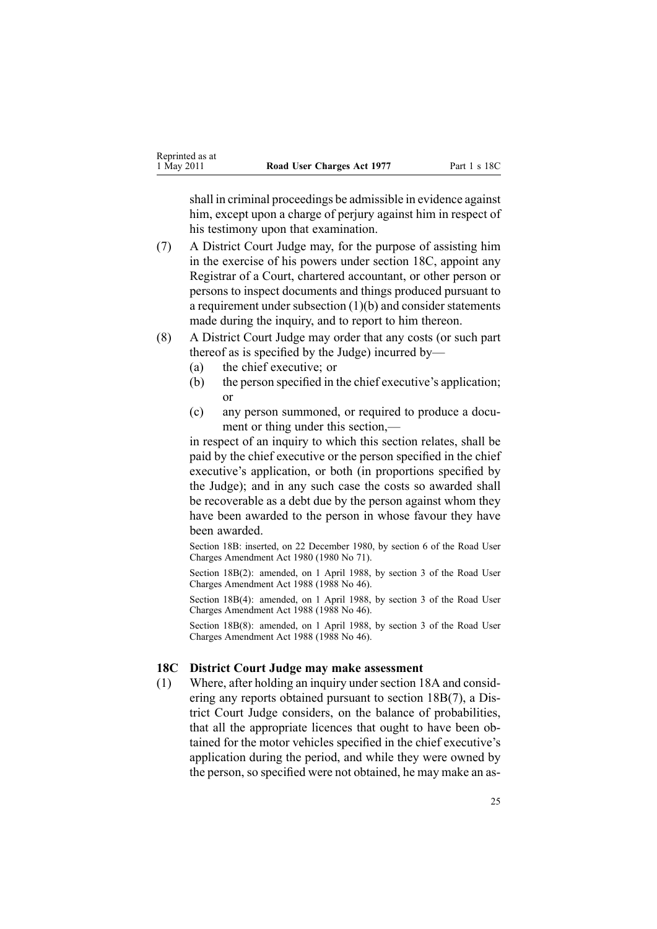<span id="page-24-0"></span>shall in criminal proceedings be admissible in evidence against him, except upon a charge of perjury against him in respect of his testimony upon that examination.

- (7) A District Court Judge may, for the purpose of assisting him in the exercise of his powers under section 18C, appoint any Registrar of <sup>a</sup> Court, chartered accountant, or other person or persons to inspect documents and things produced pursuan<sup>t</sup> to <sup>a</sup> requirement under subsection (1)(b) and consider statements made during the inquiry, and to report to him thereon.
- (8) A District Court Judge may order that any costs (or such par<sup>t</sup> thereof as is specified by the Judge) incurred by—
	- (a) the chief executive; or
	- (b) the person specified in the chief executive's application; or
	- (c) any person summoned, or required to produce <sup>a</sup> document or thing under this section,—

in respec<sup>t</sup> of an inquiry to which this section relates, shall be paid by the chief executive or the person specified in the chief executive's application, or both (in proportions specified by the Judge); and in any such case the costs so awarded shall be recoverable as <sup>a</sup> debt due by the person against whom they have been awarded to the person in whose favour they have been awarded.

Section 18B: inserted, on 22 December 1980, by [section](http://www.legislation.govt.nz/pdflink.aspx?id=DLM38570) 6 of the Road User Charges Amendment Act 1980 (1980 No 71).

Section 18B(2): amended, on 1 April 1988, by section 3 of the Road User Charges Amendment Act 1988 (1988 No 46).

Section 18B(4): amended, on 1 April 1988, by section 3 of the Road User Charges Amendment Act 1988 (1988 No 46).

Section 18B(8): amended, on 1 April 1988, by section 3 of the Road User Charges Amendment Act 1988 (1988 No 46).

#### **18C District Court Judge may make assessment**

(1) Where, after holding an inquiry unde[rsection](#page-21-0) 18A and considering any reports obtained pursuan<sup>t</sup> to section [18B\(7\)](#page-22-0), <sup>a</sup> District Court Judge considers, on the balance of probabilities, that all the appropriate licences that ought to have been obtained for the motor vehicles specified in the chief executive's application during the period, and while they were owned by the person, so specified were not obtained, he may make an as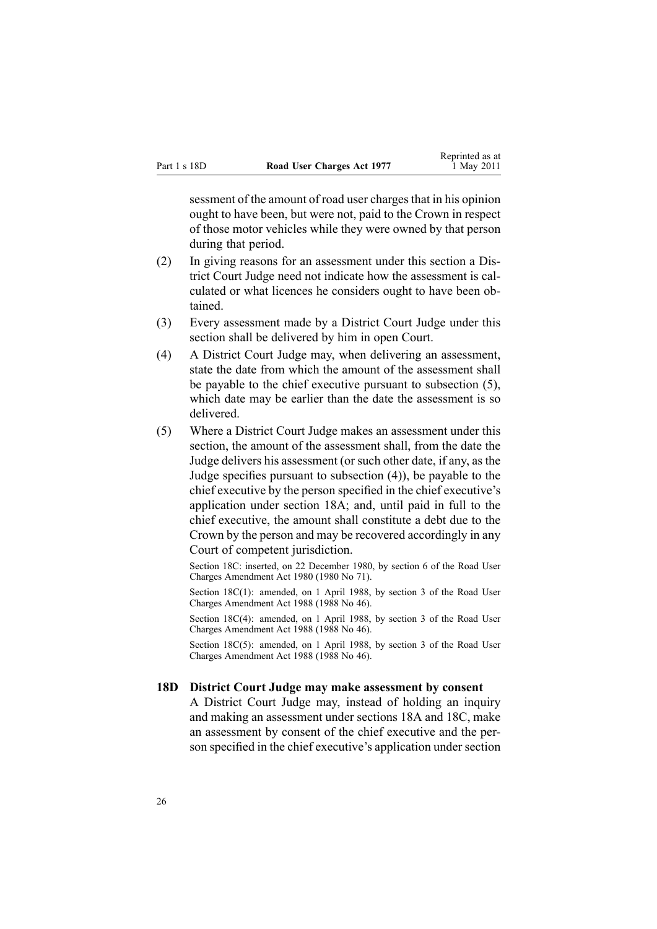<span id="page-25-0"></span>sessment of the amount of road user charges that in his opinion ought to have been, but were not, paid to the Crown in respec<sup>t</sup> of those motor vehicles while they were owned by that person during that period.

- (2) In giving reasons for an assessment under this section <sup>a</sup> District Court Judge need not indicate how the assessment is calculated or what licences he considers ought to have been obtained.
- (3) Every assessment made by <sup>a</sup> District Court Judge under this section shall be delivered by him in open Court.
- (4) A District Court Judge may, when delivering an assessment, state the date from which the amount of the assessment shall be payable to the chief executive pursuan<sup>t</sup> to subsection (5), which date may be earlier than the date the assessment is so delivered.
- (5) Where <sup>a</sup> District Court Judge makes an assessment under this section, the amount of the assessment shall, from the date the Judge delivers his assessment (or such other date, if any, as the Judge specifies pursuan<sup>t</sup> to subsection (4)), be payable to the chief executive by the person specified in the chief executive's application under [section](#page-21-0) 18A; and, until paid in full to the chief executive, the amount shall constitute <sup>a</sup> debt due to the Crown by the person and may be recovered accordingly in any Court of competent jurisdiction.

Section 18C: inserted, on 22 December 1980, by [section](http://www.legislation.govt.nz/pdflink.aspx?id=DLM38570) 6 of the Road User Charges Amendment Act 1980 (1980 No 71).

Section 18C(1): amended, on 1 April 1988, by section 3 of the Road User Charges Amendment Act 1988 (1988 No 46).

Section 18C(4): amended, on 1 April 1988, by section 3 of the Road User Charges Amendment Act 1988 (1988 No 46).

Section 18C(5): amended, on 1 April 1988, by section 3 of the Road User Charges Amendment Act 1988 (1988 No 46).

#### **18D District Court Judge may make assessment by consent**

A District Court Judge may, instead of holding an inquiry and making an assessment under [sections](#page-21-0) 18A and [18C](#page-24-0), make an assessment by consent of the chief executive and the person specified in the chief executive's application under section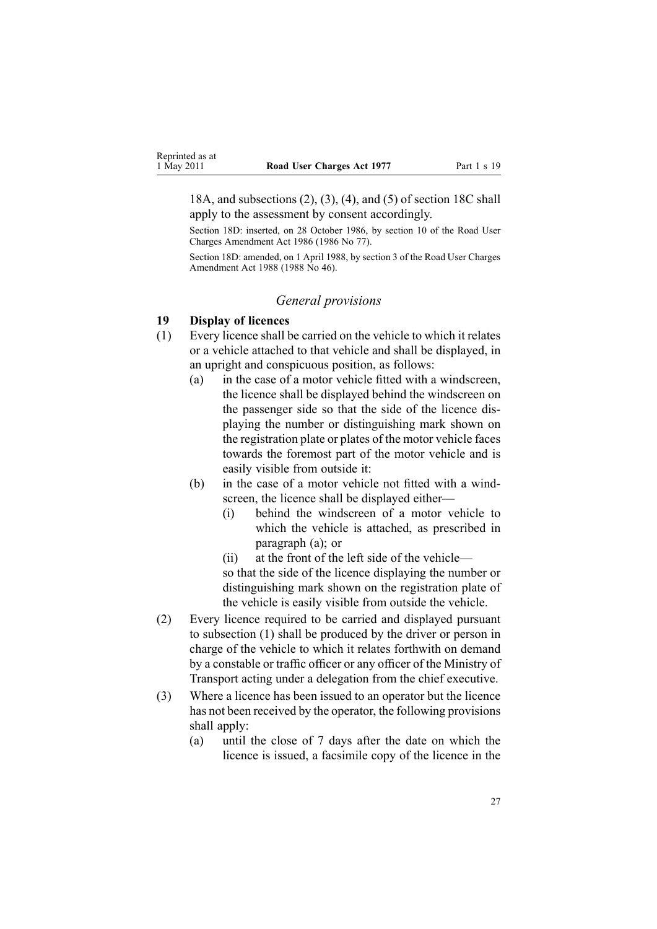<span id="page-26-0"></span>18A, and subsections (2), (3), (4), and (5) of section 18C shall apply to the assessment by consent accordingly.

Section 18D: inserted, on 28 October 1986, by section 10 of the Road User Charges Amendment Act 1986 (1986 No 77).

Section 18D: amended, on 1 April 1988, by section 3 of the Road User Charges Amendment Act 1988 (1988 No 46).

#### *General provisions*

## **19 Display of licences**

- (1) Every licence shall be carried on the vehicle to which it relates or <sup>a</sup> vehicle attached to that vehicle and shall be displayed, in an upright and conspicuous position, as follows:
	- (a) in the case of <sup>a</sup> motor vehicle fitted with <sup>a</sup> windscreen, the licence shall be displayed behind the windscreen on the passenger side so that the side of the licence displaying the number or distinguishing mark shown on the registration plate or plates of the motor vehicle faces towards the foremost par<sup>t</sup> of the motor vehicle and is easily visible from outside it:
	- (b) in the case of <sup>a</sup> motor vehicle not fitted with <sup>a</sup> windscreen, the licence shall be displayed either—
		- (i) behind the windscreen of <sup>a</sup> motor vehicle to which the vehicle is attached, as prescribed in paragraph (a); or
		- (ii) at the front of the left side of the vehicle—

so that the side of the licence displaying the number or distinguishing mark shown on the registration plate of the vehicle is easily visible from outside the vehicle.

- (2) Every licence required to be carried and displayed pursuan<sup>t</sup> to subsection (1) shall be produced by the driver or person in charge of the vehicle to which it relates forthwith on demand by <sup>a</sup> constable or traffic officer or any officer of the Ministry of Transport acting under <sup>a</sup> delegation from the chief executive.
- (3) Where <sup>a</sup> licence has been issued to an operator but the licence has not been received by the operator, the following provisions shall apply:
	- (a) until the close of 7 days after the date on which the licence is issued, <sup>a</sup> facsimile copy of the licence in the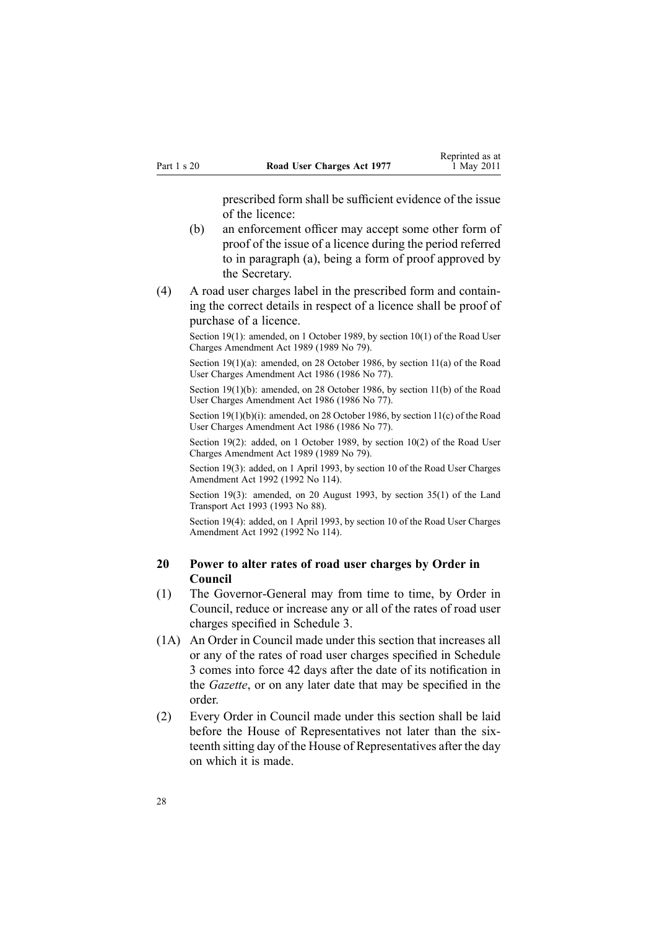prescribed form shall be sufficient evidence of the issue of the licence:

- <span id="page-27-0"></span>(b) an enforcement officer may accep<sup>t</sup> some other form of proof of the issue of <sup>a</sup> licence during the period referred to in paragraph (a), being <sup>a</sup> form of proof approved by the Secretary.
- (4) A road user charges label in the prescribed form and containing the correct details in respec<sup>t</sup> of <sup>a</sup> licence shall be proof of purchase of <sup>a</sup> licence.

Section 19(1): amended, on 1 October 1989, by section 10(1) of the Road User Charges Amendment Act 1989 (1989 No 79).

Section 19(1)(a): amended, on 28 October 1986, by section 11(a) of the Road User Charges Amendment Act 1986 (1986 No 77).

Section 19(1)(b): amended, on 28 October 1986, by section 11(b) of the Road User Charges Amendment Act 1986 (1986 No 77).

Section 19(1)(b)(i): amended, on 28 October 1986, by section 11(c) of the Road User Charges Amendment Act 1986 (1986 No 77).

Section 19(2): added, on 1 October 1989, by section 10(2) of the Road User Charges Amendment Act 1989 (1989 No 79).

Section 19(3): added, on 1 April 1993, by section 10 of the Road User Charges Amendment Act 1992 (1992 No 114).

Section 19(3): amended, on 20 August 1993, by section 35(1) of the Land Transport Act 1993 (1993 No 88).

Section 19(4): added, on 1 April 1993, by section 10 of the Road User Charges Amendment Act 1992 (1992 No 114).

## **20 Power to alter rates of road user charges by Order in Council**

- (1) The Governor-General may from time to time, by Order in Council, reduce or increase any or all of the rates of road user charges specified in [Schedule](#page-50-0) 3.
- (1A) An Order in Council made under this section that increases all or any of the rates of road user charges specified in [Schedule](#page-50-0) [3](#page-50-0) comes into force 42 days after the date of its notification in the *Gazette*, or on any later date that may be specified in the order.
- (2) Every Order in Council made under this section shall be laid before the House of Representatives not later than the sixteenth sitting day of the House of Representatives after the day on which it is made.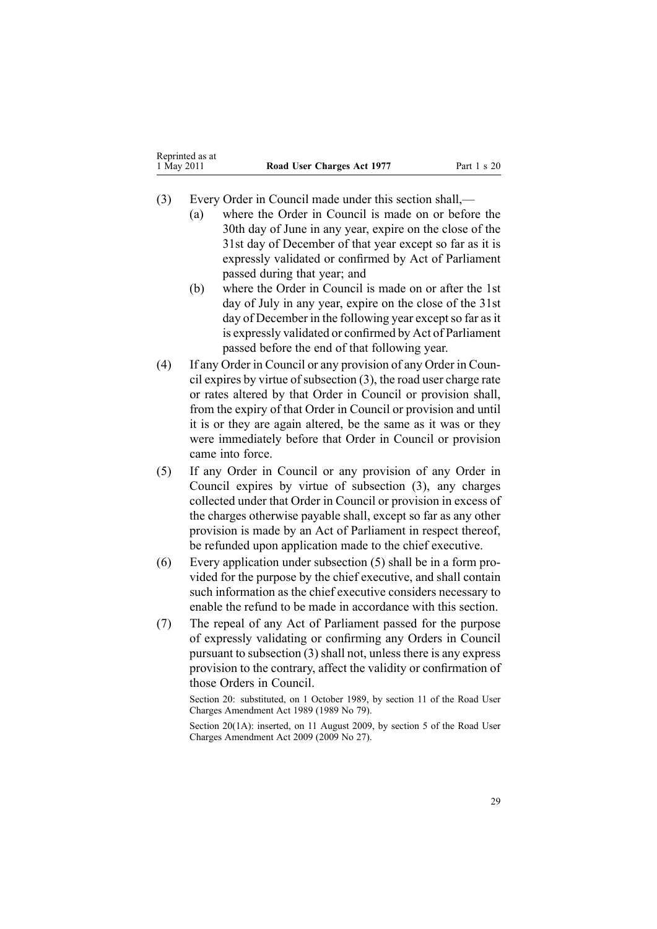- (3) Every Order in Council made under this section shall,—
	- (a) where the Order in Council is made on or before the 30th day of June in any year, expire on the close of the 31st day of December of that year excep<sup>t</sup> so far as it is expressly validated or confirmed by Act of Parliament passed during that year; and
	- (b) where the Order in Council is made on or after the 1st day of July in any year, expire on the close of the 31st day of December in the following year except so far as it is expressly validated or confirmed by Act of Parliament passed before the end of that following year.
- (4) If any Order in Council or any provision of any Order in Council expires by virtue of subsection  $(3)$ , the road user charge rate or rates altered by that Order in Council or provision shall, from the expiry of that Order in Council or provision and until it is or they are again altered, be the same as it was or they were immediately before that Order in Council or provision came into force.
- (5) If any Order in Council or any provision of any Order in Council expires by virtue of subsection (3), any charges collected under that Order in Council or provision in excess of the charges otherwise payable shall, excep<sup>t</sup> so far as any other provision is made by an Act of Parliament in respec<sup>t</sup> thereof, be refunded upon application made to the chief executive.
- (6) Every application under subsection (5) shall be in <sup>a</sup> form provided for the purpose by the chief executive, and shall contain such information as the chief executive considers necessary to enable the refund to be made in accordance with this section.
- (7) The repeal of any Act of Parliament passed for the purpose of expressly validating or confirming any Orders in Council pursuan<sup>t</sup> to subsection (3) shall not, unless there is any express provision to the contrary, affect the validity or confirmation of those Orders in Council.

Section 20: substituted, on 1 October 1989, by section 11 of the Road User Charges Amendment Act 1989 (1989 No 79).

Section 20(1A): inserted, on 11 August 2009, by [section](http://www.legislation.govt.nz/pdflink.aspx?id=DLM2172213) 5 of the Road User Charges Amendment Act 2009 (2009 No 27).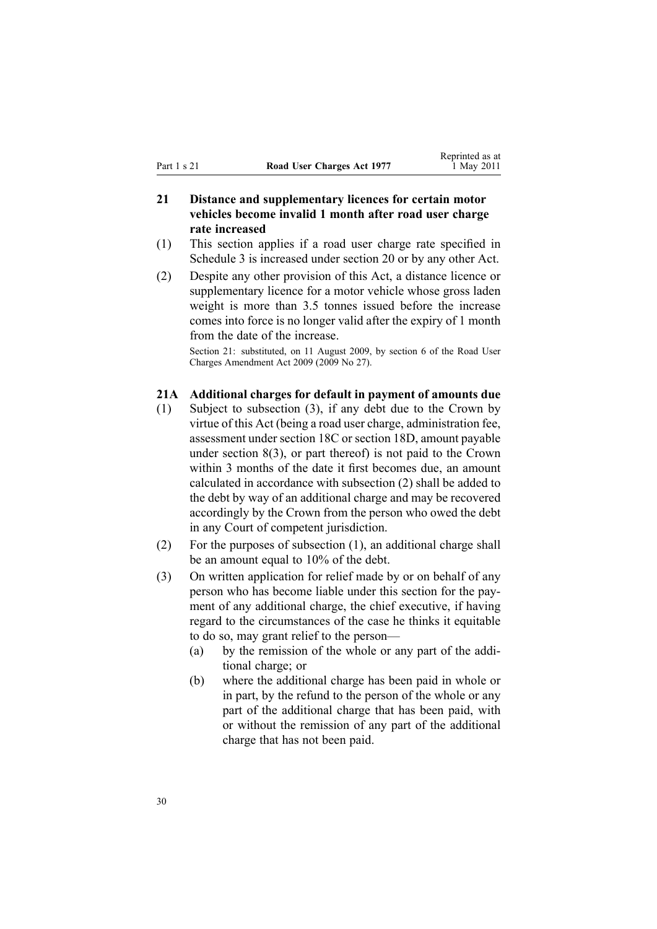# <span id="page-29-0"></span>**21 Distance and supplementary licences for certain motor vehicles become invalid 1 month after road user charge rate increased**

- (1) This section applies if <sup>a</sup> road user charge rate specified in [Schedule](#page-50-0) 3 is increased under [section](#page-27-0) 20 or by any other Act.
- (2) Despite any other provision of this Act, <sup>a</sup> distance licence or supplementary licence for <sup>a</sup> motor vehicle whose gross laden weight is more than 3.5 tonnes issued before the increase comes into force is no longer valid after the expiry of 1 month from the date of the increase.

Section 21: substituted, on 11 August 2009, by [section](http://www.legislation.govt.nz/pdflink.aspx?id=DLM2172214) 6 of the Road User Charges Amendment Act 2009 (2009 No 27).

#### **21A Additional charges for default in payment of amounts due**

- (1) Subject to subsection (3), if any debt due to the Crown by virtue of this Act (being <sup>a</sup> road user charge, administration fee, assessment under [section](#page-24-0) 18C or [section](#page-25-0) 18D, amount payable under [section](#page-12-0) 8(3), or par<sup>t</sup> thereof) is not paid to the Crown within 3 months of the date it first becomes due, an amount calculated in accordance with subsection (2) shall be added to the debt by way of an additional charge and may be recovered accordingly by the Crown from the person who owed the debt in any Court of competent jurisdiction.
- (2) For the purposes of subsection (1), an additional charge shall be an amount equal to 10% of the debt.
- (3) On written application for relief made by or on behalf of any person who has become liable under this section for the payment of any additional charge, the chief executive, if having regard to the circumstances of the case he thinks it equitable to do so, may gran<sup>t</sup> relief to the person—
	- (a) by the remission of the whole or any par<sup>t</sup> of the additional charge; or
	- (b) where the additional charge has been paid in whole or in part, by the refund to the person of the whole or any par<sup>t</sup> of the additional charge that has been paid, with or without the remission of any par<sup>t</sup> of the additional charge that has not been paid.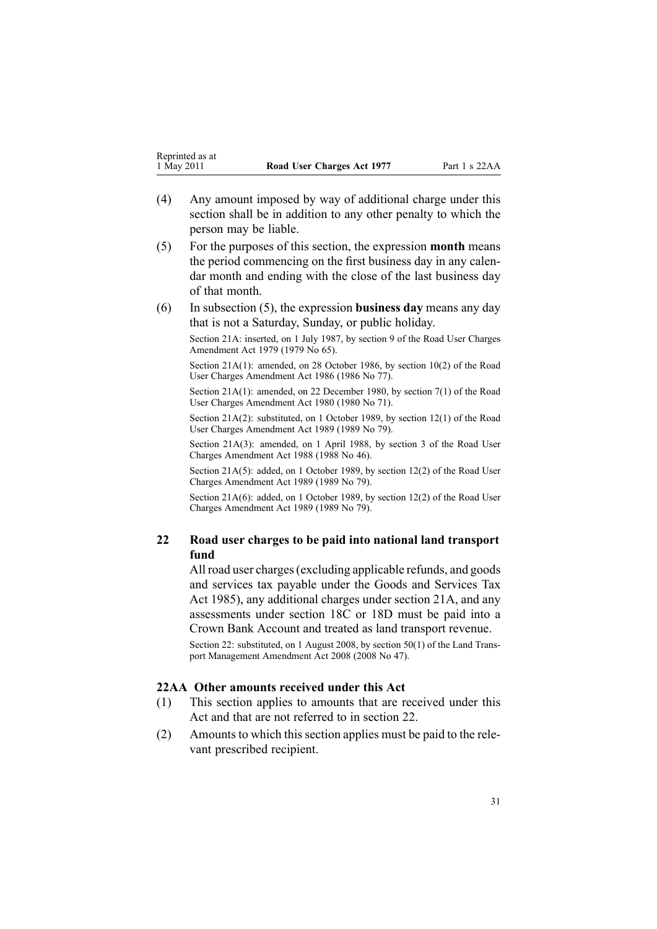- <span id="page-30-0"></span>(4) Any amount imposed by way of additional charge under this section shall be in addition to any other penalty to which the person may be liable.
- (5) For the purposes of this section, the expression **month** means the period commencing on the first business day in any calendar month and ending with the close of the last business day of that month.
- (6) In subsection (5), the expression **business day** means any day that is not <sup>a</sup> Saturday, Sunday, or public holiday.

Section 21A: inserted, on 1 July 1987, by [section](http://www.legislation.govt.nz/pdflink.aspx?id=DLM34699) 9 of the Road User Charges Amendment Act 1979 (1979 No 65).

Section 21A(1): amended, on 28 October 1986, by section 10(2) of the Road User Charges Amendment Act 1986 (1986 No 77).

Section 21A(1): amended, on 22 December 1980, by [section](http://www.legislation.govt.nz/pdflink.aspx?id=DLM38571) 7(1) of the Road User Charges Amendment Act 1980 (1980 No 71).

Section 21A(2): substituted, on 1 October 1989, by section 12(1) of the Road User Charges Amendment Act 1989 (1989 No 79).

Section 21A(3): amended, on 1 April 1988, by section 3 of the Road User Charges Amendment Act 1988 (1988 No 46).

Section 21A(5): added, on 1 October 1989, by section 12(2) of the Road User Charges Amendment Act 1989 (1989 No 79).

Section 21A(6): added, on 1 October 1989, by section 12(2) of the Road User Charges Amendment Act 1989 (1989 No 79).

# **22 Road user charges to be paid into national land transport fund**

All road user charges(excluding applicable refunds, and goods and services tax payable under the Goods and [Services](http://www.legislation.govt.nz/pdflink.aspx?id=DLM81034) Tax Act [1985](http://www.legislation.govt.nz/pdflink.aspx?id=DLM81034)), any additional charges under [section](#page-29-0) 21A, and any assessments under [section](#page-24-0) 18C or [18D](#page-25-0) must be paid into <sup>a</sup> Crown Bank Account and treated as land transport revenue.

Section 22: substituted, on 1 August 2008, by [section](http://www.legislation.govt.nz/pdflink.aspx?id=DLM1313622) 50(1) of the Land Transpor<sup>t</sup> Management Amendment Act 2008 (2008 No 47).

#### **22AA Other amounts received under this Act**

- (1) This section applies to amounts that are received under this Act and that are not referred to in section 22.
- (2) Amounts to which this section applies must be paid to the relevant prescribed recipient.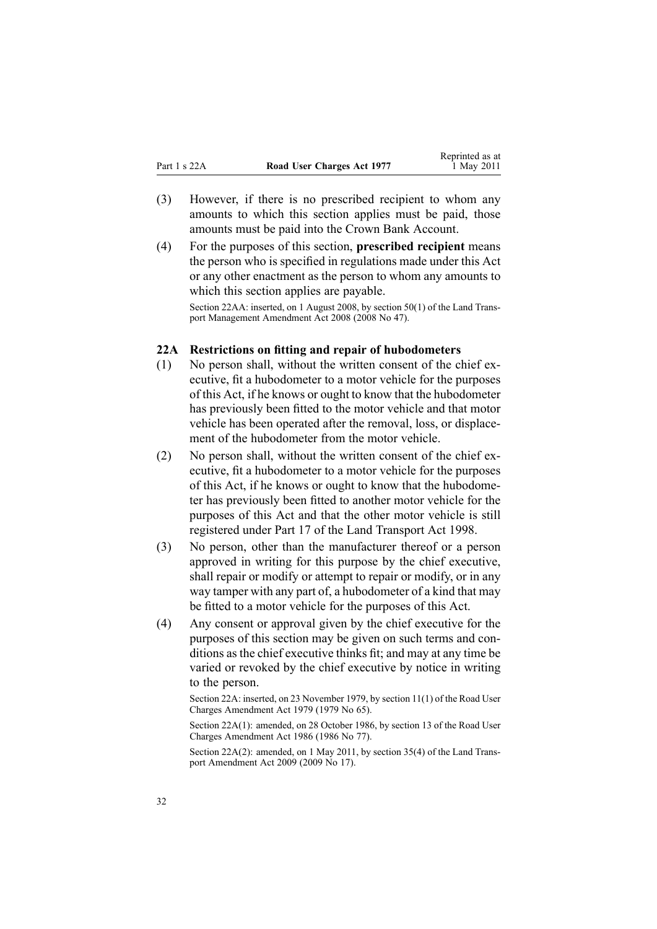- <span id="page-31-0"></span>(3) However, if there is no prescribed recipient to whom any amounts to which this section applies must be paid, those amounts must be paid into the Crown Bank Account.
- (4) For the purposes of this section, **prescribed recipient** means the person who is specified in regulations made under this Act or any other enactment as the person to whom any amounts to which this section applies are payable.

Section 22AA: inserted, on 1 August 2008, by [section](http://www.legislation.govt.nz/pdflink.aspx?id=DLM1313622) 50(1) of the Land Transpor<sup>t</sup> Management Amendment Act 2008 (2008 No 47).

#### **22A Restrictions on fitting and repair of hubodometers**

- (1) No person shall, without the written consent of the chief executive, fit <sup>a</sup> hubodometer to <sup>a</sup> motor vehicle for the purposes of this Act, if he knows or ought to know that the hubodometer has previously been fitted to the motor vehicle and that motor vehicle has been operated after the removal, loss, or displacement of the hubodometer from the motor vehicle.
- (2) No person shall, without the written consent of the chief executive, fit <sup>a</sup> hubodometer to <sup>a</sup> motor vehicle for the purposes of this Act, if he knows or ought to know that the hubodometer has previously been fitted to another motor vehicle for the purposes of this Act and that the other motor vehicle is still registered under [Part](http://www.legislation.govt.nz/pdflink.aspx?id=DLM2214226) 17 of the Land Transport Act 1998.
- (3) No person, other than the manufacturer thereof or <sup>a</sup> person approved in writing for this purpose by the chief executive, shall repair or modify or attempt to repair or modify, or in any way tamper with any par<sup>t</sup> of, <sup>a</sup> hubodometer of <sup>a</sup> kind that may be fitted to <sup>a</sup> motor vehicle for the purposes of this Act.
- (4) Any consent or approval given by the chief executive for the purposes of this section may be given on such terms and conditions as the chief executive thinks fit; and may at any time be varied or revoked by the chief executive by notice in writing to the person.

Section 22A: inserted, on 23 November 1979, by [section](http://www.legislation.govt.nz/pdflink.aspx?id=DLM35001) 11(1) of the Road User Charges Amendment Act 1979 (1979 No 65).

Section 22A(1): amended, on 28 October 1986, by section 13 of the Road User Charges Amendment Act 1986 (1986 No 77).

Section 22A(2): amended, on 1 May 2011, by [section](http://www.legislation.govt.nz/pdflink.aspx?id=DLM2015063) 35(4) of the Land Transpor<sup>t</sup> Amendment Act 2009 (2009 No 17).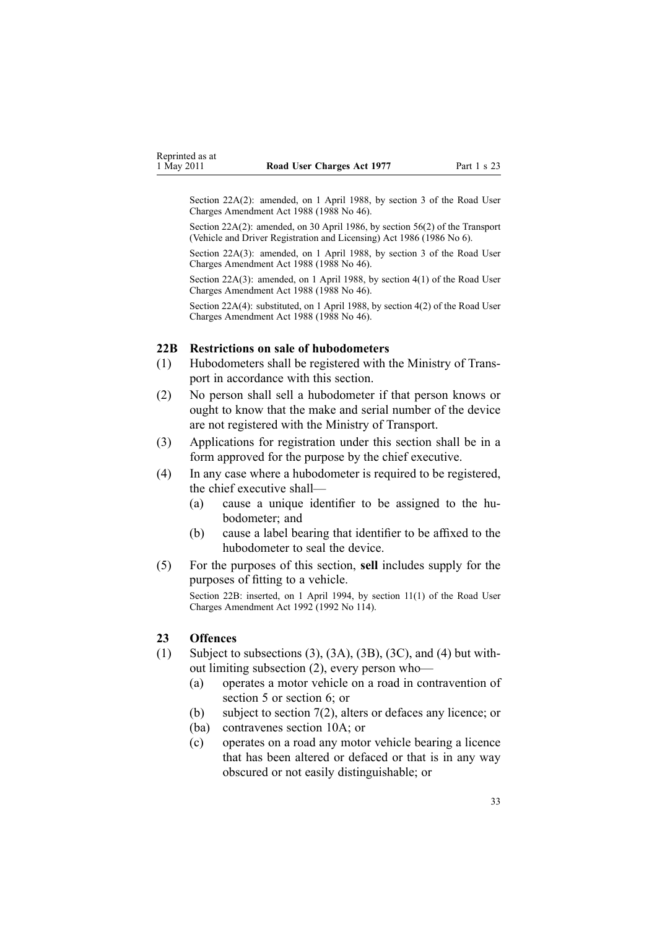<span id="page-32-0"></span>Section 22A(2): amended, on 1 April 1988, by section 3 of the Road User Charges Amendment Act 1988 (1988 No 46).

Section 22A(2): amended, on 30 April 1986, by [section](http://www.legislation.govt.nz/pdflink.aspx?id=DLM92149) 56(2) of the Transport (Vehicle and Driver Registration and Licensing) Act 1986 (1986 No 6).

Section 22A(3): amended, on 1 April 1988, by section 3 of the Road User Charges Amendment Act 1988 (1988 No 46).

Section 22A(3): amended, on 1 April 1988, by section 4(1) of the Road User Charges Amendment Act 1988 (1988 No 46).

Section 22A(4): substituted, on 1 April 1988, by section 4(2) of the Road User Charges Amendment Act 1988 (1988 No 46).

#### **22B Restrictions on sale of hubodometers**

- (1) Hubodometers shall be registered with the Ministry of Transpor<sup>t</sup> in accordance with this section.
- (2) No person shall sell <sup>a</sup> hubodometer if that person knows or ought to know that the make and serial number of the device are not registered with the Ministry of Transport.
- (3) Applications for registration under this section shall be in <sup>a</sup> form approved for the purpose by the chief executive.
- (4) In any case where <sup>a</sup> hubodometer is required to be registered, the chief executive shall—
	- (a) cause <sup>a</sup> unique identifier to be assigned to the hubodometer; and
	- (b) cause <sup>a</sup> label bearing that identifier to be affixed to the hubodometer to seal the device.
- (5) For the purposes of this section, **sell** includes supply for the purposes of fitting to <sup>a</sup> vehicle.

Section 22B: inserted, on 1 April 1994, by section 11(1) of the Road User Charges Amendment Act 1992 (1992 No 114).

#### **23 Offences**

- (1) Subject to subsections (3), (3A), (3B), (3C), and (4) but without limiting subsection (2), every person who—
	- (a) operates <sup>a</sup> motor vehicle on <sup>a</sup> road in contravention of [section](#page-9-0) 5 or [section](#page-10-0) 6; or
	- (b) subject to [section](#page-11-0) 7(2), alters or defaces any licence; or
	- (ba) contravenes [section](#page-14-0) 10A; or
	- (c) operates on <sup>a</sup> road any motor vehicle bearing <sup>a</sup> licence that has been altered or defaced or that is in any way obscured or not easily distinguishable; or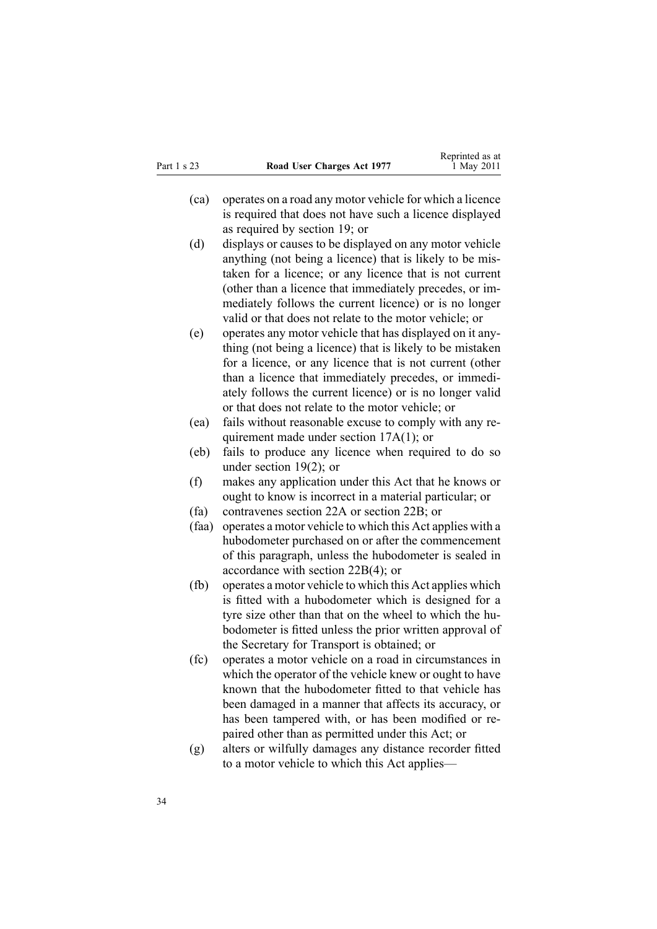- (ca) operates on <sup>a</sup> road any motor vehicle for which <sup>a</sup> licence is required that does not have such <sup>a</sup> licence displayed as required by [section](#page-26-0) 19; or
- (d) displays or causes to be displayed on any motor vehicle anything (not being <sup>a</sup> licence) that is likely to be mistaken for <sup>a</sup> licence; or any licence that is not current (other than <sup>a</sup> licence that immediately precedes, or immediately follows the current licence) or is no longer valid or that does not relate to the motor vehicle; or
- (e) operates any motor vehicle that has displayed on it anything (not being <sup>a</sup> licence) that is likely to be mistaken for <sup>a</sup> licence, or any licence that is not current (other than <sup>a</sup> licence that immediately precedes, or immediately follows the current licence) or is no longer valid or that does not relate to the motor vehicle; or
- (ea) fails without reasonable excuse to comply with any requirement made under section [17A\(1\)](#page-19-0); or
- (eb) fails to produce any licence when required to do so under [section](#page-26-0) 19(2); or
- (f) makes any application under this Act that he knows or ought to know is incorrect in <sup>a</sup> material particular; or
- (fa) contravenes [section](#page-31-0) 22A or [section](#page-32-0) 22B; or
- (faa) operates <sup>a</sup> motor vehicle to which this Act applies with <sup>a</sup> hubodometer purchased on or after the commencement of this paragraph, unless the hubodometer is sealed in accordance with section [22B\(4\)](#page-32-0); or
- (fb) operates <sup>a</sup> motor vehicle to which this Act applies which is fitted with <sup>a</sup> hubodometer which is designed for <sup>a</sup> tyre size other than that on the wheel to which the hubodometer is fitted unless the prior written approval of the Secretary for Transport is obtained; or
- (fc) operates <sup>a</sup> motor vehicle on <sup>a</sup> road in circumstances in which the operator of the vehicle knew or ought to have known that the hubodometer fitted to that vehicle has been damaged in <sup>a</sup> manner that affects its accuracy, or has been tampered with, or has been modified or repaired other than as permitted under this Act; or
- (g) alters or wilfully damages any distance recorder fitted to <sup>a</sup> motor vehicle to which this Act applies—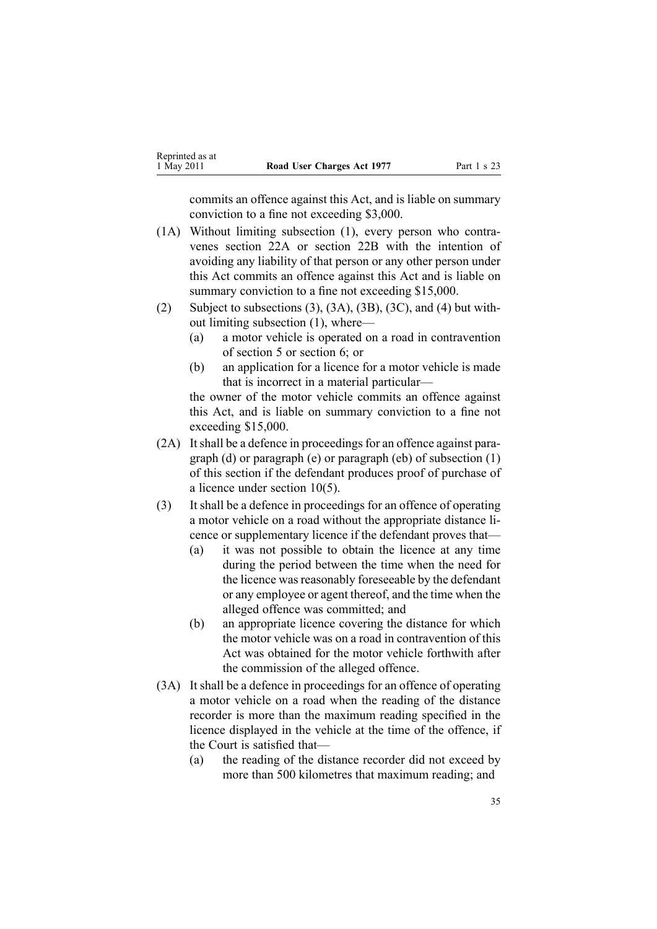commits an offence against this Act, and is liable on summary conviction to <sup>a</sup> fine not exceeding \$3,000.

- (1A) Without limiting subsection (1), every person who contravenes [section](#page-31-0) 22A or [section](#page-32-0) 22B with the intention of avoiding any liability of that person or any other person under this Act commits an offence against this Act and is liable on summary conviction to a fine not exceeding \$15,000.
- (2) Subject to subsections  $(3)$ ,  $(3A)$ ,  $(3B)$ ,  $(3C)$ , and  $(4)$  but without limiting subsection (1), where—
	- (a) <sup>a</sup> motor vehicle is operated on <sup>a</sup> road in contravention of [section](#page-9-0) 5 or [section](#page-10-0) 6; or
	- (b) an application for <sup>a</sup> licence for <sup>a</sup> motor vehicle is made that is incorrect in <sup>a</sup> material particular—

the owner of the motor vehicle commits an offence against this Act, and is liable on summary conviction to <sup>a</sup> fine not exceeding \$15,000.

- (2A) It shall be a defence in proceedings for an offence against paragraph (d) or paragraph (e) or paragraph (eb) of subsection (1) of this section if the defendant produces proof of purchase of <sup>a</sup> licence under [section](#page-13-0) 10(5).
- (3) It shall be <sup>a</sup> defence in proceedings for an offence of operating <sup>a</sup> motor vehicle on <sup>a</sup> road without the appropriate distance licence or supplementary licence if the defendant proves that—
	- (a) it was not possible to obtain the licence at any time during the period between the time when the need for the licence was reasonably foreseeable by the defendant or any employee or agen<sup>t</sup> thereof, and the time when the alleged offence was committed; and
	- (b) an appropriate licence covering the distance for which the motor vehicle was on <sup>a</sup> road in contravention of this Act was obtained for the motor vehicle forthwith after the commission of the alleged offence.
- (3A) It shall be <sup>a</sup> defence in proceedings for an offence of operating <sup>a</sup> motor vehicle on <sup>a</sup> road when the reading of the distance recorder is more than the maximum reading specified in the licence displayed in the vehicle at the time of the offence, if the Court is satisfied that—
	- (a) the reading of the distance recorder did not exceed by more than 500 kilometres that maximum reading; and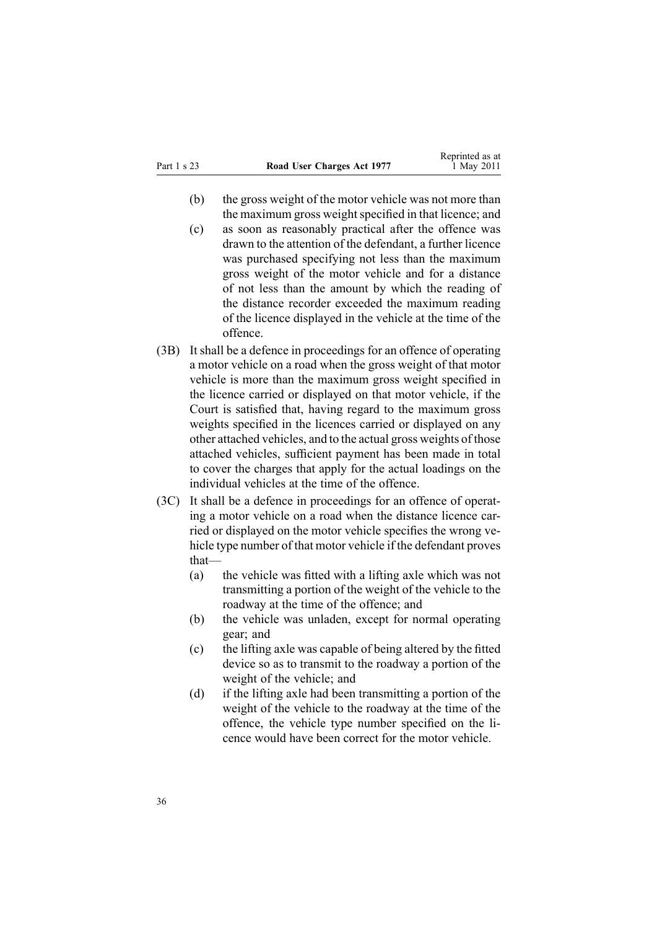- (b) the gross weight of the motor vehicle was not more than the maximum gross weight specified in that licence; and
- (c) as soon as reasonably practical after the offence was drawn to the attention of the defendant, <sup>a</sup> further licence was purchased specifying not less than the maximum gross weight of the motor vehicle and for <sup>a</sup> distance of not less than the amount by which the reading of the distance recorder exceeded the maximum reading of the licence displayed in the vehicle at the time of the offence.
- (3B) It shall be <sup>a</sup> defence in proceedings for an offence of operating <sup>a</sup> motor vehicle on <sup>a</sup> road when the gross weight of that motor vehicle is more than the maximum gross weight specified in the licence carried or displayed on that motor vehicle, if the Court is satisfied that, having regard to the maximum gross weights specified in the licences carried or displayed on any other attached vehicles, and to the actual gross weights of those attached vehicles, sufficient paymen<sup>t</sup> has been made in total to cover the charges that apply for the actual loadings on the individual vehicles at the time of the offence.
- (3C) It shall be <sup>a</sup> defence in proceedings for an offence of operating <sup>a</sup> motor vehicle on <sup>a</sup> road when the distance licence carried or displayed on the motor vehicle specifies the wrong vehicle type number of that motor vehicle if the defendant proves that—
	- (a) the vehicle was fitted with <sup>a</sup> lifting axle which was not transmitting <sup>a</sup> portion of the weight of the vehicle to the roadway at the time of the offence; and
	- (b) the vehicle was unladen, excep<sup>t</sup> for normal operating gear; and
	- (c) the lifting axle was capable of being altered by the fitted device so as to transmit to the roadway <sup>a</sup> portion of the weight of the vehicle; and
	- (d) if the lifting axle had been transmitting <sup>a</sup> portion of the weight of the vehicle to the roadway at the time of the offence, the vehicle type number specified on the licence would have been correct for the motor vehicle.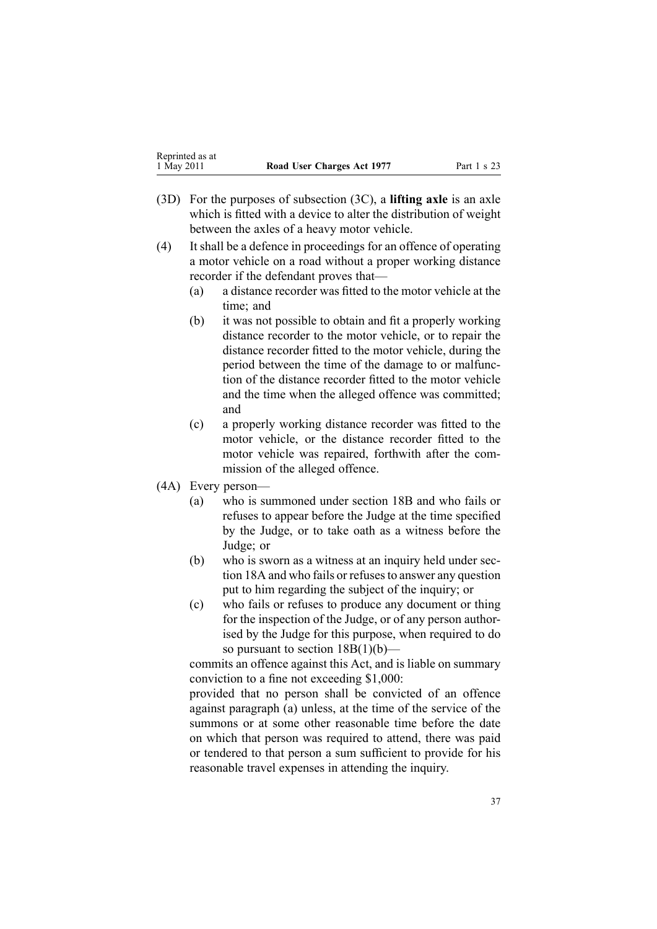- (3D) For the purposes of subsection (3C), <sup>a</sup> **lifting axle** is an axle which is fitted with <sup>a</sup> device to alter the distribution of weight between the axles of <sup>a</sup> heavy motor vehicle.
- (4) It shall be <sup>a</sup> defence in proceedings for an offence of operating <sup>a</sup> motor vehicle on <sup>a</sup> road without <sup>a</sup> proper working distance recorder if the defendant proves that—
	- (a) <sup>a</sup> distance recorder was fitted to the motor vehicle at the time; and
	- (b) it was not possible to obtain and fit <sup>a</sup> properly working distance recorder to the motor vehicle, or to repair the distance recorder fitted to the motor vehicle, during the period between the time of the damage to or malfunction of the distance recorder fitted to the motor vehicle and the time when the alleged offence was committed; and
	- (c) <sup>a</sup> properly working distance recorder was fitted to the motor vehicle, or the distance recorder fitted to the motor vehicle was repaired, forthwith after the commission of the alleged offence.
- (4A) Every person—
	- (a) who is summoned under [section](#page-22-0) 18B and who fails or refuses to appear before the Judge at the time specified by the Judge, or to take oath as <sup>a</sup> witness before the Judge; or
	- (b) who is sworn as <sup>a</sup> witness at an inquiry held under [sec](#page-21-0)-tion [18A](#page-21-0) and who fails or refuses to answer any question pu<sup>t</sup> to him regarding the subject of the inquiry; or
	- (c) who fails or refuses to produce any document or thing for the inspection of the Judge, or of any person authorised by the Judge for this purpose, when required to do so pursuant to section  $18B(1)(b)$ —

commits an offence against this Act, and is liable on summary conviction to <sup>a</sup> fine not exceeding \$1,000:

provided that no person shall be convicted of an offence against paragraph (a) unless, at the time of the service of the summons or at some other reasonable time before the date on which that person was required to attend, there was paid or tendered to that person <sup>a</sup> sum sufficient to provide for his reasonable travel expenses in attending the inquiry.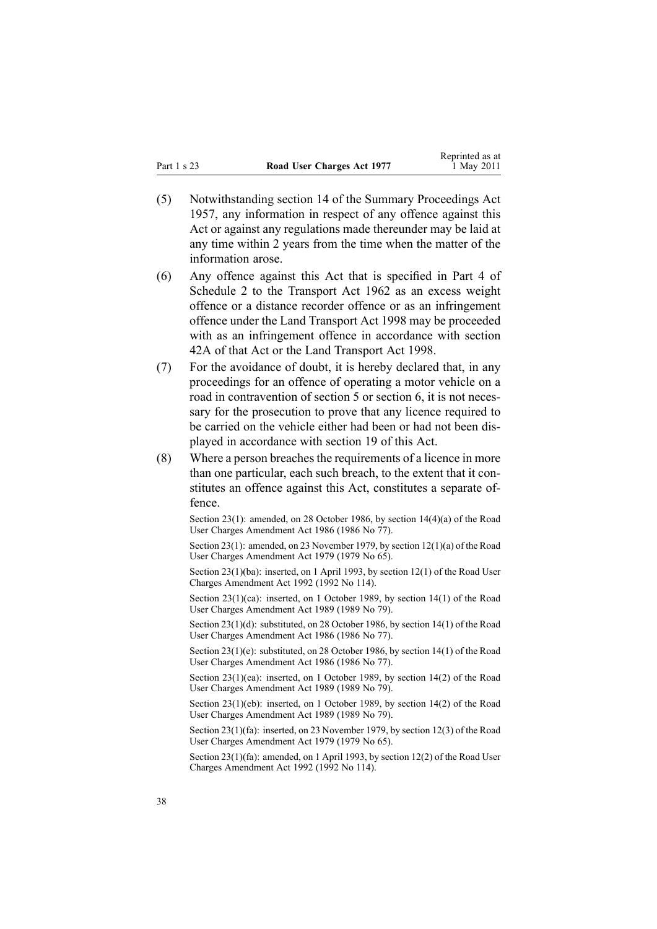- (5) Notwithstanding [section](http://www.legislation.govt.nz/pdflink.aspx?id=DLM311191) 14 of the Summary Proceedings Act 1957, any information in respec<sup>t</sup> of any offence against this Act or against any regulations made thereunder may be laid at any time within 2 years from the time when the matter of the information arose.
- (6) Any offence against this Act that is specified in [Part](http://www.legislation.govt.nz/pdflink.aspx?id=DLM345130) 4 of Schedule 2 to the Transport Act 1962 as an excess weight offence or <sup>a</sup> distance recorder offence or as an infringement offence under the Land [Transport](http://www.legislation.govt.nz/pdflink.aspx?id=DLM433612) Act 1998 may be proceeded with as an infringement offence in accordance with [section](http://www.legislation.govt.nz/pdflink.aspx?id=DLM342910) [42A](http://www.legislation.govt.nz/pdflink.aspx?id=DLM342910) of that Act or the Land Transport Act 1998.
- (7) For the avoidance of doubt, it is hereby declared that, in any proceedings for an offence of operating <sup>a</sup> motor vehicle on <sup>a</sup> road in contravention of [section](#page-9-0) 5 or [section](#page-10-0) 6, it is not necessary for the prosecution to prove that any licence required to be carried on the vehicle either had been or had not been displayed in accordance with [section](#page-26-0) 19 of this Act.
- $(8)$  Where a person breaches the requirements of a licence in more than one particular, each such breach, to the extent that it constitutes an offence against this Act, constitutes <sup>a</sup> separate offence.

Section 23(1): amended, on 28 October 1986, by section 14(4)(a) of the Road User Charges Amendment Act 1986 (1986 No 77).

Section 23(1): amended, on 23 November 1979, by section [12\(1\)\(a\)](http://www.legislation.govt.nz/pdflink.aspx?id=DLM35002) of the Road User Charges Amendment Act 1979 (1979 No 65).

Section 23(1)(ba): inserted, on 1 April 1993, by section 12(1) of the Road User Charges Amendment Act 1992 (1992 No 114).

Section 23(1)(ca): inserted, on 1 October 1989, by section 14(1) of the Road User Charges Amendment Act 1989 (1989 No 79).

Section 23(1)(d): substituted, on 28 October 1986, by section 14(1) of the Road User Charges Amendment Act 1986 (1986 No 77).

Section 23(1)(e): substituted, on 28 October 1986, by section 14(1) of the Road User Charges Amendment Act 1986 (1986 No 77).

Section 23(1)(ea): inserted, on 1 October 1989, by section 14(2) of the Road User Charges Amendment Act 1989 (1989 No 79).

Section 23(1)(eb): inserted, on 1 October 1989, by section 14(2) of the Road User Charges Amendment Act 1989 (1989 No 79).

Section 23(1)(fa): inserted, on 23 November 1979, by [section](http://www.legislation.govt.nz/pdflink.aspx?id=DLM35002) 12(3) of the Road User Charges Amendment Act 1979 (1979 No 65).

Section 23(1)(fa): amended, on 1 April 1993, by section 12(2) of the Road User Charges Amendment Act 1992 (1992 No 114).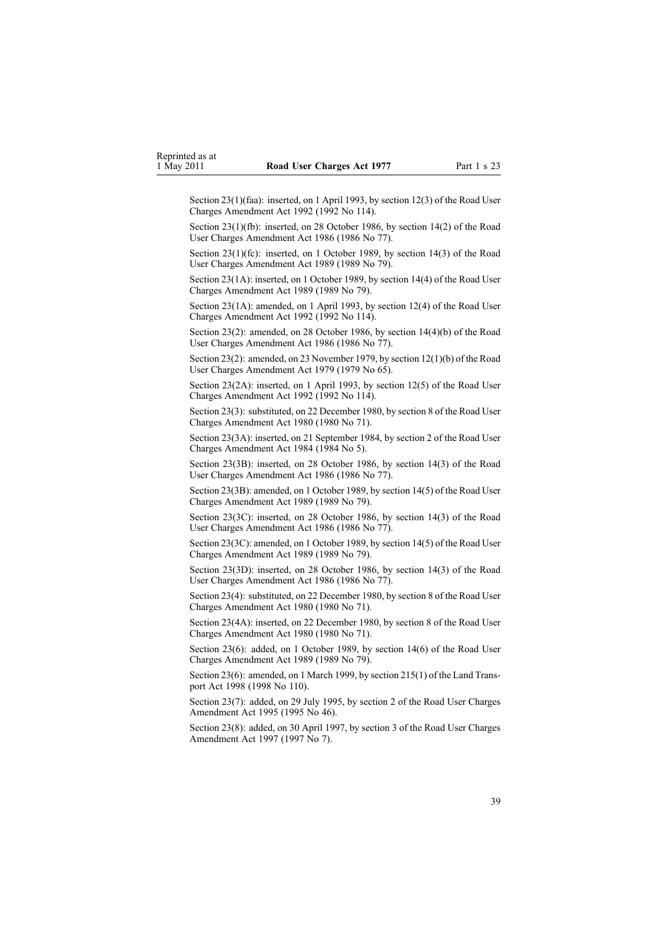Section 23(1)(faa): inserted, on 1 April 1993, by section 12(3) of the Road User Charges Amendment Act 1992 (1992 No 114).

Section 23(1)(fb): inserted, on 28 October 1986, by section 14(2) of the Road User Charges Amendment Act 1986 (1986 No 77).

Section 23(1)(fc): inserted, on 1 October 1989, by section 14(3) of the Road User Charges Amendment Act 1989 (1989 No 79).

Section 23(1A): inserted, on 1 October 1989, by section 14(4) of the Road User Charges Amendment Act 1989 (1989 No 79).

Section 23(1A): amended, on 1 April 1993, by section 12(4) of the Road User Charges Amendment Act 1992 (1992 No 114).

Section 23(2): amended, on 28 October 1986, by section 14(4)(b) of the Road User Charges Amendment Act 1986 (1986 No 77).

Section 23(2): amended, on 23 November 1979, by section [12\(1\)\(b\)](http://www.legislation.govt.nz/pdflink.aspx?id=DLM35002) of the Road User Charges Amendment Act 1979 (1979 No 65).

Section 23(2A): inserted, on 1 April 1993, by section 12(5) of the Road User Charges Amendment Act 1992 (1992 No 114).

Section 23(3): substituted, on 22 December 1980, by [section](http://www.legislation.govt.nz/pdflink.aspx?id=DLM38572) 8 of the Road User Charges Amendment Act 1980 (1980 No 71).

Section 23(3A): inserted, on 21 September 1984, by [section](http://www.legislation.govt.nz/pdflink.aspx?id=DLM75157) 2 of the Road User Charges Amendment Act 1984 (1984 No 5).

Section 23(3B): inserted, on 28 October 1986, by section 14(3) of the Road User Charges Amendment Act 1986 (1986 No 77).

Section 23(3B): amended, on 1 October 1989, by section 14(5) of the Road User Charges Amendment Act 1989 (1989 No 79).

Section 23(3C): inserted, on 28 October 1986, by section 14(3) of the Road User Charges Amendment Act 1986 (1986 No 77).

Section 23(3C): amended, on 1 October 1989, by section 14(5) of the Road User Charges Amendment Act 1989 (1989 No 79).

Section 23(3D): inserted, on 28 October 1986, by section 14(3) of the Road User Charges Amendment Act 1986 (1986 No 77).

Section 23(4): substituted, on 22 December 1980, by [section](http://www.legislation.govt.nz/pdflink.aspx?id=DLM38572) 8 of the Road User Charges Amendment Act 1980 (1980 No 71).

Section 23(4A): inserted, on 22 December 1980, by [section](http://www.legislation.govt.nz/pdflink.aspx?id=DLM38572) 8 of the Road User Charges Amendment Act 1980 (1980 No 71).

Section 23(6): added, on 1 October 1989, by section 14(6) of the Road User Charges Amendment Act 1989 (1989 No 79).

Section 23(6): amended, on 1 March 1999, by section [215\(1\)](http://www.legislation.govt.nz/pdflink.aspx?id=DLM435656) of the Land Transpor<sup>t</sup> Act 1998 (1998 No 110).

Section 23(7): added, on 29 July 1995, by section 2 of the Road User Charges Amendment Act 1995 (1995 No 46).

Section 23(8): added, on 30 April 1997, by [section](http://www.legislation.govt.nz/pdflink.aspx?id=DLM407965) 3 of the Road User Charges Amendment Act 1997 (1997 No 7).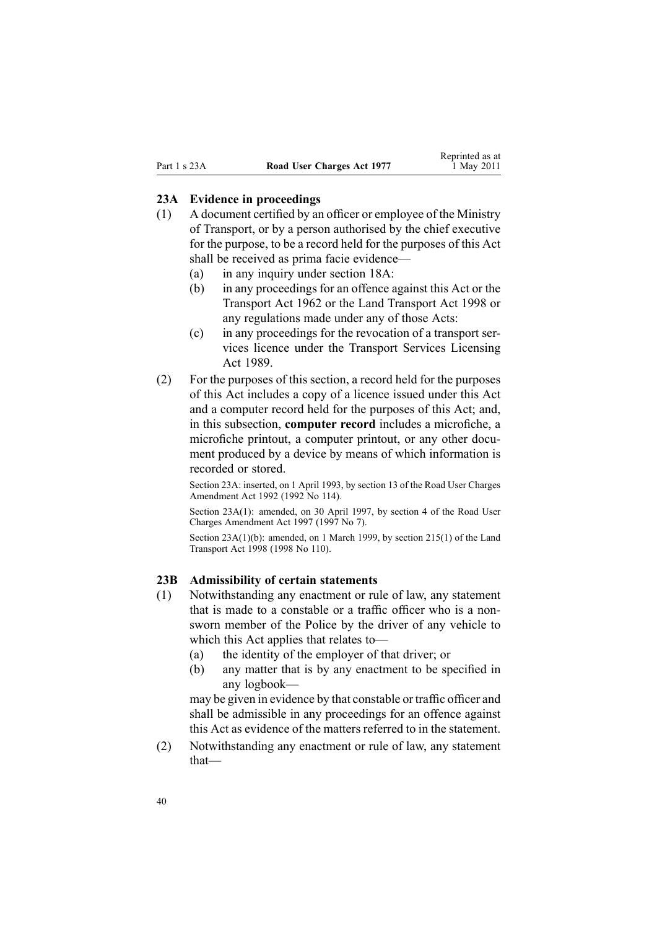#### <span id="page-39-0"></span>**23A Evidence in proceedings**

- (1) A document certified by an officer or employee of the Ministry of Transport, or by <sup>a</sup> person authorised by the chief executive for the purpose, to be <sup>a</sup> record held for the purposes of this Act shall be received as prima facie evidence—
	- (a) in any inquiry under [section](#page-21-0) 18A:
	- (b) in any proceedings for an offence against this Act or the [Transport](http://www.legislation.govt.nz/pdflink.aspx?id=DLM341189) Act 1962 or the Land [Transport](http://www.legislation.govt.nz/pdflink.aspx?id=DLM433612) Act 1998 or any regulations made under any of those Acts:
	- (c) in any proceedings for the revocation of <sup>a</sup> transport services licence under the Transport Services [Licensing](http://www.legislation.govt.nz/pdflink.aspx?id=DLM170942) Act [1989](http://www.legislation.govt.nz/pdflink.aspx?id=DLM170942).
- (2) For the purposes of this section, <sup>a</sup> record held for the purposes of this Act includes <sup>a</sup> copy of <sup>a</sup> licence issued under this Act and <sup>a</sup> computer record held for the purposes of this Act; and, in this subsection, **computer record** includes <sup>a</sup> microfiche, <sup>a</sup> microfiche printout, <sup>a</sup> computer printout, or any other document produced by <sup>a</sup> device by means of which information is recorded or stored.

Section 23A: inserted, on 1 April 1993, by section 13 of the Road User Charges Amendment Act 1992 (1992 No 114).

Section 23A(1): amended, on 30 April 1997, by [section](http://www.legislation.govt.nz/pdflink.aspx?id=DLM407966) 4 of the Road User Charges Amendment Act 1997 (1997 No 7).

Section 23A(1)(b): amended, on 1 March 1999, by section [215\(1\)](http://www.legislation.govt.nz/pdflink.aspx?id=DLM435656) of the Land Transport Act 1998 (1998 No 110).

#### **23B Admissibility of certain statements**

- (1) Notwithstanding any enactment or rule of law, any statement that is made to <sup>a</sup> constable or <sup>a</sup> traffic officer who is <sup>a</sup> nonsworn member of the Police by the driver of any vehicle to which this Act applies that relates to—
	- (a) the identity of the employer of that driver; or
	- (b) any matter that is by any enactment to be specified in any logbook—

may be given in evidence by that constable or traffic officer and shall be admissible in any proceedings for an offence against this Act as evidence of the matters referred to in the statement.

(2) Notwithstanding any enactment or rule of law, any statement that—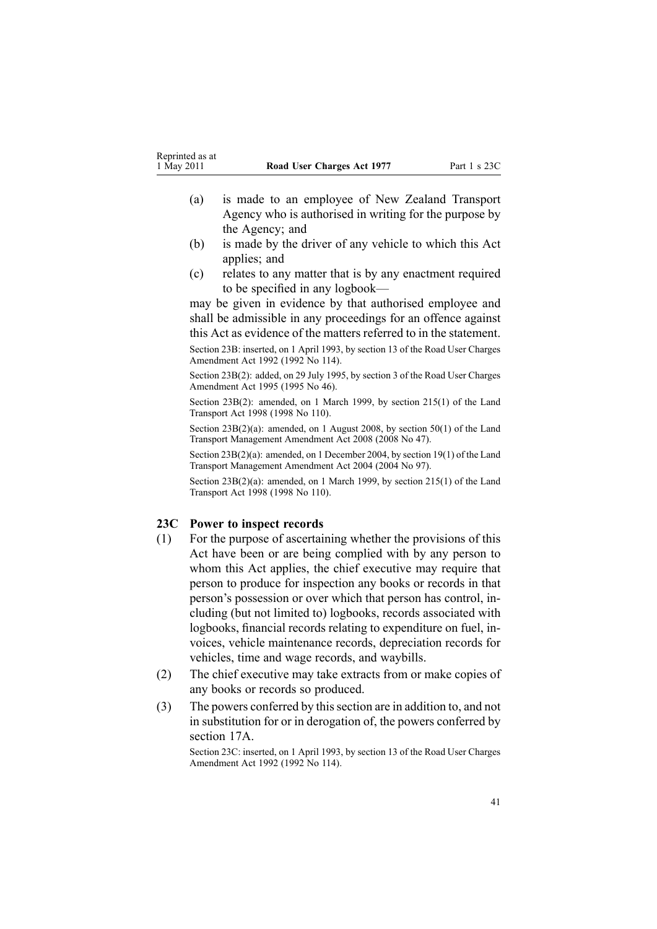- <span id="page-40-0"></span>(a) is made to an employee of New Zealand Transport Agency who is authorised in writing for the purpose by the Agency; and
- (b) is made by the driver of any vehicle to which this Act applies; and
- (c) relates to any matter that is by any enactment required to be specified in any logbook—

may be given in evidence by that authorised employee and shall be admissible in any proceedings for an offence against this Act as evidence of the matters referred to in the statement.

Section 23B: inserted, on 1 April 1993, by section 13 of the Road User Charges Amendment Act 1992 (1992 No 114).

Section 23B(2): added, on 29 July 1995, by section 3 of the Road User Charges Amendment Act 1995 (1995 No 46).

Section 23B(2): amended, on 1 March 1999, by section [215\(1\)](http://www.legislation.govt.nz/pdflink.aspx?id=DLM435656) of the Land Transport Act 1998 (1998 No 110).

Section 23B(2)(a): amended, on 1 August 2008, by [section](http://www.legislation.govt.nz/pdflink.aspx?id=DLM1313622) 50(1) of the Land Transport Management Amendment Act 2008 (2008 No 47).

Section 23B(2)(a): amended, on 1 December 2004, by [section](http://www.legislation.govt.nz/pdflink.aspx?id=DLM321838) 19(1) of the Land Transport Management Amendment Act 2004 (2004 No 97).

Section 23B(2)(a): amended, on 1 March 1999, by section [215\(1\)](http://www.legislation.govt.nz/pdflink.aspx?id=DLM435656) of the Land Transport Act 1998 (1998 No 110).

#### **23C Power to inspect records**

- (1) For the purpose of ascertaining whether the provisions of this Act have been or are being complied with by any person to whom this Act applies, the chief executive may require that person to produce for inspection any books or records in that person's possession or over which that person has control, including (but not limited to) logbooks, records associated with logbooks, financial records relating to expenditure on fuel, invoices, vehicle maintenance records, depreciation records for vehicles, time and wage records, and waybills.
- (2) The chief executive may take extracts from or make copies of any books or records so produced.
- (3) The powers conferred by thissection are in addition to, and not in substitution for or in derogation of, the powers conferred by [section](#page-19-0) 17A.

Section 23C: inserted, on 1 April 1993, by section 13 of the Road User Charges Amendment Act 1992 (1992 No 114).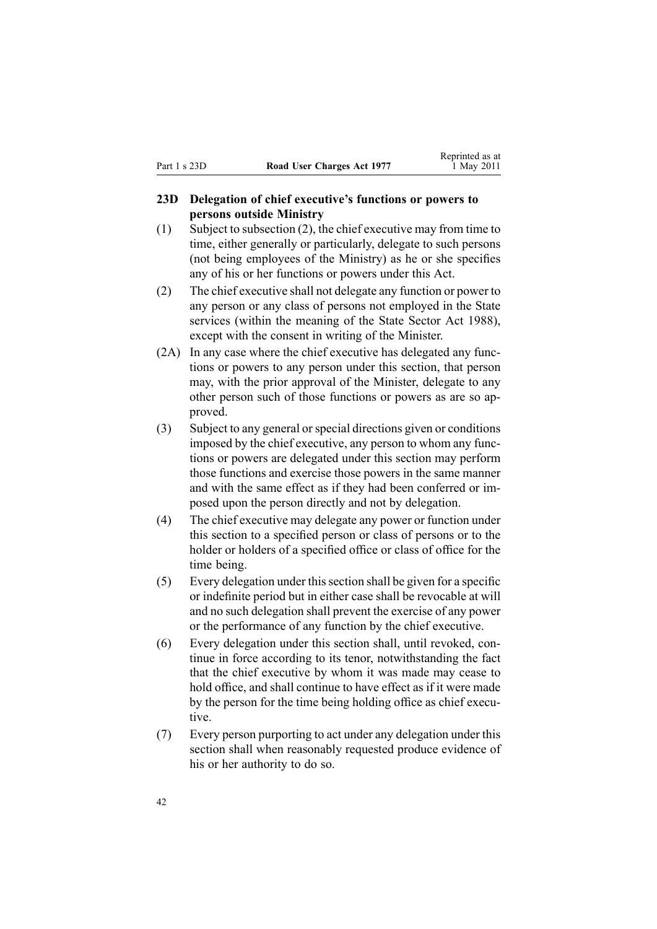#### <span id="page-41-0"></span>**23D Delegation of chief executive's functions or powers to persons outside Ministry**

- (1) Subject to subsection (2), the chief executive may from time to time, either generally or particularly, delegate to such persons (not being employees of the Ministry) as he or she specifies any of his or her functions or powers under this Act.
- (2) The chief executive shall not delegate any function or power to any person or any class of persons not employed in the State services (within the meaning of the State [Sector](http://www.legislation.govt.nz/pdflink.aspx?id=DLM129109) Act 1988), excep<sup>t</sup> with the consent in writing of the Minister.
- (2A) In any case where the chief executive has delegated any functions or powers to any person under this section, that person may, with the prior approval of the Minister, delegate to any other person such of those functions or powers as are so approved.
- (3) Subject to any general orspecial directions given or conditions imposed by the chief executive, any person to whom any functions or powers are delegated under this section may perform those functions and exercise those powers in the same manner and with the same effect as if they had been conferred or imposed upon the person directly and not by delegation.
- (4) The chief executive may delegate any power or function under this section to <sup>a</sup> specified person or class of persons or to the holder or holders of <sup>a</sup> specified office or class of office for the time being.
- (5) Every delegation under thissection shall be given for <sup>a</sup> specific or indefinite period but in either case shall be revocable at will and no such delegation shall preven<sup>t</sup> the exercise of any power or the performance of any function by the chief executive.
- (6) Every delegation under this section shall, until revoked, continue in force according to its tenor, notwithstanding the fact that the chief executive by whom it was made may cease to hold office, and shall continue to have effect as if it were made by the person for the time being holding office as chief executive.
- (7) Every person purporting to act under any delegation under this section shall when reasonably requested produce evidence of his or her authority to do so.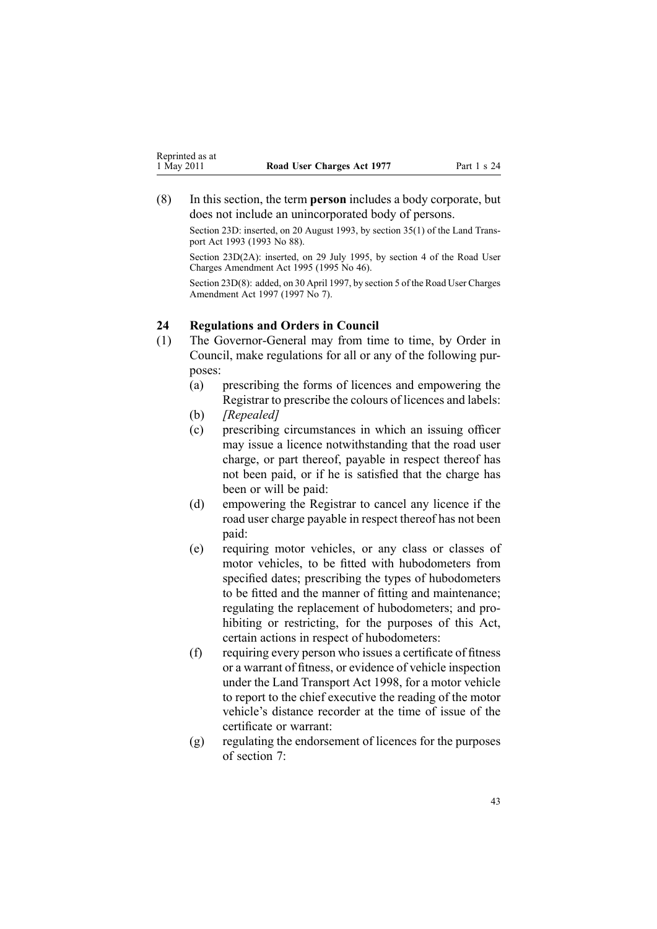<span id="page-42-0"></span>(8) In this section, the term **person** includes <sup>a</sup> body corporate, but does not include an unincorporated body of persons.

Section 23D: inserted, on 20 August 1993, by section 35(1) of the Land Transpor<sup>t</sup> Act 1993 (1993 No 88).

Section 23D(2A): inserted, on 29 July 1995, by section 4 of the Road User Charges Amendment Act 1995 (1995 No 46).

Section 23D(8): added, on 30 April 1997, by [section](http://www.legislation.govt.nz/pdflink.aspx?id=DLM407967) 5 of the Road User Charges Amendment Act 1997 (1997 No 7).

#### **24 Regulations and Orders in Council**

- (1) The Governor-General may from time to time, by Order in Council, make regulations for all or any of the following purposes:
	- (a) prescribing the forms of licences and empowering the Registrar to prescribe the colours of licences and labels:
	- (b) *[Repealed]*
	- (c) prescribing circumstances in which an issuing officer may issue <sup>a</sup> licence notwithstanding that the road user charge, or par<sup>t</sup> thereof, payable in respec<sup>t</sup> thereof has not been paid, or if he is satisfied that the charge has been or will be paid:
	- (d) empowering the Registrar to cancel any licence if the road user charge payable in respec<sup>t</sup> thereof has not been paid:
	- (e) requiring motor vehicles, or any class or classes of motor vehicles, to be fitted with hubodometers from specified dates; prescribing the types of hubodometers to be fitted and the manner of fitting and maintenance; regulating the replacement of hubodometers; and prohibiting or restricting, for the purposes of this Act, certain actions in respec<sup>t</sup> of hubodometers:
	- (f) requiring every person who issues <sup>a</sup> certificate of fitness or <sup>a</sup> warrant of fitness, or evidence of vehicle inspection under the Land [Transport](http://www.legislation.govt.nz/pdflink.aspx?id=DLM433612) Act 1998, for <sup>a</sup> motor vehicle to repor<sup>t</sup> to the chief executive the reading of the motor vehicle's distance recorder at the time of issue of the certificate or warrant:
	- (g) regulating the endorsement of licences for the purposes of [section](#page-11-0) 7: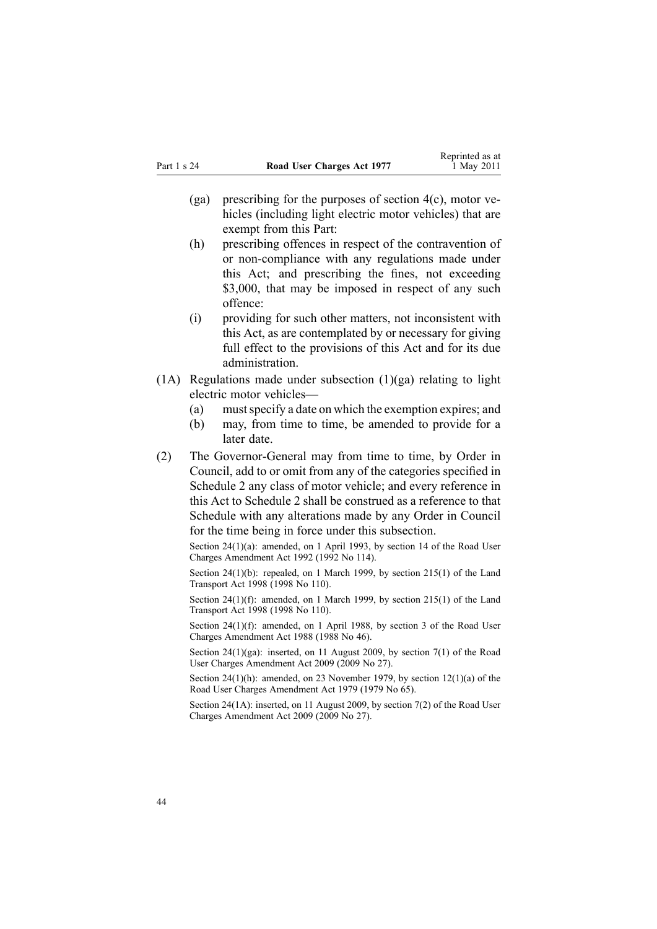- (ga) prescribing for the purposes of [section](#page-9-0)  $4(c)$ , motor vehicles (including light electric motor vehicles) that are exemp<sup>t</sup> from this Part:
- (h) prescribing offences in respec<sup>t</sup> of the contravention of or non-compliance with any regulations made under this Act; and prescribing the fines, not exceeding \$3,000, that may be imposed in respect of any such offence:
- (i) providing for such other matters, not inconsistent with this Act, as are contemplated by or necessary for giving full effect to the provisions of this Act and for its due administration.
- $(1)$  Regulations made under subsection  $(1)(ga)$  relating to light electric motor vehicles—
	- (a) mustspecify <sup>a</sup> date on which the exemption expires; and
	- (b) may, from time to time, be amended to provide for <sup>a</sup> later date.
- (2) The Governor-General may from time to time, by Order in Council, add to or omit from any of the categories specified in [Schedule](#page-49-0) 2 any class of motor vehicle; and every reference in this Act to Schedule 2 shall be construed as <sup>a</sup> reference to that Schedule with any alterations made by any Order in Council for the time being in force under this subsection.

Section 24(1)(a): amended, on 1 April 1993, by section 14 of the Road User Charges Amendment Act 1992 (1992 No 114).

Section 24(1)(b): repealed, on 1 March 1999, by section [215\(1\)](http://www.legislation.govt.nz/pdflink.aspx?id=DLM435656) of the Land Transport Act 1998 (1998 No 110).

Section 24(1)(f): amended, on 1 March 1999, by section [215\(1\)](http://www.legislation.govt.nz/pdflink.aspx?id=DLM435656) of the Land Transport Act 1998 (1998 No 110).

Section 24(1)(f): amended, on 1 April 1988, by section 3 of the Road User Charges Amendment Act 1988 (1988 No 46).

Section 24(1)(ga): inserted, on 11 August 2009, by [section](http://www.legislation.govt.nz/pdflink.aspx?id=DLM2172216) 7(1) of the Road User Charges Amendment Act 2009 (2009 No 27).

Section 24(1)(h): amended, on 23 November 1979, by section [12\(1\)\(a\)](http://www.legislation.govt.nz/pdflink.aspx?id=DLM35002) of the Road User Charges Amendment Act 1979 (1979 No 65).

Section 24(1A): inserted, on 11 August 2009, by [section](http://www.legislation.govt.nz/pdflink.aspx?id=DLM2172216) 7(2) of the Road User Charges Amendment Act 2009 (2009 No 27).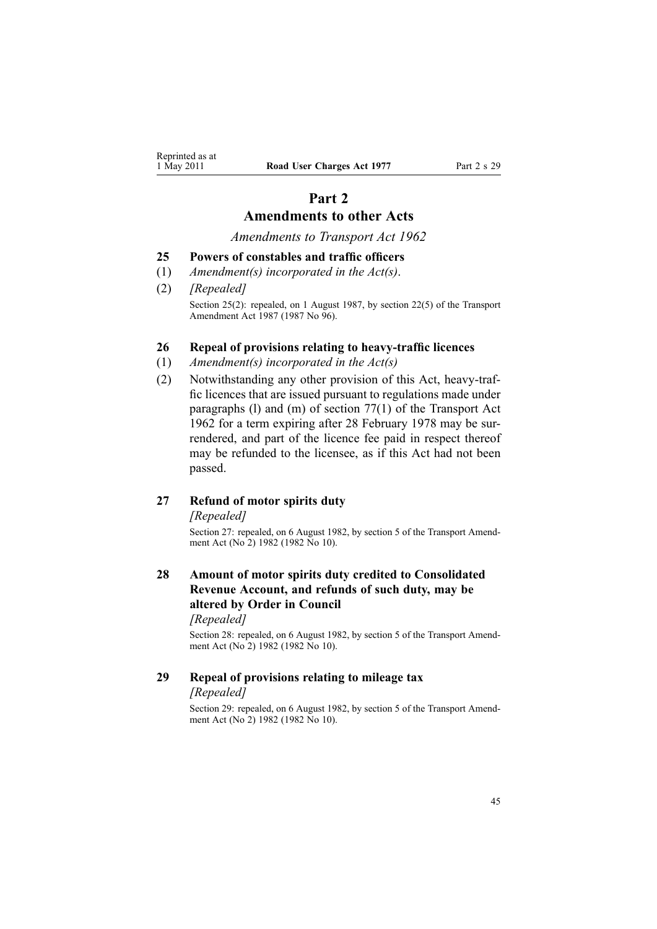# **Part 2 Amendments to other Acts**

*Amendments to Transport Act 1962*

#### <span id="page-44-0"></span>**25 Powers of constables and traffic officers**

- (1) *Amendment(s) incorporated in the [Act\(s\)](http://www.legislation.govt.nz/pdflink.aspx?id=DLM343552)*.
- (2) *[Repealed]* Section 25(2): repealed, on 1 August 1987, by section 22(5) of the Transport Amendment Act 1987 (1987 No 96).

#### **26 Repeal of provisions relating to heavy-traffic licences**

- (1) *Amendment(s) incorporated in the [Act\(s\)](http://www.legislation.govt.nz/pdflink.aspx?id=DLM341189)*
- (2) Notwithstanding any other provision of this Act, heavy-traffic licences that are issued pursuan<sup>t</sup> to regulations made under paragraphs (l) and (m) of [section](http://www.legislation.govt.nz/pdflink.aspx?id=DLM343978) 77(1) of the Transport Act 1962 for <sup>a</sup> term expiring after 28 February 1978 may be surrendered, and par<sup>t</sup> of the licence fee paid in respec<sup>t</sup> thereof may be refunded to the licensee, as if this Act had not been passed.

#### **27 Refund of motor spirits duty**

*[Repealed]*

Section 27: repealed, on 6 August 1982, by section 5 of the Transport Amendment Act (No<sup>2</sup>) 1982 (1982 No 10).

# **28 Amount of motor spirits duty credited to Consolidated Revenue Account, and refunds of such duty, may be altered by Order in Council**

*[Repealed]*

Section 28: repealed, on 6 August 1982, by section 5 of the Transport Amendment Act (No<sup>2</sup>) 1982 (1982 No 10).

#### **29 Repeal of provisions relating to mileage tax** *[Repealed]*

Section 29: repealed, on 6 August 1982, by section 5 of the Transport Amendment Act (No<sup>2</sup>) 1982 (1982 No 10).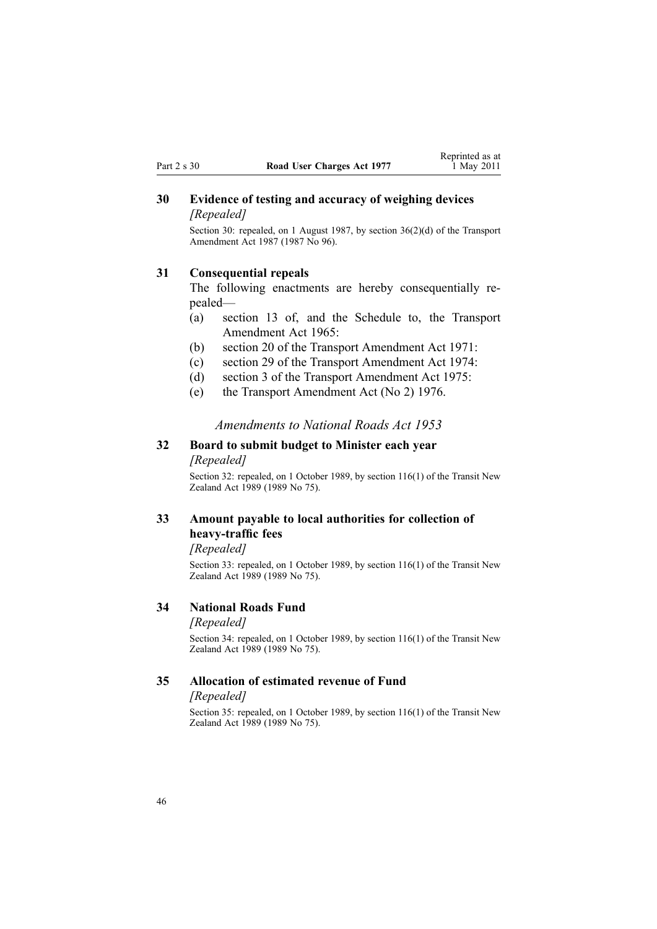## <span id="page-45-0"></span>**30 Evidence of testing and accuracy of weighing devices** *[Repealed]*

Section 30: repealed, on 1 August 1987, by section 36(2)(d) of the Transport Amendment Act 1987 (1987 No 96).

#### **31 Consequential repeals**

The following enactments are hereby consequentially repealed—

- (a) section 13 of, and the Schedule to, the Transport Amendment Act 1965:
- (b) section 20 of the Transport Amendment Act 1971:
- (c) section 29 of the Transport Amendment Act 1974:
- (d) section 3 of the Transport Amendment Act 1975:
- (e) the Transport Amendment Act (No 2) 1976.

#### *Amendments to National Roads Act 1953*

## **32 Board to submit budget to Minister each year** *[Repealed]*

Section 32: repealed, on 1 October 1989, by section [116\(1\)](http://www.legislation.govt.nz/pdflink.aspx?id=DLM175926) of the Transit New Zealand Act 1989 (1989 No 75).

# **33 Amount payable to local authorities for collection of heavy-traffic fees**

*[Repealed]*

Section 33: repealed, on 1 October 1989, by section [116\(1\)](http://www.legislation.govt.nz/pdflink.aspx?id=DLM175926) of the Transit New Zealand Act 1989 (1989 No 75).

#### **34 National Roads Fund**

#### *[Repealed]*

Section 34: repealed, on 1 October 1989, by section [116\(1\)](http://www.legislation.govt.nz/pdflink.aspx?id=DLM175926) of the Transit New Zealand Act 1989 (1989 No 75).

#### **35 Allocation of estimated revenue of Fund**

#### *[Repealed]*

Section 35: repealed, on 1 October 1989, by section [116\(1\)](http://www.legislation.govt.nz/pdflink.aspx?id=DLM175926) of the Transit New Zealand Act 1989 (1989 No 75).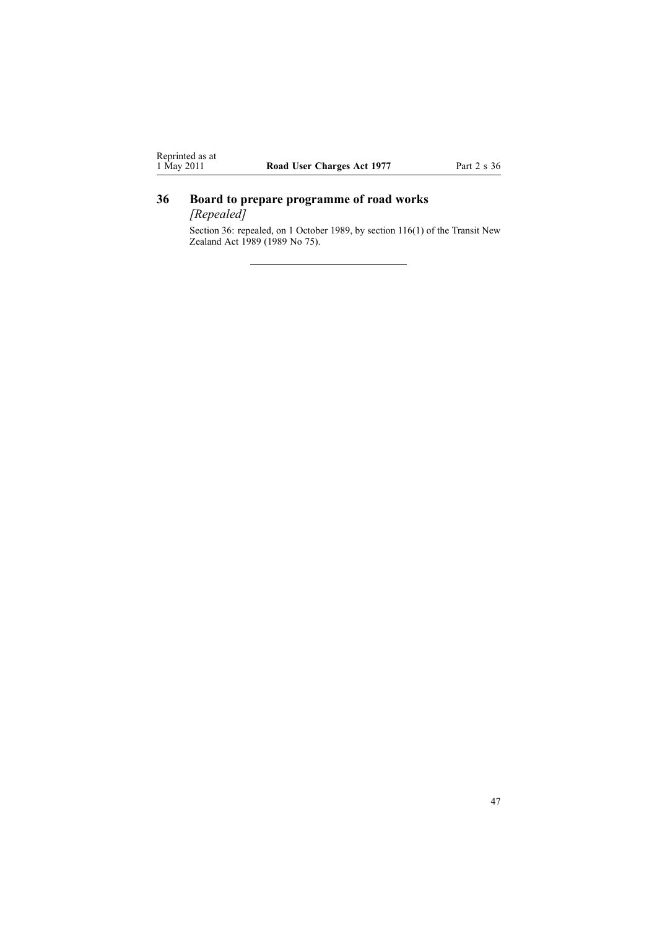# <span id="page-46-0"></span>**36 Board to prepare programme of road works**

*[Repealed]*

Section 36: repealed, on 1 October 1989, by section [116\(1\)](http://www.legislation.govt.nz/pdflink.aspx?id=DLM175926) of the Transit New Zealand Act 1989 (1989 No 75).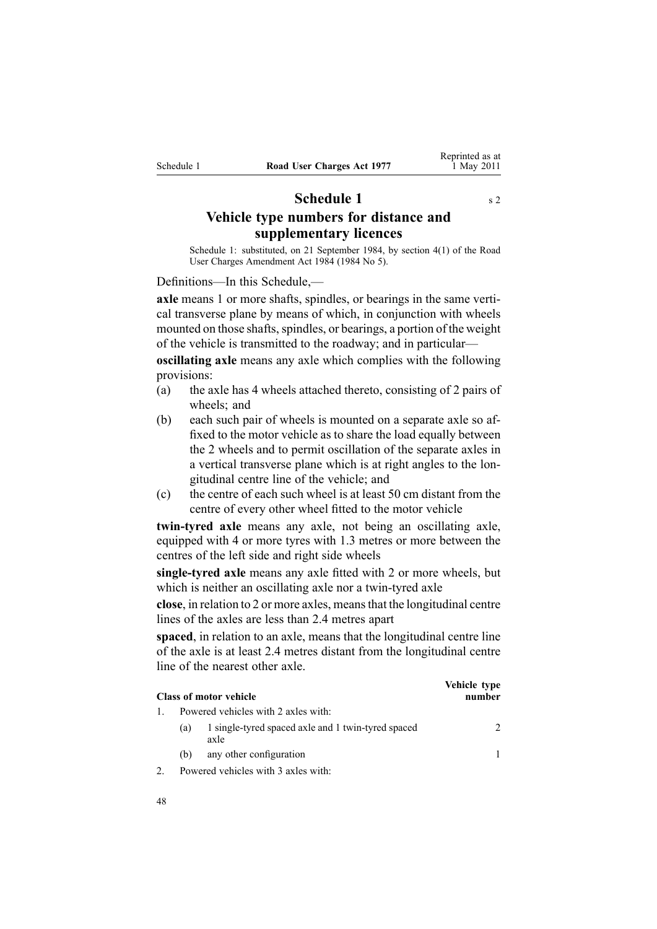# **Schedule** 1 s [2](#page-3-0)

<span id="page-47-0"></span>**Vehicle type numbers for distance and supplementary licences**

Schedule 1: substituted, on 21 September 1984, by [section](http://www.legislation.govt.nz/pdflink.aspx?id=DLM75159) 4(1) of the Road User Charges Amendment Act 1984 (1984 No 5).

Definitions—In this Schedule,—

**axle** means 1 or more shafts, spindles, or bearings in the same vertical transverse plane by means of which, in conjunction with wheels mounted on those shafts, spindles, or bearings, a portion of the weight of the vehicle is transmitted to the roadway; and in particular—

**oscillating axle** means any axle which complies with the following provisions:

- (a) the axle has 4 wheels attached thereto, consisting of 2 pairs of wheels; and
- (b) each such pair of wheels is mounted on <sup>a</sup> separate axle so affixed to the motor vehicle as to share the load equally between the 2 wheels and to permit oscillation of the separate axles in <sup>a</sup> vertical transverse plane which is at right angles to the longitudinal centre line of the vehicle; and
- (c) the centre of each such wheel is at least 50 cm distant from the centre of every other wheel fitted to the motor vehicle

**twin-tyred axle** means any axle, not being an oscillating axle, equipped with 4 or more tyres with 1.3 metres or more between the centres of the left side and right side wheels

**single-tyred axle** means any axle fitted with 2 or more wheels, but which is neither an oscillating axle nor <sup>a</sup> twin-tyred axle

**close**, in relation to 2 or more axles, meansthat the longitudinal centre lines of the axles are less than 2.4 metres apar<sup>t</sup>

**spaced**, in relation to an axle, means that the longitudinal centre line of the axle is at least 2.4 metres distant from the longitudinal centre line of the nearest other axle.

|     | <b>Class of motor vehicle</b>                              | Vehicle type<br>number |
|-----|------------------------------------------------------------|------------------------|
|     | Powered vehicles with 2 axles with:                        |                        |
| (a) | 1 single-tyred spaced axle and 1 twin-tyred spaced<br>axle | $\mathcal{L}$          |
| (b) | any other configuration                                    |                        |
|     | Powered vehicles with 3 axles with:                        |                        |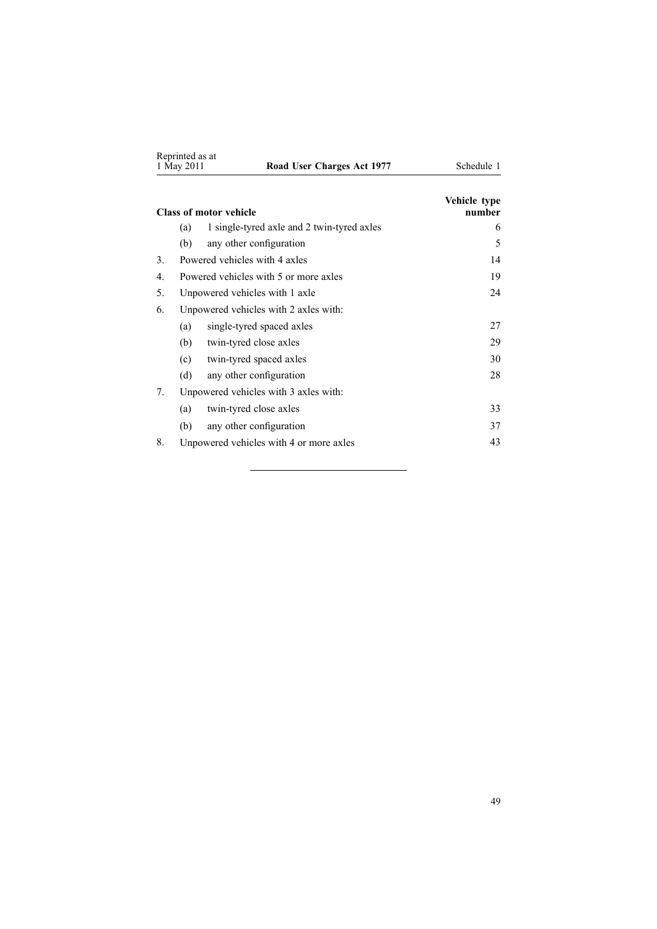|    | Reprinted as at<br>1 May 2011 | Road User Charges Act 1977                 | Schedule 1             |
|----|-------------------------------|--------------------------------------------|------------------------|
|    |                               | <b>Class of motor vehicle</b>              | Vehicle type<br>number |
|    | (a)                           | 1 single-tyred axle and 2 twin-tyred axles | 6                      |
|    | (b)                           | any other configuration                    | 5                      |
| 3  |                               | Powered vehicles with 4 axles              | 14                     |
| 4  |                               | Powered vehicles with 5 or more axles      | 19                     |
| 5. |                               | Unpowered vehicles with 1 axle             | 24                     |
| 6. |                               | Unpowered vehicles with 2 axles with:      |                        |
|    | (a)                           | single-tyred spaced axles                  | 27                     |
|    | (b)                           | twin-tyred close axles                     | 29                     |
|    | (c)                           | twin-tyred spaced axles                    | 30                     |
|    | (d)                           | any other configuration                    | 28                     |
| 7. |                               | Unpowered vehicles with 3 axles with:      |                        |
|    | (a)                           | twin-tyred close axles                     | 33                     |
|    | (b)                           | any other configuration                    | 37                     |
| 8. |                               | Unpowered vehicles with 4 or more axles    | 43                     |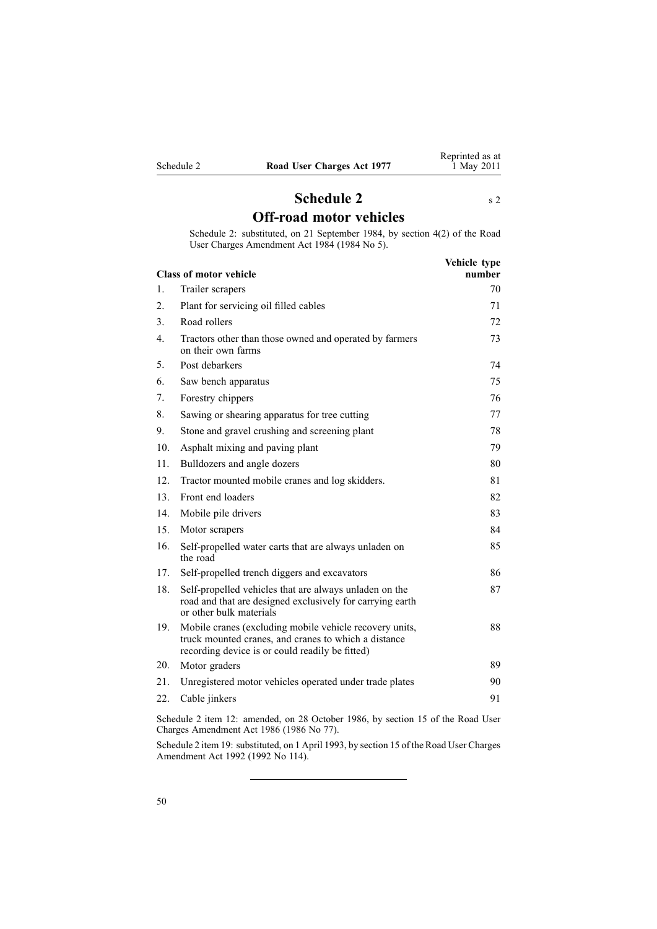<span id="page-49-0"></span>

| Schedule 2 |  |  |
|------------|--|--|
|            |  |  |

# **Schedule [2](#page-3-0)** s 2 **Off-road motor vehicles**

Schedule 2: substituted, on 21 September 1984, by [section](http://www.legislation.govt.nz/pdflink.aspx?id=DLM75159) 4(2) of the Road User Charges Amendment Act 1984 (1984 No 5).

|                  | <b>Class of motor vehicle</b>                                                                                                                                      | Vehicle type<br>number |
|------------------|--------------------------------------------------------------------------------------------------------------------------------------------------------------------|------------------------|
| 1.               | Trailer scrapers                                                                                                                                                   | 70                     |
| 2.               | Plant for servicing oil filled cables                                                                                                                              | 71                     |
| 3.               | Road rollers                                                                                                                                                       | 72                     |
| $\overline{4}$ . | Tractors other than those owned and operated by farmers<br>on their own farms                                                                                      | 73                     |
| 5.               | Post debarkers                                                                                                                                                     | 74                     |
| 6.               | Saw bench apparatus                                                                                                                                                | 75                     |
| 7.               | Forestry chippers                                                                                                                                                  | 76                     |
| 8.               | Sawing or shearing apparatus for tree cutting                                                                                                                      | 77                     |
| 9.               | Stone and gravel crushing and screening plant                                                                                                                      | 78                     |
| 10.              | Asphalt mixing and paving plant                                                                                                                                    | 79                     |
| 11.              | Bulldozers and angle dozers                                                                                                                                        | 80                     |
| 12.              | Tractor mounted mobile cranes and log skidders.                                                                                                                    | 81                     |
| 13.              | Front end loaders                                                                                                                                                  | 82                     |
| 14.              | Mobile pile drivers                                                                                                                                                | 83                     |
| 15               | Motor scrapers                                                                                                                                                     | 84                     |
| 16.              | Self-propelled water carts that are always unladen on<br>the road                                                                                                  | 85                     |
| 17.              | Self-propelled trench diggers and excavators                                                                                                                       | 86                     |
| 18.              | Self-propelled vehicles that are always unladen on the<br>road and that are designed exclusively for carrying earth<br>or other bulk materials                     | 87                     |
| 19.              | Mobile cranes (excluding mobile vehicle recovery units,<br>truck mounted cranes, and cranes to which a distance<br>recording device is or could readily be fitted) | 88                     |
| 20.              | Motor graders                                                                                                                                                      | 89                     |
| 21.              | Unregistered motor vehicles operated under trade plates                                                                                                            | 90                     |
| 22.              | Cable jinkers                                                                                                                                                      | 91                     |
|                  |                                                                                                                                                                    |                        |

Schedule 2 item 12: amended, on 28 October 1986, by section 15 of the Road User Charges Amendment Act 1986 (1986 No 77).

Schedule 2 item 19: substituted, on 1 April 1993, by section 15 of the Road User Charges Amendment Act 1992 (1992 No 114).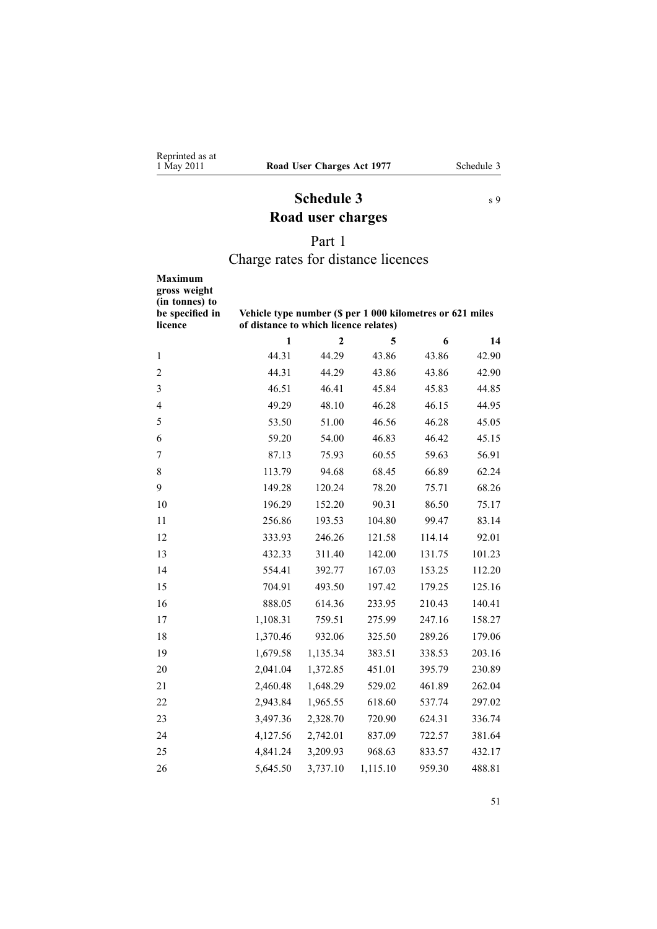# **Schedule 3** s [9](#page-13-0) **Road user charges**

# Part 1

# Charge rates for distance licences

<span id="page-50-0"></span>

| <b>Maximum</b><br>gross weight<br>(in tonnes) to<br>be specified in<br>licence | Vehicle type number (\$ per 1 000 kilometres or 621 miles<br>of distance to which licence relates) |                |          |        |        |
|--------------------------------------------------------------------------------|----------------------------------------------------------------------------------------------------|----------------|----------|--------|--------|
|                                                                                | $\mathbf{1}$                                                                                       | $\overline{2}$ | 5        | 6      | 14     |
| 1                                                                              | 44.31                                                                                              | 44.29          | 43.86    | 43.86  | 42.90  |
| $\overline{c}$                                                                 | 44.31                                                                                              | 44.29          | 43.86    | 43.86  | 42.90  |
| 3                                                                              | 46.51                                                                                              | 46.41          | 45.84    | 45.83  | 44.85  |
| $\overline{4}$                                                                 | 49.29                                                                                              | 48.10          | 46.28    | 46.15  | 44.95  |
| 5                                                                              | 53.50                                                                                              | 51.00          | 46.56    | 46.28  | 45.05  |
| 6                                                                              | 59.20                                                                                              | 54.00          | 46.83    | 46.42  | 45.15  |
| 7                                                                              | 87.13                                                                                              | 75.93          | 60.55    | 59.63  | 56.91  |
| $8\,$                                                                          | 113.79                                                                                             | 94.68          | 68.45    | 66.89  | 62.24  |
| 9                                                                              | 149.28                                                                                             | 120.24         | 78.20    | 75.71  | 68.26  |
| 10                                                                             | 196.29                                                                                             | 152.20         | 90.31    | 86.50  | 75.17  |
| 11                                                                             | 256.86                                                                                             | 193.53         | 104.80   | 99.47  | 83.14  |
| 12                                                                             | 333.93                                                                                             | 246.26         | 121.58   | 114.14 | 92.01  |
| 13                                                                             | 432.33                                                                                             | 311.40         | 142.00   | 131.75 | 101.23 |
| 14                                                                             | 554.41                                                                                             | 392.77         | 167.03   | 153.25 | 112.20 |
| 15                                                                             | 704.91                                                                                             | 493.50         | 197.42   | 179.25 | 125.16 |
| 16                                                                             | 888.05                                                                                             | 614.36         | 233.95   | 210.43 | 140.41 |
| 17                                                                             | 1,108.31                                                                                           | 759.51         | 275.99   | 247.16 | 158.27 |
| 18                                                                             | 1,370.46                                                                                           | 932.06         | 325.50   | 289.26 | 179.06 |
| 19                                                                             | 1,679.58                                                                                           | 1,135.34       | 383.51   | 338.53 | 203.16 |
| 20                                                                             | 2,041.04                                                                                           | 1,372.85       | 451.01   | 395.79 | 230.89 |
| 21                                                                             | 2,460.48                                                                                           | 1,648.29       | 529.02   | 461.89 | 262.04 |
| 22                                                                             | 2,943.84                                                                                           | 1,965.55       | 618.60   | 537.74 | 297.02 |
| 23                                                                             | 3,497.36                                                                                           | 2,328.70       | 720.90   | 624.31 | 336.74 |
| 24                                                                             | 4,127.56                                                                                           | 2,742.01       | 837.09   | 722.57 | 381.64 |
| 25                                                                             | 4,841.24                                                                                           | 3,209.93       | 968.63   | 833.57 | 432.17 |
| 26                                                                             | 5,645.50                                                                                           | 3,737.10       | 1,115.10 | 959.30 | 488.81 |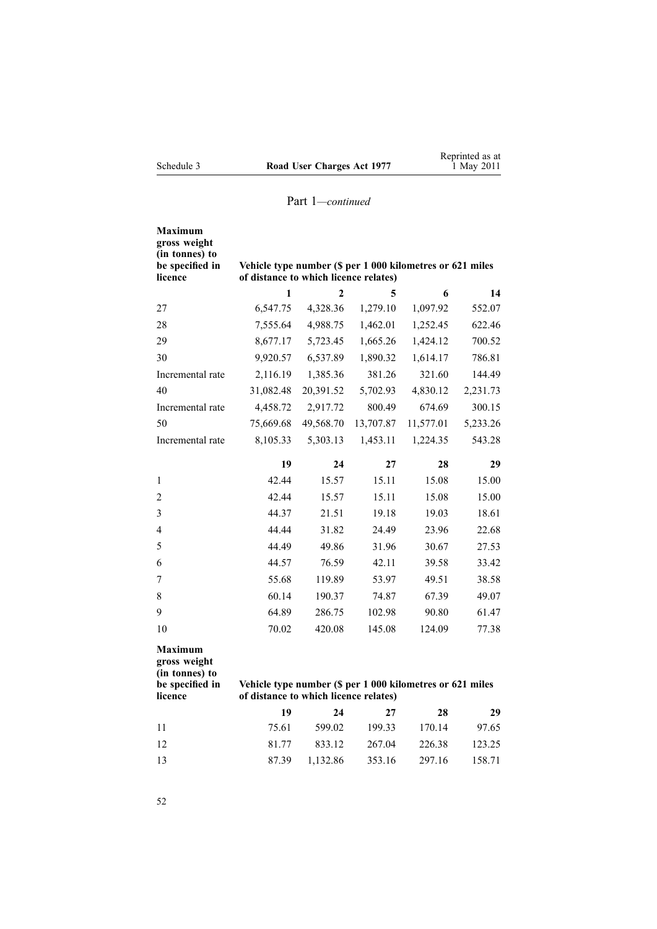| <b>Maximum</b><br>gross weight<br>(in tonnes) to<br>be specified in<br>licence                                                                                                       | Vehicle type number (\$ per 1 000 kilometres or 621 miles<br>of distance to which licence relates) |                |           |           |          |
|--------------------------------------------------------------------------------------------------------------------------------------------------------------------------------------|----------------------------------------------------------------------------------------------------|----------------|-----------|-----------|----------|
|                                                                                                                                                                                      | 1                                                                                                  | $\overline{2}$ | 5         | 6         | 14       |
| 27                                                                                                                                                                                   | 6,547.75                                                                                           | 4,328.36       | 1,279.10  | 1,097.92  | 552.07   |
| 28                                                                                                                                                                                   | 7,555.64                                                                                           | 4,988.75       | 1,462.01  | 1,252.45  | 622.46   |
| 29                                                                                                                                                                                   | 8,677.17                                                                                           | 5,723.45       | 1,665.26  | 1,424.12  | 700.52   |
| 30                                                                                                                                                                                   | 9,920.57                                                                                           | 6,537.89       | 1,890.32  | 1,614.17  | 786.81   |
| Incremental rate                                                                                                                                                                     | 2,116.19                                                                                           | 1,385.36       | 381.26    | 321.60    | 144.49   |
| 40                                                                                                                                                                                   | 31,082.48                                                                                          | 20,391.52      | 5,702.93  | 4,830.12  | 2,231.73 |
| Incremental rate                                                                                                                                                                     | 4,458.72                                                                                           | 2,917.72       | 800.49    | 674.69    | 300.15   |
| 50                                                                                                                                                                                   | 75,669.68                                                                                          | 49,568.70      | 13,707.87 | 11,577.01 | 5,233.26 |
| Incremental rate                                                                                                                                                                     | 8,105.33                                                                                           | 5,303.13       | 1,453.11  | 1,224.35  | 543.28   |
|                                                                                                                                                                                      | 19                                                                                                 | 24             | 27        | 28        | 29       |
| 1                                                                                                                                                                                    | 42.44                                                                                              | 15.57          | 15.11     | 15.08     | 15.00    |
| 2                                                                                                                                                                                    | 42.44                                                                                              | 15.57          | 15.11     | 15.08     | 15.00    |
| 3                                                                                                                                                                                    | 44.37                                                                                              | 21.51          | 19.18     | 19.03     | 18.61    |
| 4                                                                                                                                                                                    | 44.44                                                                                              | 31.82          | 24.49     | 23.96     | 22.68    |
| 5                                                                                                                                                                                    | 44.49                                                                                              | 49.86          | 31.96     | 30.67     | 27.53    |
| 6                                                                                                                                                                                    | 44.57                                                                                              | 76.59          | 42.11     | 39.58     | 33.42    |
| 7                                                                                                                                                                                    | 55.68                                                                                              | 119.89         | 53.97     | 49.51     | 38.58    |
| 8                                                                                                                                                                                    | 60.14                                                                                              | 190.37         | 74.87     | 67.39     | 49.07    |
| 9                                                                                                                                                                                    | 64.89                                                                                              | 286.75         | 102.98    | 90.80     | 61.47    |
| 10                                                                                                                                                                                   | 70.02                                                                                              | 420.08         | 145.08    | 124.09    | 77.38    |
| <b>Maximum</b><br>gross weight<br>(in tonnes) to<br>be specified in<br>Vehicle type number (\$ per 1 000 kilometres or 621 miles<br>licence<br>of distance to which licence relates) |                                                                                                    |                |           |           |          |
|                                                                                                                                                                                      | 19                                                                                                 | 24             | 27        | 28        | 29       |
| 11                                                                                                                                                                                   | 75.61                                                                                              | 599.02         | 199.33    | 170.14    | 97.65    |
| 12                                                                                                                                                                                   | 81.77                                                                                              | 833.12         | 267.04    | 226.38    | 123.25   |
| 13                                                                                                                                                                                   | 87.39                                                                                              | 1,132.86       | 353.16    | 297.16    | 158.71   |

52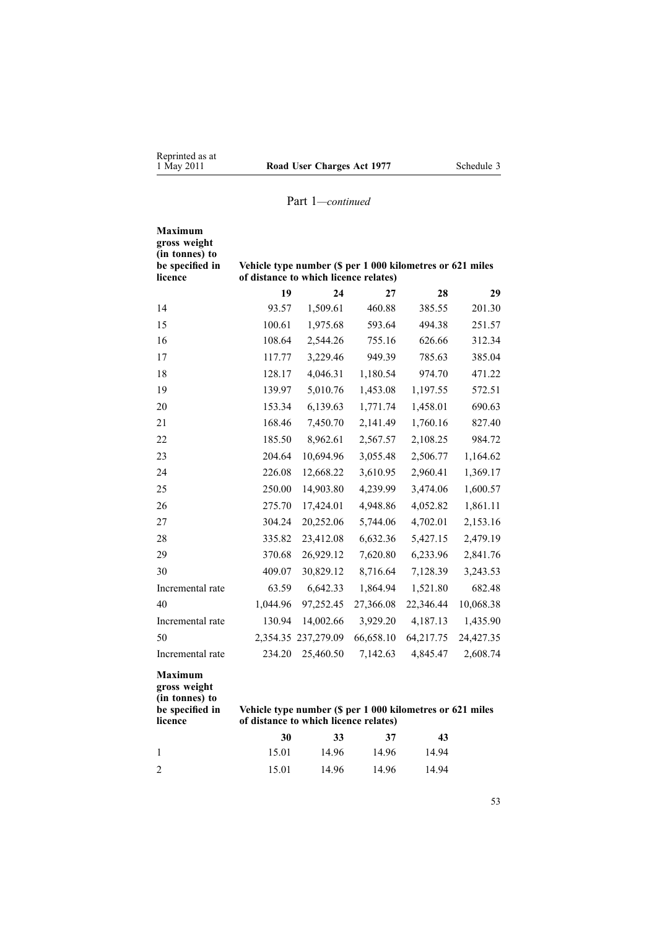| <b>Maximum</b><br>gross weight<br>(in tonnes) to<br>be specified in<br>licence | of distance to which licence relates) | Vehicle type number (\$ per 1 000 kilometres or 621 miles |           |           |           |
|--------------------------------------------------------------------------------|---------------------------------------|-----------------------------------------------------------|-----------|-----------|-----------|
|                                                                                | 19                                    | 24                                                        | 27        | 28        | 29        |
| 14                                                                             | 93.57                                 | 1,509.61                                                  | 460.88    | 385.55    | 201.30    |
| 15                                                                             | 100.61                                | 1,975.68                                                  | 593.64    | 494.38    | 251.57    |
| 16                                                                             | 108.64                                | 2,544.26                                                  | 755.16    | 626.66    | 312.34    |
| 17                                                                             | 117.77                                | 3,229.46                                                  | 949.39    | 785.63    | 385.04    |
| 18                                                                             | 128.17                                | 4,046.31                                                  | 1,180.54  | 974.70    | 471.22    |
| 19                                                                             | 139.97                                | 5,010.76                                                  | 1,453.08  | 1,197.55  | 572.51    |
| 20                                                                             | 153.34                                | 6,139.63                                                  | 1,771.74  | 1,458.01  | 690.63    |
| 21                                                                             | 168.46                                | 7,450.70                                                  | 2,141.49  | 1,760.16  | 827.40    |
| 22                                                                             | 185.50                                | 8,962.61                                                  | 2,567.57  | 2,108.25  | 984.72    |
| 23                                                                             | 204.64                                | 10,694.96                                                 | 3,055.48  | 2,506.77  | 1,164.62  |
| 24                                                                             | 226.08                                | 12,668.22                                                 | 3,610.95  | 2,960.41  | 1,369.17  |
| 25                                                                             | 250.00                                | 14,903.80                                                 | 4,239.99  | 3,474.06  | 1,600.57  |
| 26                                                                             | 275.70                                | 17,424.01                                                 | 4,948.86  | 4,052.82  | 1,861.11  |
| 27                                                                             | 304.24                                | 20,252.06                                                 | 5,744.06  | 4,702.01  | 2,153.16  |
| 28                                                                             | 335.82                                | 23,412.08                                                 | 6,632.36  | 5,427.15  | 2,479.19  |
| 29                                                                             | 370.68                                | 26,929.12                                                 | 7,620.80  | 6,233.96  | 2,841.76  |
| 30                                                                             | 409.07                                | 30,829.12                                                 | 8,716.64  | 7,128.39  | 3,243.53  |
| Incremental rate                                                               | 63.59                                 | 6,642.33                                                  | 1,864.94  | 1,521.80  | 682.48    |
| 40                                                                             | 1,044.96                              | 97,252.45                                                 | 27,366.08 | 22,346.44 | 10,068.38 |
| Incremental rate                                                               | 130.94                                | 14,002.66                                                 | 3,929.20  | 4,187.13  | 1,435.90  |
| 50                                                                             | 2,354.35                              | 237,279.09                                                | 66,658.10 | 64,217.75 | 24,427.35 |
| Incremental rate                                                               | 234.20                                | 25,460.50                                                 | 7,142.63  | 4,845.47  | 2,608.74  |
| <b>Maximum</b><br>gross weight                                                 |                                       |                                                           |           |           |           |

**(in tonnes) to**

**be specified in licence**

#### **Vehicle type number (\$ per 1 000 kilometres or 621 miles of distance to which licence relates)**

|     | 30    | 33    | 37    | 43    |
|-----|-------|-------|-------|-------|
|     | 15.01 | 14.96 | 14.96 | 14.94 |
| - 2 | 15.01 | 14.96 | 14.96 | 14.94 |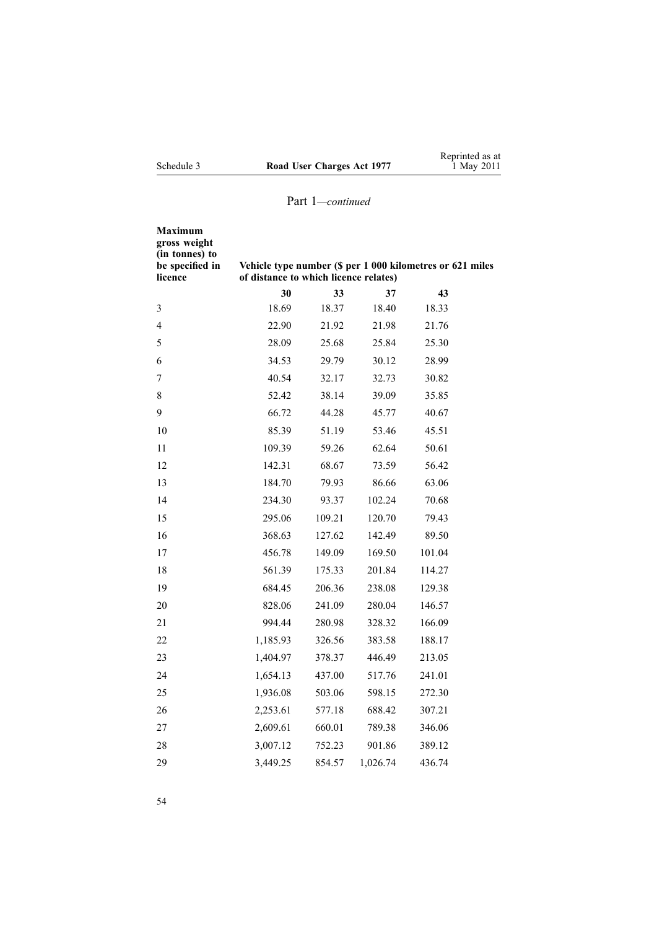| edule 3 | Road 1 |
|---------|--------|

| Maximum<br>gross weight<br>(in tonnes) to<br>be specified in<br>licence | Vehicle type number (\$ per 1 000 kilometres or 621 miles<br>of distance to which licence relates) |        |          |        |  |
|-------------------------------------------------------------------------|----------------------------------------------------------------------------------------------------|--------|----------|--------|--|
|                                                                         | 30                                                                                                 | 33     | 37       | 43     |  |
| 3                                                                       | 18.69                                                                                              | 18.37  | 18.40    | 18.33  |  |
| 4                                                                       | 22.90                                                                                              | 21.92  | 21.98    | 21.76  |  |
| 5                                                                       | 28.09                                                                                              | 25.68  | 25.84    | 25.30  |  |
| 6                                                                       | 34.53                                                                                              | 29.79  | 30.12    | 28.99  |  |
| 7                                                                       | 40.54                                                                                              | 32.17  | 32.73    | 30.82  |  |
| 8                                                                       | 52.42                                                                                              | 38.14  | 39.09    | 35.85  |  |
| 9                                                                       | 66.72                                                                                              | 44.28  | 45.77    | 40.67  |  |
| 10                                                                      | 85.39                                                                                              | 51.19  | 53.46    | 45.51  |  |
| 11                                                                      | 109.39                                                                                             | 59.26  | 62.64    | 50.61  |  |
| 12                                                                      | 142.31                                                                                             | 68.67  | 73.59    | 56.42  |  |
| 13                                                                      | 184.70                                                                                             | 79.93  | 86.66    | 63.06  |  |
| 14                                                                      | 234.30                                                                                             | 93.37  | 102.24   | 70.68  |  |
| 15                                                                      | 295.06                                                                                             | 109.21 | 120.70   | 79.43  |  |
| 16                                                                      | 368.63                                                                                             | 127.62 | 142.49   | 89.50  |  |
| 17                                                                      | 456.78                                                                                             | 149.09 | 169.50   | 101.04 |  |
| 18                                                                      | 561.39                                                                                             | 175.33 | 201.84   | 114.27 |  |
| 19                                                                      | 684.45                                                                                             | 206.36 | 238.08   | 129.38 |  |
| 20                                                                      | 828.06                                                                                             | 241.09 | 280.04   | 146.57 |  |
| 21                                                                      | 994.44                                                                                             | 280.98 | 328.32   | 166.09 |  |
| 22                                                                      | 1,185.93                                                                                           | 326.56 | 383.58   | 188.17 |  |
| 23                                                                      | 1,404.97                                                                                           | 378.37 | 446.49   | 213.05 |  |
| 24                                                                      | 1,654.13                                                                                           | 437.00 | 517.76   | 241.01 |  |
| 25                                                                      | 1,936.08                                                                                           | 503.06 | 598.15   | 272.30 |  |
| 26                                                                      | 2,253.61                                                                                           | 577.18 | 688.42   | 307.21 |  |
| 27                                                                      | 2,609.61                                                                                           | 660.01 | 789.38   | 346.06 |  |
| 28                                                                      | 3,007.12                                                                                           | 752.23 | 901.86   | 389.12 |  |
| 29                                                                      | 3,449.25                                                                                           | 854.57 | 1,026.74 | 436.74 |  |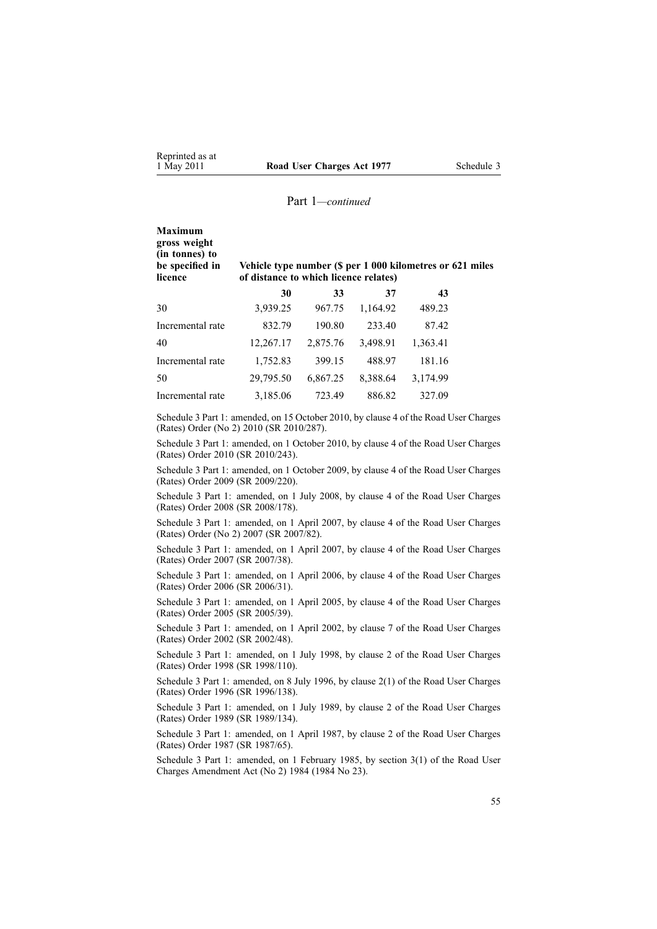| <b>Maximum</b><br>gross weight<br>(in tonnes) to<br>be specified in<br>licence | Vehicle type number (\$ per 1 000 kilometres or 621 miles<br>of distance to which licence relates) |          |          |          |  |  |
|--------------------------------------------------------------------------------|----------------------------------------------------------------------------------------------------|----------|----------|----------|--|--|
|                                                                                | 30                                                                                                 | 33       | 37       | 43       |  |  |
| 30                                                                             | 3,939.25                                                                                           | 967.75   | 1,164.92 | 489.23   |  |  |
| Incremental rate                                                               | 832.79                                                                                             | 190.80   | 233.40   | 87.42    |  |  |
| 40                                                                             | 12,267.17                                                                                          | 2,875.76 | 3,498.91 | 1,363.41 |  |  |
| Incremental rate                                                               | 1,752.83                                                                                           | 399.15   | 488.97   | 181.16   |  |  |
| 50                                                                             | 29,795.50                                                                                          | 6,867.25 | 8,388.64 | 3,174.99 |  |  |

Schedule 3 Part 1: amended, on 15 October 2010, by [clause](http://www.legislation.govt.nz/pdflink.aspx?id=DLM3197108) 4 of the Road User Charges (Rates) Order (No 2) 2010 (SR 2010/287).

Incremental rate 3,185.06 723.49 886.82 327.09

Schedule 3 Part 1: amended, on 1 October 2010, by [clause](http://www.legislation.govt.nz/pdflink.aspx?id=DLM3150108) 4 of the Road User Charges (Rates) Order 2010 (SR 2010/243).

Schedule 3 Part 1: amended, on 1 October 2009, by [clause](http://www.legislation.govt.nz/pdflink.aspx?id=DLM2249607) 4 of the Road User Charges (Rates) Order 2009 (SR 2009/220).

Schedule 3 Part 1: amended, on 1 July 2008, by [clause](http://www.legislation.govt.nz/pdflink.aspx?id=DLM1375208) 4 of the Road User Charges (Rates) Order 2008 (SR 2008/178).

Schedule 3 Part 1: amended, on 1 April 2007, by [clause](http://www.legislation.govt.nz/pdflink.aspx?id=DLM432355) 4 of the Road User Charges (Rates) Order (No 2) 2007 (SR 2007/82).

Schedule 3 Part 1: amended, on 1 April 2007, by clause 4 of the Road User Charges (Rates) Order 2007 (SR 2007/38).

Schedule 3 Part 1: amended, on 1 April 2006, by clause 4 of the Road User Charges (Rates) Order 2006 (SR 2006/31).

Schedule 3 Part 1: amended, on 1 April 2005, by clause 4 of the Road User Charges (Rates) Order 2005 (SR 2005/39).

Schedule 3 Part 1: amended, on 1 April 2002, by clause 7 of the Road User Charges (Rates) Order 2002 (SR 2002/48).

Schedule 3 Part 1: amended, on 1 July 1998, by clause 2 of the Road User Charges (Rates) Order 1998 (SR 1998/110).

Schedule 3 Part 1: amended, on 8 July 1996, by [clause](http://www.legislation.govt.nz/pdflink.aspx?id=DLM212117) 2(1) of the Road User Charges (Rates) Order 1996 (SR 1996/138).

Schedule 3 Part 1: amended, on 1 July 1989, by clause 2 of the Road User Charges (Rates) Order 1989 (SR 1989/134).

Schedule 3 Part 1: amended, on 1 April 1987, by clause 2 of the Road User Charges (Rates) Order 1987 (SR 1987/65).

Schedule 3 Part 1: amended, on 1 February 1985, by section 3(1) of the Road User Charges Amendment Act (No 2) 1984 (1984 No 23).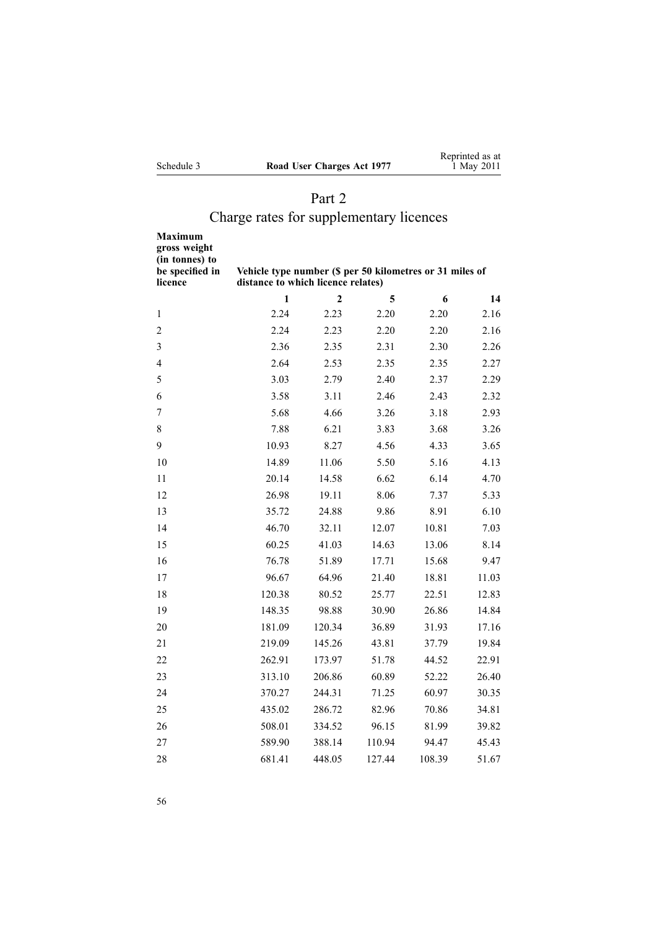|            |                            | Reprinted as at |
|------------|----------------------------|-----------------|
| Schedule 3 | Road User Charges Act 1977 | 1 May 2011      |

# Part 2

# Charge rates for supplementary licences

| Maximum<br>gross weight<br>(in tonnes) to<br>be specified in<br>licence | Vehicle type number (\$ per 50 kilometres or 31 miles of<br>distance to which licence relates) |                |        |        |       |
|-------------------------------------------------------------------------|------------------------------------------------------------------------------------------------|----------------|--------|--------|-------|
|                                                                         | 1                                                                                              | $\overline{2}$ | 5      | 6      | 14    |
| 1                                                                       | 2.24                                                                                           | 2.23           | 2.20   | 2.20   | 2.16  |
| $\overline{2}$                                                          | 2.24                                                                                           | 2.23           | 2.20   | 2.20   | 2.16  |
| 3                                                                       | 2.36                                                                                           | 2.35           | 2.31   | 2.30   | 2.26  |
| 4                                                                       | 2.64                                                                                           | 2.53           | 2.35   | 2.35   | 2.27  |
| 5                                                                       | 3.03                                                                                           | 2.79           | 2.40   | 2.37   | 2.29  |
| 6                                                                       | 3.58                                                                                           | 3.11           | 2.46   | 2.43   | 2.32  |
| 7                                                                       | 5.68                                                                                           | 4.66           | 3.26   | 3.18   | 2.93  |
| 8                                                                       | 7.88                                                                                           | 6.21           | 3.83   | 3.68   | 3.26  |
| 9                                                                       | 10.93                                                                                          | 8.27           | 4.56   | 4.33   | 3.65  |
| 10                                                                      | 14.89                                                                                          | 11.06          | 5.50   | 5.16   | 4.13  |
| 11                                                                      | 20.14                                                                                          | 14.58          | 6.62   | 6.14   | 4.70  |
| 12                                                                      | 26.98                                                                                          | 19.11          | 8.06   | 7.37   | 5.33  |
| 13                                                                      | 35.72                                                                                          | 24.88          | 9.86   | 8.91   | 6.10  |
| 14                                                                      | 46.70                                                                                          | 32.11          | 12.07  | 10.81  | 7.03  |
| 15                                                                      | 60.25                                                                                          | 41.03          | 14.63  | 13.06  | 8.14  |
| 16                                                                      | 76.78                                                                                          | 51.89          | 17.71  | 15.68  | 9.47  |
| 17                                                                      | 96.67                                                                                          | 64.96          | 21.40  | 18.81  | 11.03 |
| 18                                                                      | 120.38                                                                                         | 80.52          | 25.77  | 22.51  | 12.83 |
| 19                                                                      | 148.35                                                                                         | 98.88          | 30.90  | 26.86  | 14.84 |
| 20                                                                      | 181.09                                                                                         | 120.34         | 36.89  | 31.93  | 17.16 |
| 21                                                                      | 219.09                                                                                         | 145.26         | 43.81  | 37.79  | 19.84 |
| 22                                                                      | 262.91                                                                                         | 173.97         | 51.78  | 44.52  | 22.91 |
| 23                                                                      | 313.10                                                                                         | 206.86         | 60.89  | 52.22  | 26.40 |
| 24                                                                      | 370.27                                                                                         | 244.31         | 71.25  | 60.97  | 30.35 |
| 25                                                                      | 435.02                                                                                         | 286.72         | 82.96  | 70.86  | 34.81 |
| 26                                                                      | 508.01                                                                                         | 334.52         | 96.15  | 81.99  | 39.82 |
| 27                                                                      | 589.90                                                                                         | 388.14         | 110.94 | 94.47  | 45.43 |
| 28                                                                      | 681.41                                                                                         | 448.05         | 127.44 | 108.39 | 51.67 |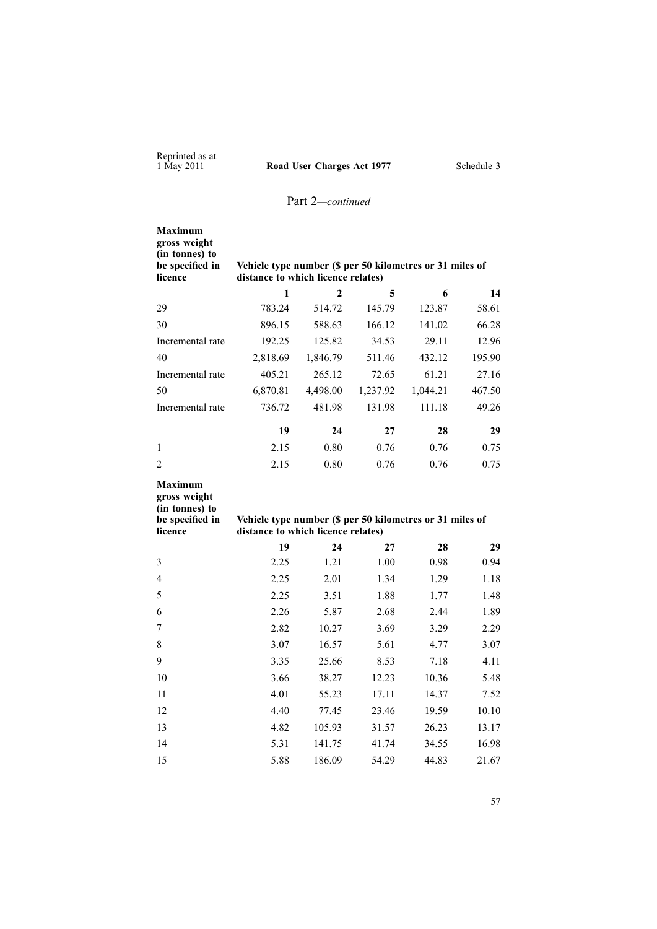| <b>Maximum</b><br>gross weight<br>(in tonnes) to<br>be specified in<br>licence | Vehicle type number (\$ per 50 kilometres or 31 miles of<br>distance to which licence relates) |                |          |          |        |
|--------------------------------------------------------------------------------|------------------------------------------------------------------------------------------------|----------------|----------|----------|--------|
|                                                                                | 1                                                                                              | $\overline{2}$ | 5        | 6        | 14     |
| 29                                                                             | 783.24                                                                                         | 514.72         | 145.79   | 123.87   | 58.61  |
| 30                                                                             | 896.15                                                                                         | 588.63         | 166.12   | 141.02   | 66.28  |
| Incremental rate                                                               | 192.25                                                                                         | 125.82         | 34.53    | 29.11    | 12.96  |
| 40                                                                             | 2,818.69                                                                                       | 1,846.79       | 511.46   | 432.12   | 195.90 |
| Incremental rate                                                               | 405.21                                                                                         | 265.12         | 72.65    | 61.21    | 27.16  |
| 50                                                                             | 6,870.81                                                                                       | 4,498.00       | 1,237.92 | 1,044.21 | 467.50 |
| Incremental rate                                                               | 736.72                                                                                         | 481.98         | 131.98   | 111.18   | 49.26  |
|                                                                                | 19                                                                                             | 24             | 27       | 28       | 29     |
| $\mathbf{1}$                                                                   | 2.15                                                                                           | 0.80           | 0.76     | 0.76     | 0.75   |
| $\overline{2}$                                                                 | 2.15                                                                                           | 0.80           | 0.76     | 0.76     | 0.75   |
| <b>Maximum</b><br>gross weight<br>(in tonnes) to<br>be specified in<br>licence | Vehicle type number (\$ per 50 kilometres or 31 miles of<br>distance to which licence relates) |                |          |          |        |
|                                                                                | 19                                                                                             | 24             | 27       | 28       | 29     |
| 3                                                                              | 2.25                                                                                           | 1.21           | 1.00     | 0.98     | 0.94   |
| $\overline{4}$                                                                 | 2.25                                                                                           | 2.01           | 1.34     | 1.29     | 1.18   |
| 5                                                                              | 2.25                                                                                           | 3.51           | 1.88     | 1.77     | 1.48   |
| 6                                                                              | 2.26                                                                                           | 5.87           | 2.68     | 2.44     | 1.89   |
| 7                                                                              | 2.82                                                                                           | 10.27          | 3.69     | 3.29     | 2.29   |
| 8                                                                              | 3.07                                                                                           | 16.57          | 5.61     | 4.77     | 3.07   |
| 9                                                                              | 3.35                                                                                           | 25.66          | 8.53     | 7.18     | 4.11   |
| 10                                                                             | 3.66                                                                                           | 38.27          | 12.23    | 10.36    | 5.48   |
| 11                                                                             | 4.01                                                                                           | 55.23          | 17.11    | 14.37    | 7.52   |

 4.40 77.45 23.46 19.59 10.10 4.82 105.93 31.57 26.23 13.17 5.31 141.75 41.74 34.55 16.98 5.88 186.09 54.29 44.83 21.67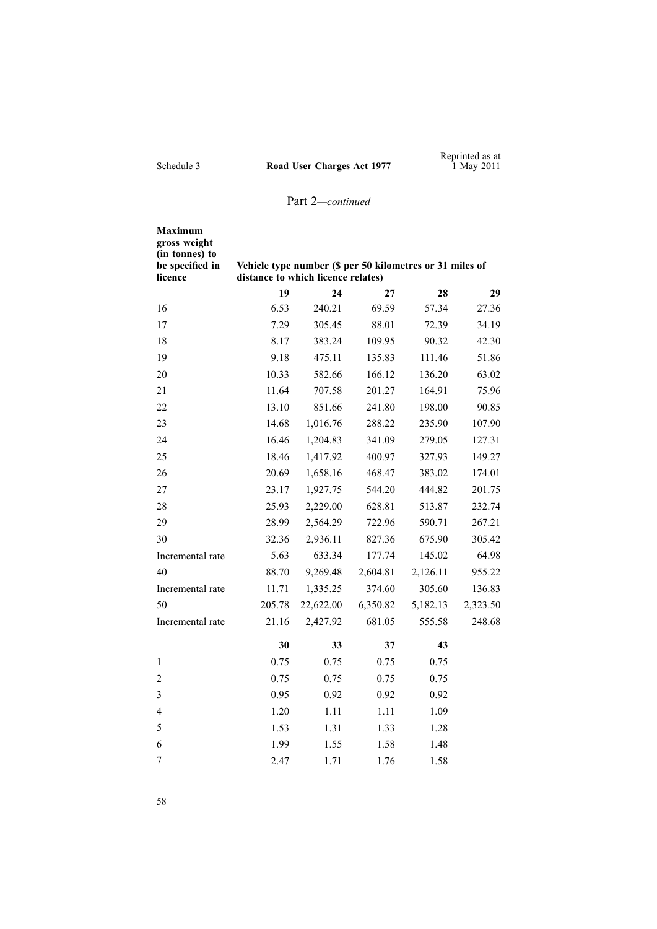|            |                            | Reprinted as at |
|------------|----------------------------|-----------------|
| Schedule 3 | Road User Charges Act 1977 | 1 May 2011      |

| Maximum<br>gross weight<br>(in tonnes) to<br>be specified in<br>licence | Vehicle type number (\$ per 50 kilometres or 31 miles of<br>distance to which licence relates) |           |          |          |          |
|-------------------------------------------------------------------------|------------------------------------------------------------------------------------------------|-----------|----------|----------|----------|
|                                                                         | 19                                                                                             | 24        | 27       | 28       | 29       |
| 16                                                                      | 6.53                                                                                           | 240.21    | 69.59    | 57.34    | 27.36    |
| 17                                                                      | 7.29                                                                                           | 305.45    | 88.01    | 72.39    | 34.19    |
| 18                                                                      | 8.17                                                                                           | 383.24    | 109.95   | 90.32    | 42.30    |
| 19                                                                      | 9.18                                                                                           | 475.11    | 135.83   | 111.46   | 51.86    |
| 20                                                                      | 10.33                                                                                          | 582.66    | 166.12   | 136.20   | 63.02    |
| 21                                                                      | 11.64                                                                                          | 707.58    | 201.27   | 164.91   | 75.96    |
| 22                                                                      | 13.10                                                                                          | 851.66    | 241.80   | 198.00   | 90.85    |
| 23                                                                      | 14.68                                                                                          | 1,016.76  | 288.22   | 235.90   | 107.90   |
| 24                                                                      | 16.46                                                                                          | 1,204.83  | 341.09   | 279.05   | 127.31   |
| 25                                                                      | 18.46                                                                                          | 1,417.92  | 400.97   | 327.93   | 149.27   |
| 26                                                                      | 20.69                                                                                          | 1,658.16  | 468.47   | 383.02   | 174.01   |
| 27                                                                      | 23.17                                                                                          | 1,927.75  | 544.20   | 444.82   | 201.75   |
| 28                                                                      | 25.93                                                                                          | 2,229.00  | 628.81   | 513.87   | 232.74   |
| 29                                                                      | 28.99                                                                                          | 2,564.29  | 722.96   | 590.71   | 267.21   |
| 30                                                                      | 32.36                                                                                          | 2,936.11  | 827.36   | 675.90   | 305.42   |
| Incremental rate                                                        | 5.63                                                                                           | 633.34    | 177.74   | 145.02   | 64.98    |
| 40                                                                      | 88.70                                                                                          | 9,269.48  | 2,604.81 | 2,126.11 | 955.22   |
| Incremental rate                                                        | 11.71                                                                                          | 1,335.25  | 374.60   | 305.60   | 136.83   |
| 50                                                                      | 205.78                                                                                         | 22,622.00 | 6,350.82 | 5,182.13 | 2,323.50 |
| Incremental rate                                                        | 21.16                                                                                          | 2,427.92  | 681.05   | 555.58   | 248.68   |
|                                                                         | 30                                                                                             | 33        | 37       | 43       |          |
| 1                                                                       | 0.75                                                                                           | 0.75      | 0.75     | 0.75     |          |
| $\overline{c}$                                                          | 0.75                                                                                           | 0.75      | 0.75     | 0.75     |          |
| 3                                                                       | 0.95                                                                                           | 0.92      | 0.92     | 0.92     |          |
| $\overline{\mathcal{L}}$                                                | 1.20                                                                                           | 1.11      | 1.11     | 1.09     |          |
| 5                                                                       | 1.53                                                                                           | 1.31      | 1.33     | 1.28     |          |
| 6                                                                       | 1.99                                                                                           | 1.55      | 1.58     | 1.48     |          |
| 7                                                                       | 2.47                                                                                           | 1.71      | 1.76     | 1.58     |          |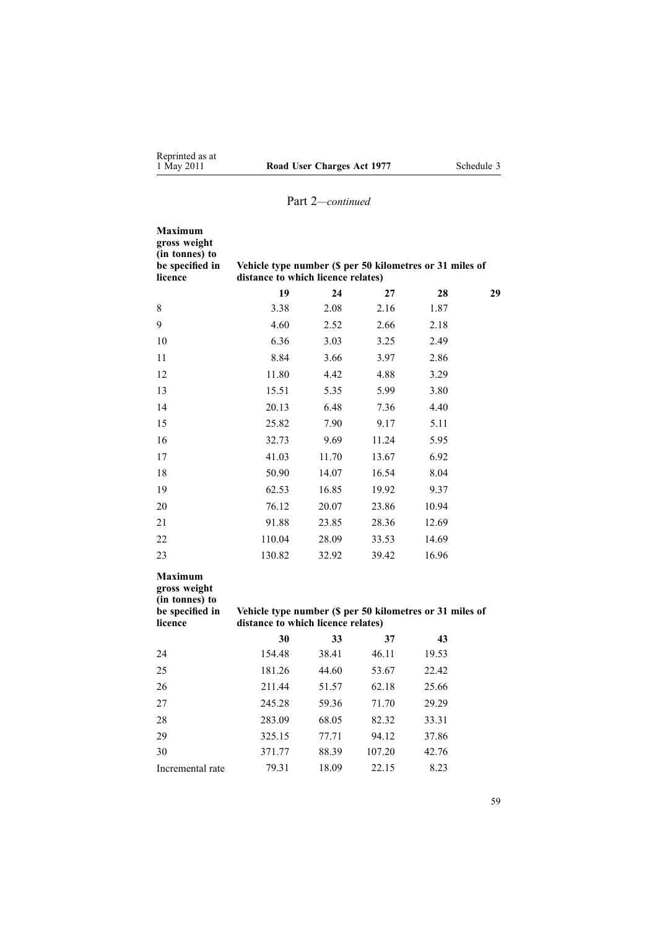| <b>Maximum</b><br>gross weight<br>(in tonnes) to<br>be specified in<br>licence | Vehicle type number (\$ per 50 kilometres or 31 miles of<br>distance to which licence relates) |       |        |       |    |
|--------------------------------------------------------------------------------|------------------------------------------------------------------------------------------------|-------|--------|-------|----|
|                                                                                | 19                                                                                             | 24    | 27     | 28    | 29 |
| $8\,$                                                                          | 3.38                                                                                           | 2.08  | 2.16   | 1.87  |    |
| 9                                                                              | 4.60                                                                                           | 2.52  | 2.66   | 2.18  |    |
| 10                                                                             | 6.36                                                                                           | 3.03  | 3.25   | 2.49  |    |
| 11                                                                             | 8.84                                                                                           | 3.66  | 3.97   | 2.86  |    |
| 12                                                                             | 11.80                                                                                          | 4.42  | 4.88   | 3.29  |    |
| 13                                                                             | 15.51                                                                                          | 5.35  | 5.99   | 3.80  |    |
| 14                                                                             | 20.13                                                                                          | 6.48  | 7.36   | 4.40  |    |
| 15                                                                             | 25.82                                                                                          | 7.90  | 9.17   | 5.11  |    |
| 16                                                                             | 32.73                                                                                          | 9.69  | 11.24  | 5.95  |    |
| 17                                                                             | 41.03                                                                                          | 11.70 | 13.67  | 6.92  |    |
| 18                                                                             | 50.90                                                                                          | 14.07 | 16.54  | 8.04  |    |
| 19                                                                             | 62.53                                                                                          | 16.85 | 19.92  | 9.37  |    |
| 20                                                                             | 76.12                                                                                          | 20.07 | 23.86  | 10.94 |    |
| 21                                                                             | 91.88                                                                                          | 23.85 | 28.36  | 12.69 |    |
| 22                                                                             | 110.04                                                                                         | 28.09 | 33.53  | 14.69 |    |
| 23                                                                             | 130.82                                                                                         | 32.92 | 39.42  | 16.96 |    |
| <b>Maximum</b><br>gross weight<br>(in tonnes) to<br>be specified in<br>licence | Vehicle type number (\$ per 50 kilometres or 31 miles of<br>distance to which licence relates) |       |        |       |    |
|                                                                                | 30                                                                                             | 33    | 37     | 43    |    |
| 24                                                                             | 154.48                                                                                         | 38.41 | 46.11  | 19.53 |    |
| 25                                                                             | 181.26                                                                                         | 44.60 | 53.67  | 22.42 |    |
| 26                                                                             | 211.44                                                                                         | 51.57 | 62.18  | 25.66 |    |
| 27                                                                             | 245.28                                                                                         | 59.36 | 71.70  | 29.29 |    |
| 28                                                                             | 283.09                                                                                         | 68.05 | 82.32  | 33.31 |    |
| 29                                                                             | 325.15                                                                                         | 77.71 | 94.12  | 37.86 |    |
| 30                                                                             | 371.77                                                                                         | 88.39 | 107.20 | 42.76 |    |
| Incremental rate                                                               | 79.31                                                                                          | 18.09 | 22.15  | 8.23  |    |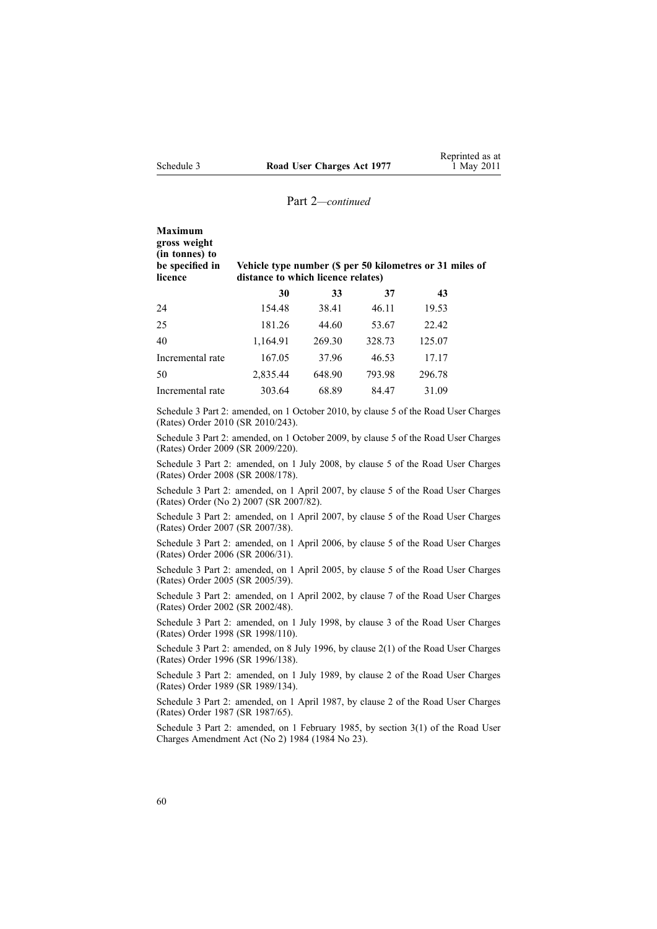| Maximum<br>gross weight<br>(in tonnes) to<br>be specified in<br>licence | Vehicle type number (\$ per 50 kilometres or 31 miles of<br>distance to which licence relates) |        |        |        |  |  |
|-------------------------------------------------------------------------|------------------------------------------------------------------------------------------------|--------|--------|--------|--|--|
|                                                                         | 30                                                                                             | 33     | 37     | 43     |  |  |
| 24                                                                      | 154.48                                                                                         | 38.41  | 46.11  | 19.53  |  |  |
| 25                                                                      | 181.26                                                                                         | 44.60  | 53.67  | 22.42  |  |  |
| 40                                                                      | 1,164.91                                                                                       | 269.30 | 328.73 | 125.07 |  |  |
| Incremental rate                                                        | 167.05                                                                                         | 37.96  | 46.53  | 17.17  |  |  |
| 50                                                                      | 2,835.44                                                                                       | 648.90 | 793.98 | 296.78 |  |  |
| Incremental rate                                                        | 303.64                                                                                         | 68.89  | 84.47  | 31.09  |  |  |

Schedule 3 Part 2: amended, on 1 October 2010, by [clause](http://www.legislation.govt.nz/pdflink.aspx?id=DLM3150110) 5 of the Road User Charges (Rates) Order 2010 (SR 2010/243).

Schedule 3 Part 2: amended, on 1 October 2009, by [clause](http://www.legislation.govt.nz/pdflink.aspx?id=DLM2249608) 5 of the Road User Charges (Rates) Order 2009 (SR 2009/220).

Schedule 3 Part 2: amended, on 1 July 2008, by [clause](http://www.legislation.govt.nz/pdflink.aspx?id=DLM1375209) 5 of the Road User Charges (Rates) Order 2008 (SR 2008/178).

Schedule 3 Part 2: amended, on 1 April 2007, by [clause](http://www.legislation.govt.nz/pdflink.aspx?id=DLM432356) 5 of the Road User Charges (Rates) Order (No 2) 2007 (SR 2007/82).

Schedule 3 Part 2: amended, on 1 April 2007, by clause 5 of the Road User Charges (Rates) Order 2007 (SR 2007/38).

Schedule 3 Part 2: amended, on 1 April 2006, by clause 5 of the Road User Charges (Rates) Order 2006 (SR 2006/31).

Schedule 3 Part 2: amended, on 1 April 2005, by clause 5 of the Road User Charges (Rates) Order 2005 (SR 2005/39).

Schedule 3 Part 2: amended, on 1 April 2002, by clause 7 of the Road User Charges (Rates) Order 2002 (SR 2002/48).

Schedule 3 Part 2: amended, on 1 July 1998, by clause 3 of the Road User Charges (Rates) Order 1998 (SR 1998/110).

Schedule 3 Part 2: amended, on 8 July 1996, by [clause](http://www.legislation.govt.nz/pdflink.aspx?id=DLM212117) 2(1) of the Road User Charges (Rates) Order 1996 (SR 1996/138).

Schedule 3 Part 2: amended, on 1 July 1989, by clause 2 of the Road User Charges (Rates) Order 1989 (SR 1989/134).

Schedule 3 Part 2: amended, on 1 April 1987, by clause 2 of the Road User Charges (Rates) Order 1987 (SR 1987/65).

Schedule 3 Part 2: amended, on 1 February 1985, by section 3(1) of the Road User Charges Amendment Act (No 2) 1984 (1984 No 23).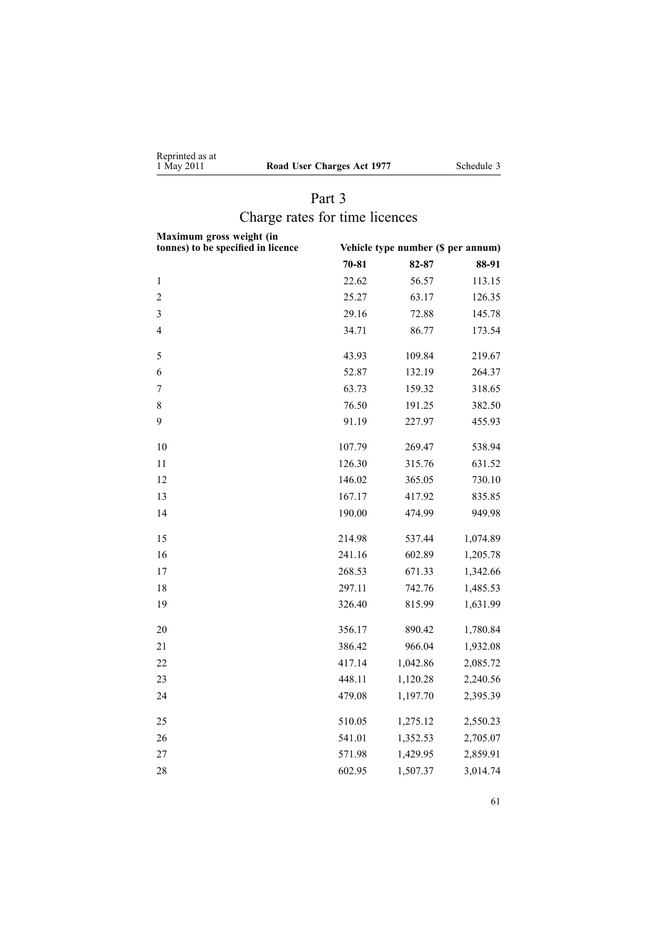<span id="page-60-0"></span>

| Reprinted as at |                          |
|-----------------|--------------------------|
| 1 May 2011      | Road User Charges Act 19 |

**1** Schedule 3

# Part 3 Charge rates for time licences

| Maximum gross weight (in<br>tonnes) to be specified in licence | Vehicle type number (\$ per annum) |          |          |  |
|----------------------------------------------------------------|------------------------------------|----------|----------|--|
|                                                                | $70 - 81$                          | 82-87    | 88-91    |  |
| $\,1$                                                          | 22.62                              | 56.57    | 113.15   |  |
| $\overline{2}$                                                 | 25.27                              | 63.17    | 126.35   |  |
| 3                                                              | 29.16                              | 72.88    | 145.78   |  |
| $\overline{4}$                                                 | 34.71                              | 86.77    | 173.54   |  |
| 5                                                              | 43.93                              | 109.84   | 219.67   |  |
| 6                                                              | 52.87                              | 132.19   | 264.37   |  |
| 7                                                              | 63.73                              | 159.32   | 318.65   |  |
| 8                                                              | 76.50                              | 191.25   | 382.50   |  |
| 9                                                              | 91.19                              | 227.97   | 455.93   |  |
| 10                                                             | 107.79                             | 269.47   | 538.94   |  |
| 11                                                             | 126.30                             | 315.76   | 631.52   |  |
| 12                                                             | 146.02                             | 365.05   | 730.10   |  |
| 13                                                             | 167.17                             | 417.92   | 835.85   |  |
| 14                                                             | 190.00                             | 474.99   | 949.98   |  |
| 15                                                             | 214.98                             | 537.44   | 1,074.89 |  |
| 16                                                             | 241.16                             | 602.89   | 1,205.78 |  |
| 17                                                             | 268.53                             | 671.33   | 1,342.66 |  |
| 18                                                             | 297.11                             | 742.76   | 1,485.53 |  |
| 19                                                             | 326.40                             | 815.99   | 1,631.99 |  |
| 20                                                             | 356.17                             | 890.42   | 1,780.84 |  |
| 21                                                             | 386.42                             | 966.04   | 1,932.08 |  |
| 22                                                             | 417.14                             | 1,042.86 | 2,085.72 |  |
| 23                                                             | 448.11                             | 1,120.28 | 2,240.56 |  |
| 24                                                             | 479.08                             | 1,197.70 | 2,395.39 |  |
| 25                                                             | 510.05                             | 1,275.12 | 2,550.23 |  |
| 26                                                             | 541.01                             | 1,352.53 | 2,705.07 |  |
| 27                                                             | 571.98                             | 1,429.95 | 2,859.91 |  |
| 28                                                             | 602.95                             | 1,507.37 | 3,014.74 |  |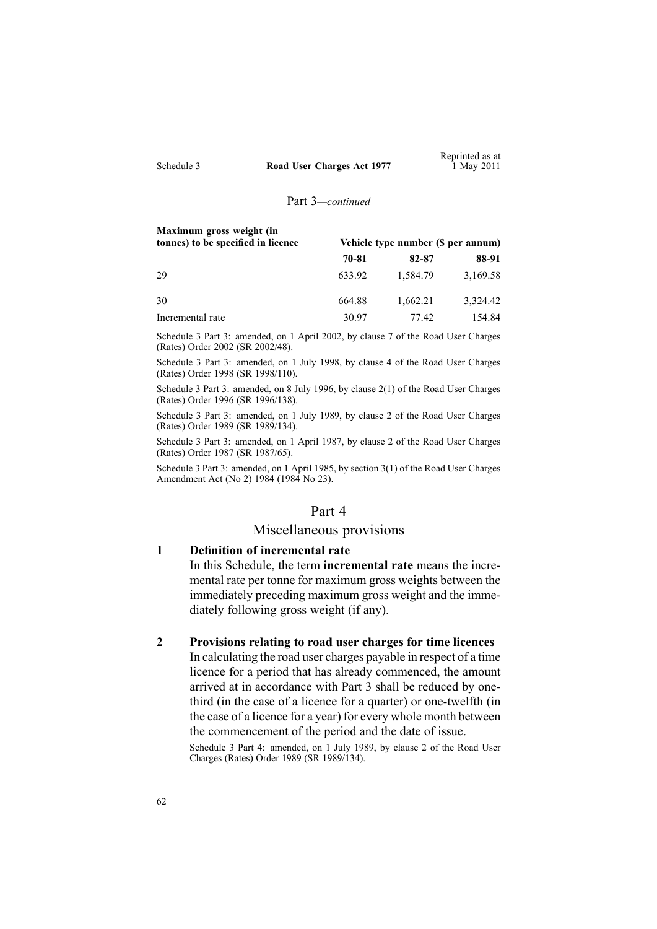|            |                            | Reprinted as at |
|------------|----------------------------|-----------------|
| Schedule 3 | Road User Charges Act 1977 | 1 May 2011      |

Reprinted as at

#### Part 3*—continued*

| Maximum gross weight (in<br>tonnes) to be specified in licence |        | Vehicle type number (\$ per annum) |          |  |
|----------------------------------------------------------------|--------|------------------------------------|----------|--|
|                                                                | 70-81  | 82-87                              | 88-91    |  |
| 29                                                             | 633.92 | 1,584.79                           | 3,169.58 |  |
| 30                                                             | 664.88 | 1,662.21                           | 3,324.42 |  |
| Incremental rate                                               | 30.97  | 77.42                              | 154.84   |  |

Schedule 3 Part 3: amended, on 1 April 2002, by clause 7 of the Road User Charges (Rates) Order 2002 (SR 2002/48).

Schedule 3 Part 3: amended, on 1 July 1998, by clause 4 of the Road User Charges (Rates) Order 1998 (SR 1998/110).

Schedule 3 Part 3: amended, on 8 July 1996, by [clause](http://www.legislation.govt.nz/pdflink.aspx?id=DLM212117) 2(1) of the Road User Charges (Rates) Order 1996 (SR 1996/138).

Schedule 3 Part 3: amended, on 1 July 1989, by clause 2 of the Road User Charges (Rates) Order 1989 (SR 1989/134).

Schedule 3 Part 3: amended, on 1 April 1987, by clause 2 of the Road User Charges (Rates) Order 1987 (SR 1987/65).

Schedule 3 Part 3: amended, on 1 April 1985, by section 3(1) of the Road User Charges Amendment Act (No 2) 1984 (1984 No 23).

#### Part 4

## Miscellaneous provisions

## **1 Definition of incremental rate**

In this Schedule, the term **incremental rate** means the incremental rate per tonne for maximum gross weights between the immediately preceding maximum gross weight and the immediately following gross weight (if any).

#### **2 Provisions relating to road user charges for time licences**

In calculating the road user charges payable in respec<sup>t</sup> of <sup>a</sup> time licence for <sup>a</sup> period that has already commenced, the amount arrived at in accordance with [Part](#page-60-0) 3 shall be reduced by onethird (in the case of <sup>a</sup> licence for <sup>a</sup> quarter) or one-twelfth (in the case of <sup>a</sup> licence for <sup>a</sup> year) for every whole month between the commencement of the period and the date of issue.

Schedule 3 Part 4: amended, on 1 July 1989, by clause 2 of the Road User Charges (Rates) Order 1989 (SR 1989/134).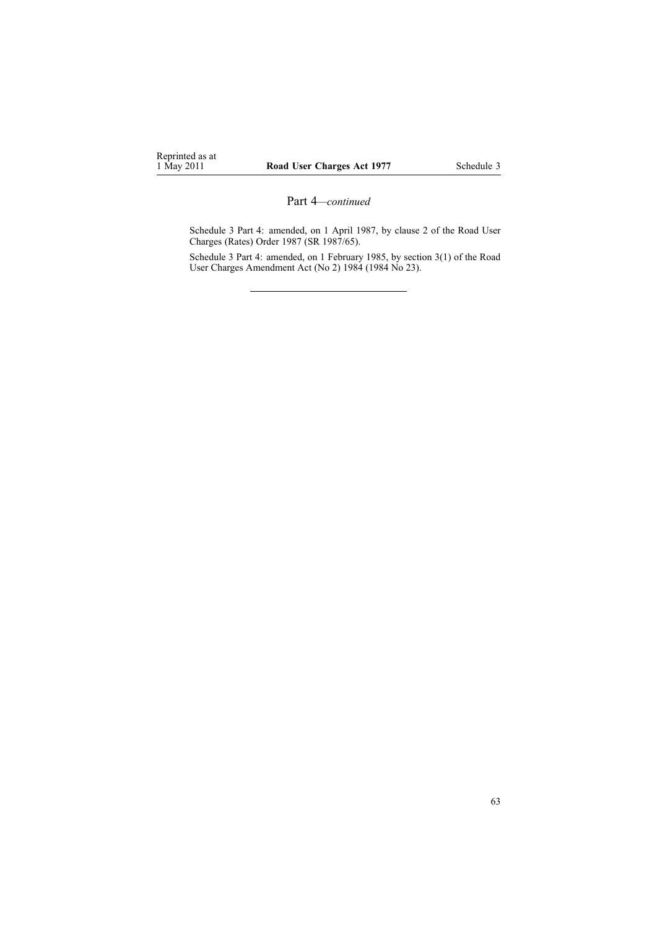Schedule 3 Part 4: amended, on 1 April 1987, by clause 2 of the Road User Charges (Rates) Order 1987 (SR 1987/65).

Schedule 3 Part 4: amended, on 1 February 1985, by section 3(1) of the Road User Charges Amendment Act (No 2) 1984 (1984 No 23).